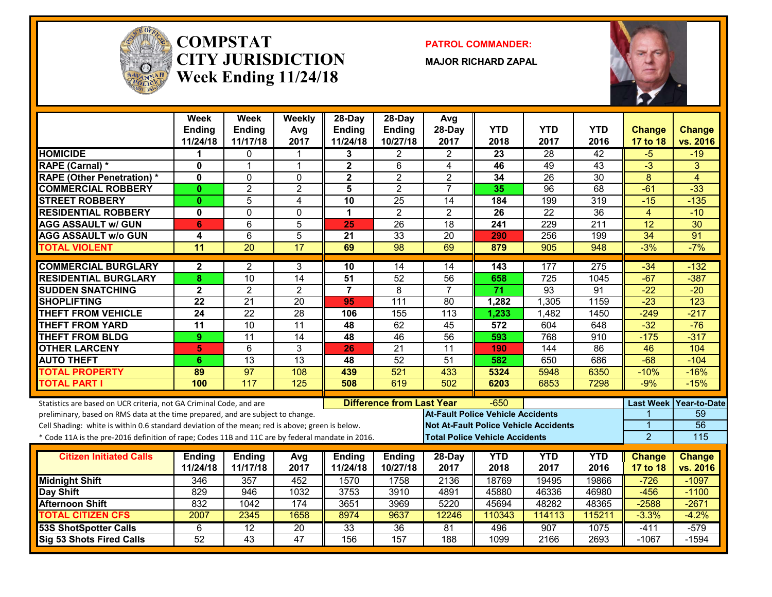

#### **COMPSTATCITY JURISDICTIONWeek Ending 11/24/18**

**PATROL COMMANDER:**

**MAJOR RICHARD ZAPAL**



|                                                                                                  | <b>Week</b><br><b>Ending</b> | <b>Week</b><br><b>Ending</b> | Weekly<br>Avg   | $28$ -Day<br>Ending     | $28-Day$<br>Ending               | Avg<br>28-Day                                | <b>YTD</b> | <b>YTD</b>       | <b>YTD</b>      | <b>Change</b>    | <b>Change</b>   |
|--------------------------------------------------------------------------------------------------|------------------------------|------------------------------|-----------------|-------------------------|----------------------------------|----------------------------------------------|------------|------------------|-----------------|------------------|-----------------|
|                                                                                                  | 11/24/18                     | 11/17/18                     | 2017            | 11/24/18                | 10/27/18                         | 2017                                         | 2018       | 2017             | 2016            | 17 to 18         | vs. 2016        |
| <b>HOMICIDE</b>                                                                                  | 1                            | $\Omega$                     |                 | 3                       | 2                                | 2                                            | 23         | 28               | $\overline{42}$ | -5               | $-19$           |
| RAPE (Carnal) *                                                                                  | $\mathbf{0}$                 | $\overline{1}$               | $\mathbf 1$     | $\overline{\mathbf{2}}$ | 6                                | $\overline{4}$                               | 46         | 49               | $\overline{43}$ | $\overline{3}$   | $\overline{3}$  |
| <b>RAPE (Other Penetration) *</b>                                                                | $\mathbf{0}$                 | $\Omega$                     | $\mathbf 0$     | $\overline{\mathbf{2}}$ | $\overline{2}$                   | $\overline{2}$                               | 34         | $\overline{26}$  | $\overline{30}$ | $\overline{8}$   | $\overline{4}$  |
| <b>COMMERCIAL ROBBERY</b>                                                                        | $\mathbf{0}$                 | $\overline{2}$               | $\overline{2}$  | 5                       | $\overline{2}$                   | $\overline{7}$                               | 35         | $\overline{96}$  | 68              | $-61$            | $-33$           |
| <b>STREET ROBBERY</b>                                                                            | $\mathbf{0}$                 | 5                            | 4               | 10                      | 25                               | 14                                           | 184        | 199              | 319             | $-15$            | $-135$          |
| <b>RESIDENTIAL ROBBERY</b>                                                                       | 0                            | $\mathbf{0}$                 | $\Omega$        | 1                       | $\overline{2}$                   | $\mathbf{2}$                                 | 26         | 22               | 36              | $\overline{4}$   | $-10$           |
| <b>AGG ASSAULT w/ GUN</b>                                                                        | 6                            | 6                            | 5               | 25                      | 26                               | 18                                           | 241        | 229              | 211             | $\overline{12}$  | $\overline{30}$ |
| <b>AGG ASSAULT w/o GUN</b>                                                                       | 4                            | $6\phantom{1}$               | 5               | 21                      | 33                               | 20                                           | 290        | 256              | 199             | $\overline{34}$  | $\overline{91}$ |
| <b>TOTAL VIOLENT</b>                                                                             | 11                           | $\overline{20}$              | $\overline{17}$ | 69                      | 98                               | 69                                           | 879        | 905              | 948             | $-3%$            | $-7%$           |
| <b>COMMERCIAL BURGLARY</b>                                                                       | $\mathbf{2}$                 | $\overline{2}$               | 3               | 10                      | 14                               | 14                                           | 143        | 177              | 275             | $-34$            | $-132$          |
| <b>RESIDENTIAL BURGLARY</b>                                                                      | 8                            | $\overline{10}$              | $\overline{14}$ | 51                      | 52                               | 56                                           | 658        | $\overline{725}$ | 1045            | $-67$            | $-387$          |
| <b>SUDDEN SNATCHING</b>                                                                          | $\mathbf{2}$                 | $\overline{2}$               | $\overline{2}$  | $\overline{7}$          | 8                                | $\overline{7}$                               | 71         | 93               | 91              | $-22$            | $-20$           |
| <b>SHOPLIFTING</b>                                                                               | $\overline{22}$              | $\overline{21}$              | $\overline{20}$ | 95                      | $\overline{111}$                 | 80                                           | 1,282      | 1,305            | 1159            | $-23$            | 123             |
| <b>THEFT FROM VEHICLE</b>                                                                        | 24                           | $\overline{22}$              | $\overline{28}$ | 106                     | 155                              | 113                                          | 1,233      | 1,482            | 1450            | $-249$           | $-217$          |
| <b>THEFT FROM YARD</b>                                                                           | $\overline{11}$              | 10                           | $\overline{11}$ | 48                      | 62                               | 45                                           | 572        | 604              | 648             | $-32$            | $-76$           |
| <b>THEFT FROM BLDG</b>                                                                           | 9                            | $\overline{11}$              | $\overline{14}$ | 48                      | 46                               | 56                                           | 593        | 768              | 910             | $-175$           | $-317$          |
| <b>OTHER LARCENY</b>                                                                             | 5                            | 6                            | 3               | 26                      | $\overline{21}$                  | 11                                           | 190        | 144              | $\overline{86}$ | $\overline{46}$  | 104             |
| <b>AUTO THEFT</b>                                                                                | 6                            | 13                           | $\overline{13}$ | 48                      | $\overline{52}$                  | 51                                           | 582        | 650              | 686             | $-68$            | $-104$          |
| <b>TOTAL PROPERTY</b>                                                                            | 89                           | 97                           | 108             | 439                     | 521                              | 433                                          | 5324       | 5948             | 6350            | $-10%$           | $-16%$          |
| <b>TOTAL PART I</b>                                                                              | 100                          | 117                          | 125             | 508                     | 619                              | 502                                          | 6203       | 6853             | 7298            | $-9%$            | $-15%$          |
| Statistics are based on UCR criteria, not GA Criminal Code, and are                              |                              |                              |                 |                         | <b>Difference from Last Year</b> |                                              | $-650$     |                  |                 | <b>Last Week</b> | Year-to-Date    |
| preliminary, based on RMS data at the time prepared, and are subject to change.                  |                              |                              |                 |                         |                                  | <b>At-Fault Police Vehicle Accidents</b>     |            |                  |                 |                  | 59              |
| Cell Shading: white is within 0.6 standard deviation of the mean; red is above; green is below.  |                              |                              |                 |                         |                                  | <b>Not At-Fault Police Vehicle Accidents</b> |            |                  |                 | 1                | 56              |
| * Code 11A is the pre-2016 definition of rape; Codes 11B and 11C are by federal mandate in 2016. |                              |                              |                 |                         |                                  | <b>Total Police Vehicle Accidents</b>        |            |                  |                 | $\overline{2}$   | 115             |
| <b>Citizen Initiated Calls</b>                                                                   | <b>Ending</b>                | <b>Ending</b>                | Avg             | <b>Ending</b>           | <b>Ending</b>                    | 28-Day                                       | <b>YTD</b> | <b>YTD</b>       | <b>YTD</b>      | <b>Change</b>    | <b>Change</b>   |
|                                                                                                  | 11/24/18                     | 11/17/18                     | 2017            | 11/24/18                | 10/27/18                         | 2017                                         | 2018       | 2017             | 2016            | 17 to 18         | vs. 2016        |
| <b>Midnight Shift</b>                                                                            | 346                          | 357                          | 452             | 1570                    | 1758                             | 2136                                         | 18769      | 19495            | 19866           | $-726$           | $-1097$         |
| Day Shift                                                                                        | 829                          | 946                          | 1032            | 3753                    | 3910                             | 4891                                         | 45880      | 46336            | 46980           | $-456$           | $-1100$         |
| <b>Afternoon Shift</b>                                                                           | 832                          | 1042                         | 174             | 3651                    | 3969                             | 5220                                         | 45694      | 48282            | 48365           | $-2588$          | $-2671$         |
| <b>TOTAL CITIZEN CFS</b>                                                                         | 2007                         | 2345                         | 1658            | 8974                    | 9637                             | 12246                                        | 110343     | 114113           | 115211          | $-3.3%$          | $-4.2%$         |
| <b>53S ShotSpotter Calls</b>                                                                     | 6                            | 12                           | 20              | 33                      | 36                               | 81                                           | 496        | 907              | 1075            | $-411$           | $-579$          |
| <b>Sig 53 Shots Fired Calls</b>                                                                  | 52                           | $\overline{43}$              | 47              | 156                     | 157                              | 188                                          | 1099       | 2166             | 2693            | $-1067$          | $-1594$         |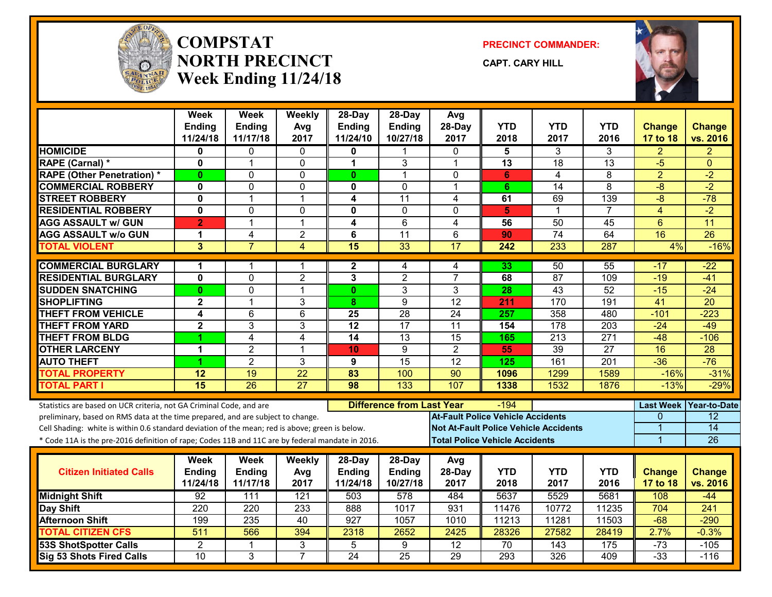

#### **COMPSTATNORTH PRECINCTWeek Ending 11/24/18**

**PRECINCT COMMANDER:**

**CAPT. CARY HILL**



|                                                                                                  | Week<br><b>Ending</b><br>11/24/18 | Week<br><b>Ending</b><br>11/17/18 | Weekly<br>Avg<br>2017 | 28-Day<br><b>Ending</b><br>11/24/10 | $28-Dav$<br>Ending<br>10/27/18   | Avg<br>28-Day<br>2017                    | <b>YTD</b><br>2018                    | <b>YTD</b><br>2017                           | <b>YTD</b><br>2016 | <b>Change</b><br>17 to 18 | <b>Change</b><br>vs. 2016 |
|--------------------------------------------------------------------------------------------------|-----------------------------------|-----------------------------------|-----------------------|-------------------------------------|----------------------------------|------------------------------------------|---------------------------------------|----------------------------------------------|--------------------|---------------------------|---------------------------|
| <b>HOMICIDE</b>                                                                                  | 0                                 | 0                                 | 0                     | 0                                   | 1                                | $\mathbf{0}$                             | 5                                     | 3                                            | 3                  | $\overline{2}$            | $\overline{2}$            |
| <b>RAPE (Carnal) *</b>                                                                           | $\mathbf{0}$                      | 1                                 | $\mathbf 0$           | 1                                   | 3                                | $\overline{1}$                           | $\overline{13}$                       | $\overline{18}$                              | $\overline{13}$    | $-5$                      | $\Omega$                  |
| <b>RAPE (Other Penetration) *</b>                                                                | $\mathbf{0}$                      | $\Omega$                          | $\mathbf 0$           | $\mathbf{0}$                        | 1                                | $\Omega$                                 | 6                                     | 4                                            | 8                  | $\overline{2}$            | $-2$                      |
| <b>COMMERCIAL ROBBERY</b>                                                                        | 0                                 | $\Omega$                          | 0                     | 0                                   | 0                                | $\mathbf 1$                              | 6                                     | 14                                           | 8                  | -8                        | $-2$                      |
| <b>STREET ROBBERY</b>                                                                            | $\mathbf{0}$                      | $\blacktriangleleft$              | $\mathbf 1$           | 4                                   | $\overline{11}$                  | 4                                        | 61                                    | 69                                           | 139                | $-8$                      | $-78$                     |
| <b>RESIDENTIAL ROBBERY</b>                                                                       | 0                                 | $\mathbf 0$                       | $\mathbf 0$           | 0                                   | $\Omega$                         | $\mathbf{0}$                             | 5                                     | $\mathbf 1$                                  | $\overline{7}$     | 4                         | $-2$                      |
| <b>AGG ASSAULT w/ GUN</b>                                                                        | $\overline{2}$                    | $\overline{1}$                    | $\mathbf{1}$          | 4                                   | $\overline{6}$                   | 4                                        | 56                                    | 50                                           | 45                 | $6\phantom{1}$            | 11                        |
| <b>AGG ASSAULT w/o GUN</b>                                                                       | 1                                 | 4                                 | $\overline{2}$        | 6                                   | $\overline{11}$                  | 6                                        | 90                                    | $\overline{74}$                              | 64                 | 16                        | $\overline{26}$           |
| <b>TOTAL VIOLENT</b>                                                                             | 3                                 | $\overline{7}$                    | $\overline{4}$        | 15                                  | 33                               | $\overline{17}$                          | 242                                   | 233                                          | 287                | 4%                        | $-16%$                    |
| <b>COMMERCIAL BURGLARY</b>                                                                       | 1                                 |                                   | 1                     | $\mathbf{2}$                        | 4                                | 4                                        | 33                                    | 50                                           | 55                 | -17                       | $-22$                     |
| <b>RESIDENTIAL BURGLARY</b>                                                                      | $\mathbf{0}$                      | $\Omega$                          | $\overline{2}$        | 3                                   | $\overline{2}$                   | $\overline{7}$                           | 68                                    | 87                                           | 109                | $-19$                     | $-41$                     |
| <b>SUDDEN SNATCHING</b>                                                                          | $\bf{0}$                          | $\mathbf 0$                       | $\overline{1}$        | $\mathbf{0}$                        | 3                                | 3                                        | 28                                    | 43                                           | 52                 | $-15$                     | $-24$                     |
| <b>SHOPLIFTING</b>                                                                               | $\overline{\mathbf{2}}$           | 1                                 | 3                     | 8                                   | $\overline{9}$                   | $\overline{12}$                          | 211                                   | 170                                          | 191                | $\overline{41}$           | $\overline{20}$           |
| <b>THEFT FROM VEHICLE</b>                                                                        | 4                                 | $6\phantom{1}$                    | $6\phantom{1}$        | 25                                  | $\overline{28}$                  | $\overline{24}$                          | 257                                   | 358                                          | 480                | $-101$                    | $-223$                    |
| <b>THEFT FROM YARD</b>                                                                           | $\overline{\mathbf{2}}$           | $\overline{3}$                    | $\overline{3}$        | $\overline{12}$                     | 17                               | $\overline{11}$                          | 154                                   | $\overline{178}$                             | 203                | $-24$                     | $-49$                     |
| <b>THEFT FROM BLDG</b>                                                                           | 1                                 | 4                                 | 4                     | 14                                  | 13                               | $\overline{15}$                          | 165                                   | 213                                          | 271                | $-48$                     | $-106$                    |
| <b>OTHER LARCENY</b>                                                                             | 1                                 | $\overline{2}$                    | $\overline{1}$        | 10                                  | 9                                | $\overline{2}$                           | 55                                    | 39                                           | $\overline{27}$    | 16                        | $\overline{28}$           |
| <b>AUTO THEFT</b>                                                                                | 4                                 | $\overline{2}$                    | 3                     | 9                                   | $\overline{15}$                  | $\overline{12}$                          | 125                                   | 161                                          | $\overline{201}$   | $-36$                     | $-76$                     |
| <b>TOTAL PROPERTY</b>                                                                            | $\overline{12}$                   | 19                                | $\overline{22}$       | $\overline{\textbf{83}}$            | 100                              | $\overline{90}$                          | 1096                                  | 1299                                         | 1589               | $-16%$                    | $-31%$                    |
| <b>TOTAL PART I</b>                                                                              | $\overline{15}$                   | 26                                | $\overline{27}$       | 98                                  | 133                              | 107                                      | 1338                                  | 1532                                         | 1876               | $-13%$                    | $-29%$                    |
| Statistics are based on UCR criteria, not GA Criminal Code, and are                              |                                   |                                   |                       |                                     | <b>Difference from Last Year</b> |                                          | $-194$                                |                                              |                    |                           | Last Week Year-to-Date    |
| preliminary, based on RMS data at the time prepared, and are subject to change.                  |                                   |                                   |                       |                                     |                                  | <b>At-Fault Police Vehicle Accidents</b> |                                       |                                              |                    | 0                         | $\overline{12}$           |
| Cell Shading: white is within 0.6 standard deviation of the mean; red is above; green is below.  |                                   |                                   |                       |                                     |                                  |                                          |                                       | <b>Not At-Fault Police Vehicle Accidents</b> |                    | 1                         | 14                        |
| * Code 11A is the pre-2016 definition of rape; Codes 11B and 11C are by federal mandate in 2016. |                                   |                                   |                       |                                     |                                  |                                          | <b>Total Police Vehicle Accidents</b> |                                              |                    | $\overline{1}$            | 26                        |
|                                                                                                  | Week                              | <b>Week</b>                       | Weekly                | $28-Day$                            | $28-Day$                         | Avg                                      |                                       |                                              |                    |                           |                           |
| <b>Citizen Initiated Calls</b>                                                                   | Ending                            | <b>Ending</b>                     | Avg                   | Ending                              | Ending                           | 28-Day                                   | <b>YTD</b>                            | <b>YTD</b>                                   | <b>YTD</b>         | <b>Change</b>             | <b>Change</b>             |
|                                                                                                  | 11/24/18                          | 11/17/18                          | 2017                  | 11/24/18                            | 10/27/18                         | 2017                                     | 2018                                  | 2017                                         | 2016               | 17 to 18                  | vs. 2016                  |
| <b>Midnight Shift</b>                                                                            | $\overline{92}$                   | $\overline{111}$                  | $\overline{121}$      | 503                                 | $\overline{578}$                 | 484                                      | 5637                                  | 5529                                         | 5681               | 108                       | $-44$                     |
| Day Shift                                                                                        | 220                               | 220                               | 233                   | 888                                 | 1017                             | 931                                      | 11476                                 | 10772                                        | 11235              | 704                       | 241                       |
| <b>Afternoon Shift</b>                                                                           | 199                               | 235                               | $\overline{40}$       | 927                                 | 1057                             | 1010                                     | 11213                                 | 11281                                        | 11503              | $-68$                     | $-290$                    |
| <b>TOTAL CITIZEN CFS</b>                                                                         | 511                               | 566                               | 394                   | 2318                                | 2652                             | 2425                                     | 28326                                 | 27582                                        | 28419              | 2.7%                      | $-0.3%$                   |
| <b>53S ShotSpotter Calls</b>                                                                     | $\overline{2}$                    | 1                                 | 3                     | 5                                   | 9                                | $\overline{12}$                          | $\overline{70}$                       | 143                                          | 175                | $-73$                     | $-105$                    |
| Sig 53 Shots Fired Calls                                                                         | 10                                | 3                                 | $\overline{7}$        | 24                                  | $\overline{25}$                  | 29                                       | 293                                   | 326                                          | 409                | $-33$                     | $-116$                    |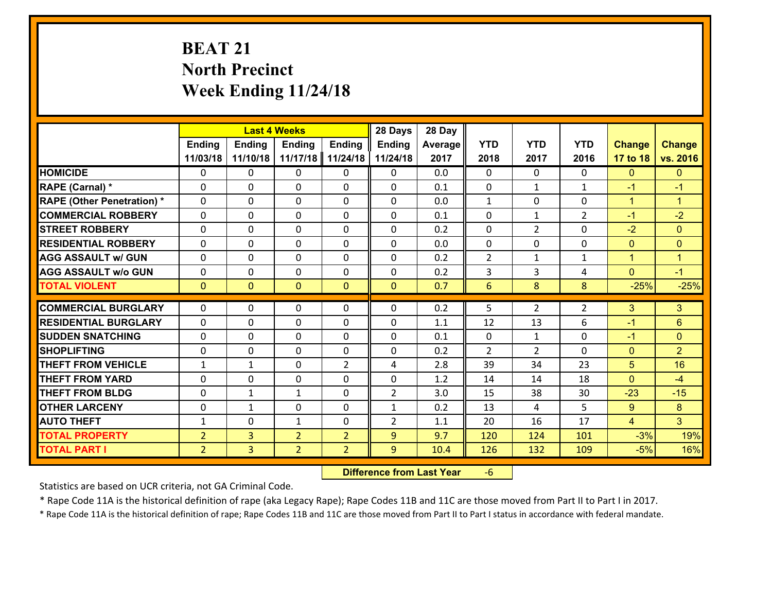# **BEAT 21 North Precinct Week Ending 11/24/18**

|                                   |                |                | <b>Last 4 Weeks</b> |                | 28 Days        | 28 Day  |                |                |                |                |                      |
|-----------------------------------|----------------|----------------|---------------------|----------------|----------------|---------|----------------|----------------|----------------|----------------|----------------------|
|                                   | <b>Ending</b>  | <b>Ending</b>  | <b>Ending</b>       | <b>Ending</b>  | <b>Ending</b>  | Average | <b>YTD</b>     | <b>YTD</b>     | <b>YTD</b>     | <b>Change</b>  | <b>Change</b>        |
|                                   | 11/03/18       | 11/10/18       | 11/17/18            | 11/24/18       | 11/24/18       | 2017    | 2018           | 2017           | 2016           | 17 to 18       | vs. 2016             |
| <b>HOMICIDE</b>                   | $\Omega$       | 0              | $\Omega$            | 0              | $\Omega$       | 0.0     | $\Omega$       | $\Omega$       | $\Omega$       | $\mathbf{0}$   | $\mathbf{0}$         |
| RAPE (Carnal) *                   | 0              | 0              | $\mathbf{0}$        | 0              | $\Omega$       | 0.1     | $\mathbf{0}$   | $\mathbf{1}$   | $\mathbf{1}$   | $-1$           | $-1$                 |
| <b>RAPE (Other Penetration) *</b> | $\Omega$       | 0              | $\mathbf{0}$        | $\Omega$       | $\Omega$       | 0.0     | $\mathbf{1}$   | $\Omega$       | $\Omega$       | $\mathbf{1}$   | $\blacktriangleleft$ |
| <b>COMMERCIAL ROBBERY</b>         | 0              | 0              | 0                   | 0              | 0              | 0.1     | $\mathbf{0}$   | $\mathbf{1}$   | $\overline{2}$ | $-1$           | $-2$                 |
| <b>STREET ROBBERY</b>             | $\Omega$       | 0              | $\mathbf 0$         | 0              | 0              | 0.2     | $\mathbf 0$    | $\overline{2}$ | 0              | $-2$           | $\mathbf{0}$         |
| <b>RESIDENTIAL ROBBERY</b>        | $\Omega$       | $\Omega$       | $\mathbf 0$         | $\Omega$       | 0              | 0.0     | $\mathbf 0$    | $\Omega$       | $\Omega$       | $\mathbf{0}$   | $\overline{0}$       |
| <b>AGG ASSAULT w/ GUN</b>         | $\Omega$       | 0              | $\mathbf 0$         | $\Omega$       | 0              | 0.2     | $\overline{2}$ | $\mathbf{1}$   | $\mathbf{1}$   | $\mathbf{1}$   | $\mathbf{1}$         |
| <b>AGG ASSAULT w/o GUN</b>        | 0              | 0              | $\mathbf 0$         | 0              | 0              | 0.2     | 3              | 3              | 4              | $\mathbf{0}$   | $-1$                 |
| <b>TOTAL VIOLENT</b>              | $\mathbf{0}$   | $\overline{0}$ | $\mathbf{O}$        | $\mathbf{0}$   | $\mathbf{0}$   | 0.7     | $6\phantom{1}$ | 8              | 8              | $-25%$         | $-25%$               |
| <b>COMMERCIAL BURGLARY</b>        | $\Omega$       | 0              | $\mathbf{0}$        | $\Omega$       | $\Omega$       | 0.2     | 5              | $\overline{2}$ | $\overline{2}$ | 3              | 3                    |
| <b>RESIDENTIAL BURGLARY</b>       | 0              | 0              | $\mathbf 0$         | 0              | 0              | 1.1     | 12             | 13             | 6              | $-1$           | 6                    |
| <b>SUDDEN SNATCHING</b>           | 0              | 0              | $\mathbf 0$         | 0              | 0              | 0.1     | $\mathbf 0$    | $\mathbf{1}$   | 0              | $-1$           | $\mathbf{0}$         |
| <b>SHOPLIFTING</b>                | 0              | 0              | $\mathbf 0$         | 0              | 0              | 0.2     | $\overline{2}$ | $\overline{2}$ | $\Omega$       | $\overline{0}$ | $\overline{2}$       |
| <b>THEFT FROM VEHICLE</b>         | $\mathbf{1}$   | $\mathbf{1}$   | $\mathbf 0$         | $\overline{2}$ | 4              | 2.8     | 39             | 34             | 23             | 5              | 16                   |
| <b>THEFT FROM YARD</b>            | 0              | 0              | $\mathbf 0$         | 0              | 0              | 1.2     | 14             | 14             | 18             | $\mathbf{0}$   | $-4$                 |
| <b>THEFT FROM BLDG</b>            | 0              | 1              | 1                   | 0              | $\overline{2}$ | 3.0     | 15             | 38             | 30             | $-23$          | $-15$                |
| <b>OTHER LARCENY</b>              | 0              | 1              | $\mathbf 0$         | 0              | $\mathbf{1}$   | 0.2     | 13             | 4              | 5              | 9              | 8                    |
| <b>AUTO THEFT</b>                 | $\mathbf{1}$   | 0              | $\mathbf{1}$        | 0              | $\overline{2}$ | 1.1     | 20             | 16             | 17             | $\overline{4}$ | 3 <sup>1</sup>       |
| <b>TOTAL PROPERTY</b>             | $\overline{2}$ | 3              | $\overline{2}$      | $\overline{2}$ | 9              | 9.7     | 120            | 124            | 101            | $-3%$          | 19%                  |
| <b>TOTAL PART I</b>               | $\overline{2}$ | $\overline{3}$ | $\overline{2}$      | $\overline{2}$ | 9              | 10.4    | 126            | 132            | 109            | $-5%$          | 16%                  |

 **Difference from Last Year**‐6

Statistics are based on UCR criteria, not GA Criminal Code.

\* Rape Code 11A is the historical definition of rape (aka Legacy Rape); Rape Codes 11B and 11C are those moved from Part II to Part I in 2017.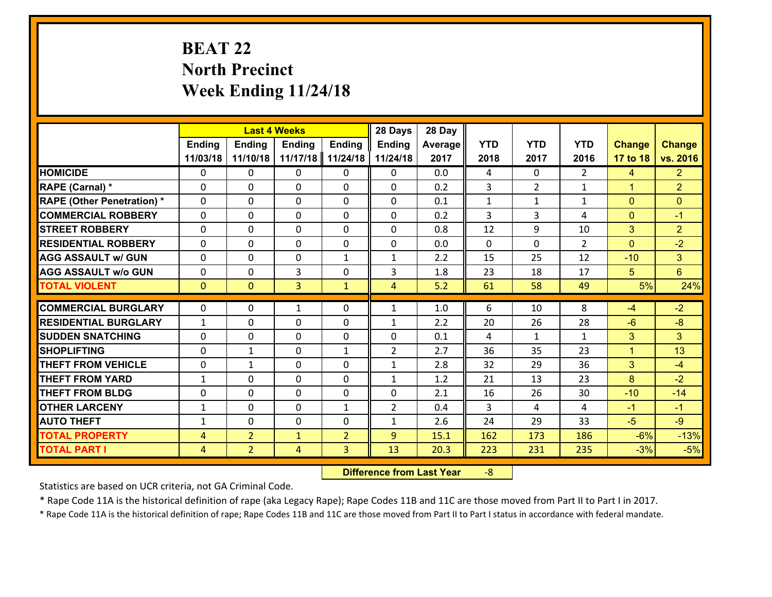# **BEAT 22 North Precinct Week Ending 11/24/18**

|                                   |                |                | <b>Last 4 Weeks</b> |                | 28 Days        | 28 Day  |              |                |               |                |                 |
|-----------------------------------|----------------|----------------|---------------------|----------------|----------------|---------|--------------|----------------|---------------|----------------|-----------------|
|                                   | <b>Ending</b>  | <b>Ending</b>  | <b>Ending</b>       | <b>Ending</b>  | <b>Ending</b>  | Average | <b>YTD</b>   | <b>YTD</b>     | <b>YTD</b>    | <b>Change</b>  | <b>Change</b>   |
|                                   | 11/03/18       | 11/10/18       | 11/17/18            | 11/24/18       | 11/24/18       | 2017    | 2018         | 2017           | 2016          | 17 to 18       | vs. 2016        |
| <b>HOMICIDE</b>                   | $\Omega$       | 0              | $\Omega$            | 0              | $\Omega$       | 0.0     | 4            | $\Omega$       | $\mathcal{L}$ | $\overline{4}$ | 2 <sup>1</sup>  |
| RAPE (Carnal) *                   | 0              | 0              | $\mathbf{0}$        | 0              | 0              | 0.2     | 3            | $\overline{2}$ | $\mathbf{1}$  | $\mathbf{1}$   | $\overline{2}$  |
| <b>RAPE (Other Penetration) *</b> | $\Omega$       | 0              | $\mathbf{0}$        | $\Omega$       | 0              | 0.1     | $\mathbf{1}$ | $\mathbf{1}$   | $\mathbf{1}$  | $\mathbf{0}$   | $\mathbf{0}$    |
| <b>COMMERCIAL ROBBERY</b>         | 0              | 0              | 0                   | 0              | 0              | 0.2     | 3            | 3              | 4             | $\mathbf 0$    | $-1$            |
| <b>STREET ROBBERY</b>             | $\Omega$       | 0              | $\mathbf 0$         | $\Omega$       | 0              | 0.8     | 12           | 9              | 10            | 3              | $\overline{2}$  |
| <b>RESIDENTIAL ROBBERY</b>        | $\Omega$       | $\Omega$       | $\mathbf 0$         | $\Omega$       | 0              | 0.0     | $\Omega$     | $\Omega$       | $\mathcal{L}$ | $\Omega$       | $-2$            |
| <b>AGG ASSAULT w/ GUN</b>         | $\Omega$       | 0              | $\mathbf 0$         | $\mathbf{1}$   | $\mathbf{1}$   | 2.2     | 15           | 25             | 12            | $-10$          | 3 <sup>1</sup>  |
| <b>AGG ASSAULT w/o GUN</b>        | 0              | 0              | 3                   | 0              | 3              | 1.8     | 23           | 18             | 17            | 5              | $6\overline{6}$ |
| <b>TOTAL VIOLENT</b>              | $\mathbf{0}$   | $\overline{0}$ | $\overline{3}$      | $\mathbf{1}$   | $\overline{4}$ | 5.2     | 61           | 58             | 49            | 5%             | 24%             |
| <b>COMMERCIAL BURGLARY</b>        | $\Omega$       | 0              | 1                   | $\Omega$       | $\mathbf{1}$   | 1.0     | 6            | 10             | 8             | $-4$           | $-2$            |
|                                   |                |                |                     |                |                |         |              |                |               |                |                 |
| <b>RESIDENTIAL BURGLARY</b>       | $\mathbf{1}$   | 0              | $\mathbf 0$         | 0              | $\mathbf{1}$   | 2.2     | 20           | 26             | 28            | $-6$           | $-8$            |
| <b>SUDDEN SNATCHING</b>           | 0              | 0              | $\mathbf 0$         | 0              | 0              | 0.1     | 4            | $\mathbf{1}$   | $\mathbf{1}$  | 3              | 3               |
| <b>SHOPLIFTING</b>                | 0              | 1              | $\mathbf 0$         | $\mathbf{1}$   | $\overline{2}$ | 2.7     | 36           | 35             | 23            | $\mathbf{1}$   | 13              |
| <b>THEFT FROM VEHICLE</b>         | 0              | $\mathbf{1}$   | $\mathbf 0$         | 0              | $\mathbf{1}$   | 2.8     | 32           | 29             | 36            | 3              | $-4$            |
| <b>THEFT FROM YARD</b>            | $\mathbf{1}$   | 0              | $\mathbf 0$         | 0              | $\mathbf{1}$   | 1.2     | 21           | 13             | 23            | 8              | $-2$            |
| <b>THEFT FROM BLDG</b>            | 0              | 0              | $\mathbf 0$         | 0              | 0              | 2.1     | 16           | 26             | 30            | $-10$          | $-14$           |
| <b>OTHER LARCENY</b>              | $\mathbf{1}$   | 0              | $\mathbf 0$         | $\mathbf{1}$   | $\overline{2}$ | 0.4     | 3            | 4              | 4             | $-1$           | $-1$            |
| <b>AUTO THEFT</b>                 | $\mathbf{1}$   | 0              | $\mathbf{0}$        | 0              | $\mathbf{1}$   | 2.6     | 24           | 29             | 33            | $-5$           | $-9$            |
| <b>TOTAL PROPERTY</b>             | $\overline{4}$ | $\overline{2}$ | $\mathbf{1}$        | $\overline{2}$ | 9              | 15.1    | 162          | 173            | 186           | $-6%$          | $-13%$          |
| <b>TOTAL PART I</b>               | $\overline{4}$ | $\overline{2}$ | 4                   | 3              | 13             | 20.3    | 223          | 231            | 235           | $-3%$          | $-5%$           |

 **Difference from Last Year**r -8

Statistics are based on UCR criteria, not GA Criminal Code.

\* Rape Code 11A is the historical definition of rape (aka Legacy Rape); Rape Codes 11B and 11C are those moved from Part II to Part I in 2017.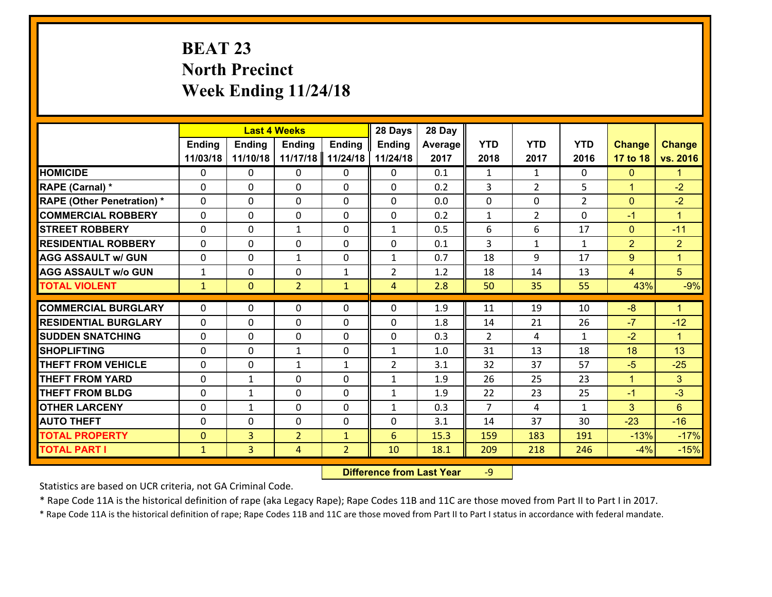# **BEAT 23 North Precinct Week Ending 11/24/18**

|                                              |                              | <b>Last 4 Weeks</b>              |                     |                                | 28 Days        | 28 Day       |                |                |                |                 |                      |
|----------------------------------------------|------------------------------|----------------------------------|---------------------|--------------------------------|----------------|--------------|----------------|----------------|----------------|-----------------|----------------------|
|                                              | Ending                       | <b>Ending</b>                    | <b>Ending</b>       | <b>Ending</b>                  | <b>Ending</b>  | Average      | <b>YTD</b>     | <b>YTD</b>     | <b>YTD</b>     | <b>Change</b>   | <b>Change</b>        |
|                                              | 11/03/18                     | 11/10/18                         | 11/17/18            | 11/24/18                       | 11/24/18       | 2017         | 2018           | 2017           | 2016           | 17 to 18        | vs. 2016             |
| <b>HOMICIDE</b>                              | $\mathbf{0}$                 | 0                                | $\mathbf{0}$        | 0                              | 0              | 0.1          | 1              | $\mathbf{1}$   | $\Omega$       | $\mathbf{0}$    | $\mathbf{1}$         |
| RAPE (Carnal) *                              | $\Omega$                     | 0                                | $\mathbf{0}$        | 0                              | $\Omega$       | 0.2          | 3              | $\overline{2}$ | 5              | $\mathbf{1}$    | $-2$                 |
| <b>RAPE (Other Penetration) *</b>            | $\Omega$                     | $\Omega$                         | $\Omega$            | $\Omega$                       | $\Omega$       | 0.0          | $\Omega$       | $\Omega$       | $\overline{2}$ | $\mathbf{0}$    | $-2$                 |
| <b>COMMERCIAL ROBBERY</b>                    | 0                            | 0                                | $\mathbf 0$         | 0                              | 0              | 0.2          | $\mathbf{1}$   | $\overline{2}$ | $\Omega$       | $-1$            | $\blacktriangleleft$ |
| <b>STREET ROBBERY</b>                        | $\Omega$                     | 0                                | 1                   | $\Omega$                       | $\mathbf{1}$   | 0.5          | 6              | 6              | 17             | $\mathbf{0}$    | $-11$                |
| <b>RESIDENTIAL ROBBERY</b>                   | $\Omega$                     | $\Omega$                         | $\mathbf 0$         | $\Omega$                       | 0              | 0.1          | $\overline{3}$ | $\mathbf{1}$   | $\mathbf{1}$   | $\overline{2}$  | $\overline{2}$       |
| <b>AGG ASSAULT w/ GUN</b>                    | $\Omega$                     | 0                                | $\mathbf{1}$        | $\Omega$                       | $\mathbf{1}$   | 0.7          | 18             | 9              | 17             | 9               | $\blacktriangleleft$ |
| <b>AGG ASSAULT w/o GUN</b>                   | $\mathbf{1}$                 | 0                                | $\mathbf 0$         | $\mathbf{1}$                   | $\overline{2}$ | 1.2          | 18             | 14             | 13             | $\overline{4}$  | 5 <sup>5</sup>       |
| <b>TOTAL VIOLENT</b>                         | $\mathbf{1}$                 | $\overline{0}$                   | $\overline{2}$      | $\mathbf{1}$                   | $\overline{4}$ | 2.8          | 50             | 35             | 55             | 43%             | $-9%$                |
| <b>COMMERCIAL BURGLARY</b>                   | $\Omega$                     | 0                                | 0                   | 0                              | $\Omega$       | 1.9          | 11             | 19             | 10             | $-8$            | $\blacksquare$       |
| <b>RESIDENTIAL BURGLARY</b>                  | $\Omega$                     | 0                                | $\mathbf{0}$        | 0                              | $\Omega$       | 1.8          | 14             | 21             | 26             | $-7$            | $-12$                |
| <b>SUDDEN SNATCHING</b>                      | $\Omega$                     | 0                                | $\mathbf{0}$        | $\Omega$                       | $\Omega$       | 0.3          | $\mathcal{L}$  | 4              | $\mathbf{1}$   | $-2$            | $\blacktriangleleft$ |
| <b>SHOPLIFTING</b>                           |                              |                                  |                     |                                |                |              |                |                |                |                 |                      |
|                                              |                              |                                  |                     |                                |                |              |                |                |                |                 |                      |
|                                              | 0                            | 0                                | $\mathbf{1}$        | 0                              | $\mathbf{1}$   | 1.0          | 31             | 13             | 18             | 18              | 13                   |
| <b>THEFT FROM VEHICLE</b>                    | $\Omega$                     | 0                                | $\mathbf{1}$        | $\mathbf{1}$                   | $\overline{2}$ | 3.1          | 32             | 37             | 57             | $-5$            | $-25$                |
| <b>THEFT FROM YARD</b>                       | 0                            | 1                                | $\mathbf 0$         | $\Omega$                       | $\mathbf{1}$   | 1.9          | 26             | 25             | 23             | $\mathbf{1}$    | 3                    |
| <b>THEFT FROM BLDG</b>                       | 0                            | 1                                | $\mathbf 0$         | 0                              | $\mathbf{1}$   | 1.9          | 22             | 23             | 25             | $-1$            | $-3$                 |
| <b>OTHER LARCENY</b>                         | 0                            | 1                                | $\mathbf 0$         | 0                              | $\mathbf{1}$   | 0.3          | $\overline{7}$ | $\overline{4}$ | $\mathbf{1}$   | 3               | $6\phantom{a}$       |
| <b>AUTO THEFT</b>                            | 0                            | 0                                | $\mathbf 0$         | 0                              | 0              | 3.1          | 14             | 37             | 30             | $-23$           | $-16$                |
| <b>TOTAL PROPERTY</b><br><b>TOTAL PART I</b> | $\mathbf{0}$<br>$\mathbf{1}$ | $\overline{3}$<br>$\overline{3}$ | $\overline{2}$<br>4 | $\mathbf{1}$<br>$\overline{2}$ | 6<br>10        | 15.3<br>18.1 | 159<br>209     | 183<br>218     | 191<br>246     | $-13%$<br>$-4%$ | $-17%$<br>$-15%$     |

 **Difference from Last Year**r -9

Statistics are based on UCR criteria, not GA Criminal Code.

\* Rape Code 11A is the historical definition of rape (aka Legacy Rape); Rape Codes 11B and 11C are those moved from Part II to Part I in 2017.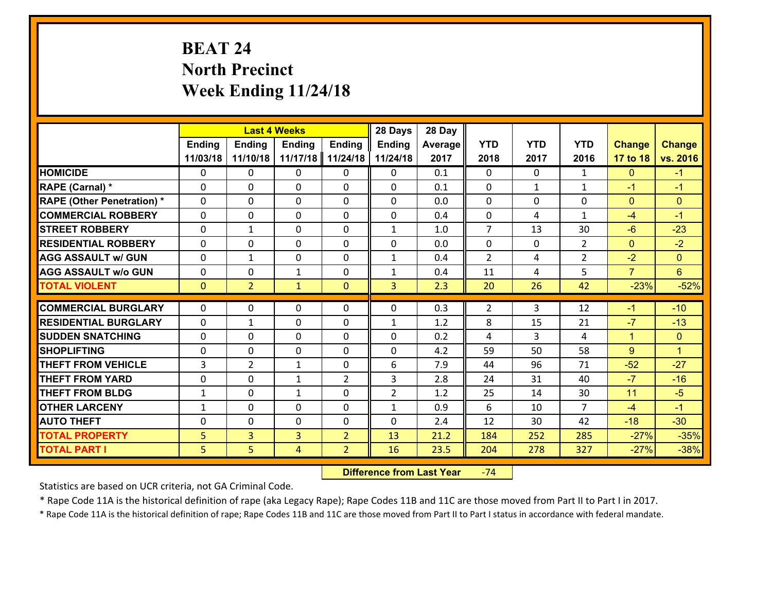# **BEAT 24 North Precinct Week Ending 11/24/18**

|                                   |                | <b>Last 4 Weeks</b> |                |                | 28 Days        | 28 Day  |                |              |                |                |                      |
|-----------------------------------|----------------|---------------------|----------------|----------------|----------------|---------|----------------|--------------|----------------|----------------|----------------------|
|                                   | <b>Ending</b>  | <b>Ending</b>       | <b>Ending</b>  | <b>Ending</b>  | <b>Ending</b>  | Average | <b>YTD</b>     | <b>YTD</b>   | <b>YTD</b>     | <b>Change</b>  | <b>Change</b>        |
|                                   | 11/03/18       | 11/10/18            | 11/17/18       | 11/24/18       | 11/24/18       | 2017    | 2018           | 2017         | 2016           | 17 to 18       | vs. 2016             |
| <b>HOMICIDE</b>                   | $\Omega$       | 0                   | $\Omega$       | 0              | $\Omega$       | 0.1     | $\Omega$       | $\Omega$     | $\mathbf{1}$   | $\mathbf{0}$   | $-1$                 |
| RAPE (Carnal) *                   | 0              | 0                   | $\mathbf{0}$   | 0              | $\Omega$       | 0.1     | $\mathbf{0}$   | $\mathbf{1}$ | $\mathbf{1}$   | $-1$           | $-1$                 |
| <b>RAPE (Other Penetration) *</b> | $\Omega$       | 0                   | $\mathbf{0}$   | $\Omega$       | $\Omega$       | 0.0     | $\Omega$       | $\Omega$     | $\Omega$       | $\mathbf{0}$   | $\mathbf{0}$         |
| <b>COMMERCIAL ROBBERY</b>         | 0              | 0                   | 0              | 0              | 0              | 0.4     | $\mathbf{0}$   | 4            | $\mathbf{1}$   | $-4$           | $-1$                 |
| <b>STREET ROBBERY</b>             | $\Omega$       | $\mathbf 1$         | $\mathbf 0$    | 0              | $\mathbf{1}$   | 1.0     | $\overline{7}$ | 13           | 30             | $-6$           | $-23$                |
| <b>RESIDENTIAL ROBBERY</b>        | $\Omega$       | 0                   | $\mathbf 0$    | $\Omega$       | 0              | 0.0     | $\mathbf 0$    | $\mathbf 0$  | $\overline{2}$ | $\mathbf{0}$   | $-2$                 |
| <b>AGG ASSAULT w/ GUN</b>         | $\Omega$       | 1                   | $\mathbf 0$    | 0              | $\mathbf{1}$   | 0.4     | $\overline{2}$ | 4            | $\overline{2}$ | $-2$           | $\overline{0}$       |
| <b>AGG ASSAULT w/o GUN</b>        | 0              | 0                   | 1              | 0              | $\mathbf{1}$   | 0.4     | 11             | 4            | 5              | $\overline{7}$ | $6\overline{6}$      |
| <b>TOTAL VIOLENT</b>              | $\mathbf{0}$   | $\overline{2}$      | $\mathbf{1}$   | $\mathbf{0}$   | 3              | 2.3     | 20             | 26           | 42             | $-23%$         | $-52%$               |
| <b>COMMERCIAL BURGLARY</b>        | $\Omega$       | 0                   | $\mathbf{0}$   | $\Omega$       | $\Omega$       | 0.3     | $\overline{2}$ | 3            | 12             | $-1$           | $-10$                |
| <b>RESIDENTIAL BURGLARY</b>       | 0              | 1                   | $\mathbf 0$    | 0              | $\mathbf{1}$   | 1.2     | 8              | 15           | 21             | $-7$           | $-13$                |
| <b>SUDDEN SNATCHING</b>           | 0              | 0                   | $\mathbf 0$    | 0              | 0              | 0.2     | 4              | 3            | 4              | $\mathbf{1}$   | $\mathbf{0}$         |
| <b>SHOPLIFTING</b>                | $\Omega$       | 0                   | $\mathbf 0$    | 0              | 0              | 4.2     | 59             | 50           | 58             | 9              | $\blacktriangleleft$ |
| <b>THEFT FROM VEHICLE</b>         | $\overline{3}$ | $\overline{2}$      | 1              | 0              | 6              | 7.9     | 44             | 96           | 71             | $-52$          | $-27$                |
| <b>THEFT FROM YARD</b>            | 0              | 0                   | 1              | $\overline{2}$ | 3              | 2.8     | 24             | 31           | 40             | $-7$           | $-16$                |
| <b>THEFT FROM BLDG</b>            | $\mathbf{1}$   | 0                   | 1              | 0              | $\overline{2}$ | 1.2     | 25             | 14           | 30             | 11             | $-5$                 |
| <b>OTHER LARCENY</b>              | $\mathbf{1}$   | 0                   | $\mathbf 0$    | 0              | $\mathbf{1}$   | 0.9     | 6              | 10           | $\overline{7}$ | $-4$           | $-1$                 |
| <b>AUTO THEFT</b>                 | 0              | 0                   | $\mathbf{0}$   | 0              | 0              | 2.4     | 12             | 30           | 42             | $-18$          | $-30$                |
| <b>TOTAL PROPERTY</b>             | 5 <sub>5</sub> | 3                   | $\overline{3}$ | $\overline{2}$ | 13             | 21.2    | 184            | 252          | 285            | $-27%$         | $-35%$               |
| <b>TOTAL PART I</b>               | 5              | 5                   | 4              | $\overline{2}$ | 16             | 23.5    | 204            | 278          | 327            | $-27%$         | $-38%$               |

 **Difference from Last Year**‐74

Statistics are based on UCR criteria, not GA Criminal Code.

\* Rape Code 11A is the historical definition of rape (aka Legacy Rape); Rape Codes 11B and 11C are those moved from Part II to Part I in 2017.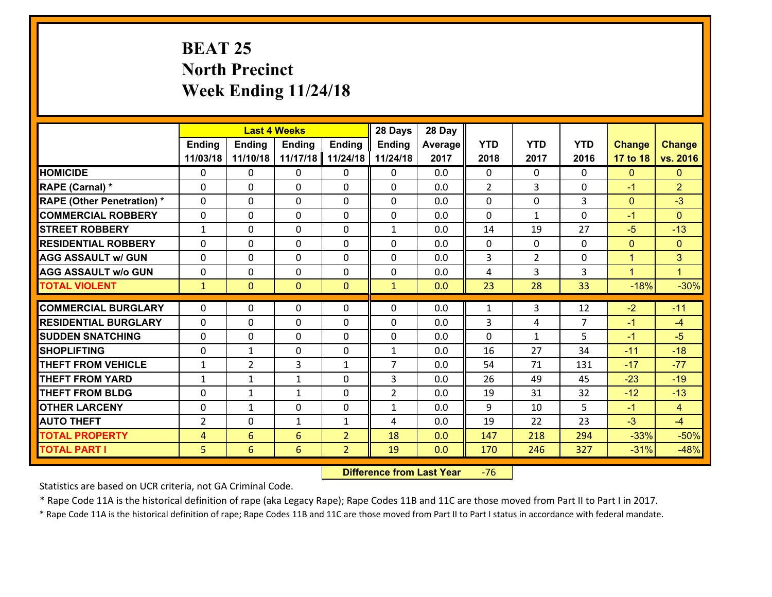# **BEAT 25 North Precinct Week Ending 11/24/18**

|                                   |                | <b>Last 4 Weeks</b> |               |                | 28 Days        | 28 Day  |              |                |                |               |                |
|-----------------------------------|----------------|---------------------|---------------|----------------|----------------|---------|--------------|----------------|----------------|---------------|----------------|
|                                   | <b>Ending</b>  | <b>Ending</b>       | <b>Ending</b> | <b>Ending</b>  | <b>Ending</b>  | Average | <b>YTD</b>   | <b>YTD</b>     | <b>YTD</b>     | <b>Change</b> | <b>Change</b>  |
|                                   | 11/03/18       | 11/10/18            | 11/17/18      | 11/24/18       | 11/24/18       | 2017    | 2018         | 2017           | 2016           | 17 to 18      | vs. 2016       |
| <b>HOMICIDE</b>                   | $\Omega$       | 0                   | $\Omega$      | 0              | $\Omega$       | 0.0     | $\Omega$     | $\Omega$       | 0              | $\mathbf{0}$  | $\mathbf{0}$   |
| <b>RAPE (Carnal)</b> *            | 0              | 0                   | $\mathbf{0}$  | 0              | 0              | 0.0     | 2            | 3              | 0              | $-1$          | $\overline{2}$ |
| <b>RAPE (Other Penetration) *</b> | $\Omega$       | 0                   | $\mathbf{0}$  | $\Omega$       | $\Omega$       | 0.0     | $\Omega$     | $\Omega$       | 3              | $\mathbf{0}$  | $-3$           |
| <b>COMMERCIAL ROBBERY</b>         | 0              | 0                   | 0             | 0              | 0              | 0.0     | $\mathbf{0}$ | $\mathbf{1}$   | $\Omega$       | $-1$          | $\mathbf{0}$   |
| <b>STREET ROBBERY</b>             | $\mathbf{1}$   | 0                   | $\mathbf 0$   | 0              | $\mathbf{1}$   | 0.0     | 14           | 19             | 27             | $-5$          | $-13$          |
| <b>RESIDENTIAL ROBBERY</b>        | $\Omega$       | $\Omega$            | $\mathbf 0$   | $\Omega$       | 0              | 0.0     | $\Omega$     | $\Omega$       | $\Omega$       | $\mathbf{0}$  | $\overline{0}$ |
| <b>AGG ASSAULT w/ GUN</b>         | $\Omega$       | 0                   | $\mathbf 0$   | $\Omega$       | $\Omega$       | 0.0     | 3            | $\overline{2}$ | 0              | $\mathbf{1}$  | 3              |
| <b>AGG ASSAULT w/o GUN</b>        | 0              | 0                   | $\mathbf 0$   | 0              | 0              | 0.0     | 4            | 3              | 3              | $\mathbf{1}$  | $\blacksquare$ |
| <b>TOTAL VIOLENT</b>              | $\mathbf{1}$   | $\overline{0}$      | $\mathbf{O}$  | $\mathbf{0}$   | $\mathbf{1}$   | 0.0     | 23           | 28             | 33             | $-18%$        | $-30%$         |
| <b>COMMERCIAL BURGLARY</b>        | $\Omega$       | 0                   | $\mathbf{0}$  | $\Omega$       | $\Omega$       | 0.0     | $\mathbf{1}$ | 3              | 12             | $-2$          | $-11$          |
| <b>RESIDENTIAL BURGLARY</b>       | 0              | 0                   | $\mathbf 0$   | 0              | 0              | 0.0     | 3            | 4              | $\overline{7}$ | $-1$          | $-4$           |
| <b>SUDDEN SNATCHING</b>           | 0              | 0                   | $\mathbf 0$   | 0              | 0              | 0.0     | $\mathbf 0$  | $\mathbf{1}$   | 5              | $-1$          | $-5$           |
| <b>SHOPLIFTING</b>                | 0              | 1                   | $\mathbf 0$   | 0              | $\mathbf{1}$   | 0.0     | 16           | 27             | 34             | $-11$         | $-18$          |
| <b>THEFT FROM VEHICLE</b>         | $\mathbf{1}$   | $\overline{2}$      | 3             | $\mathbf{1}$   | $\overline{7}$ | 0.0     | 54           | 71             | 131            | $-17$         | $-77$          |
| <b>THEFT FROM YARD</b>            | $\mathbf{1}$   | $\mathbf 1$         | 1             | 0              | 3              | 0.0     | 26           | 49             | 45             | $-23$         | $-19$          |
| <b>THEFT FROM BLDG</b>            | 0              | 1                   | 1             | 0              | $\overline{2}$ | 0.0     | 19           | 31             | 32             | $-12$         | $-13$          |
| <b>OTHER LARCENY</b>              | 0              | 1                   | $\mathbf 0$   | 0              | $\mathbf{1}$   | 0.0     | 9            | 10             | 5              | $-1$          | $\overline{4}$ |
| <b>AUTO THEFT</b>                 | 2              | 0                   | $\mathbf{1}$  | $\mathbf{1}$   | 4              | 0.0     | 19           | 22             | 23             | $-3$          | $-4$           |
| <b>TOTAL PROPERTY</b>             | $\overline{4}$ | 6                   | 6             | $\overline{2}$ | 18             | 0.0     | 147          | 218            | 294            | $-33%$        | $-50%$         |
| <b>TOTAL PART I</b>               | 5              | $6\phantom{1}$      | 6             | $\overline{2}$ | 19             | 0.0     | 170          | 246            | 327            | $-31%$        | $-48%$         |
|                                   |                |                     |               |                |                |         |              |                |                |               |                |

 **Difference from Last Year**r -76

Statistics are based on UCR criteria, not GA Criminal Code.

\* Rape Code 11A is the historical definition of rape (aka Legacy Rape); Rape Codes 11B and 11C are those moved from Part II to Part I in 2017.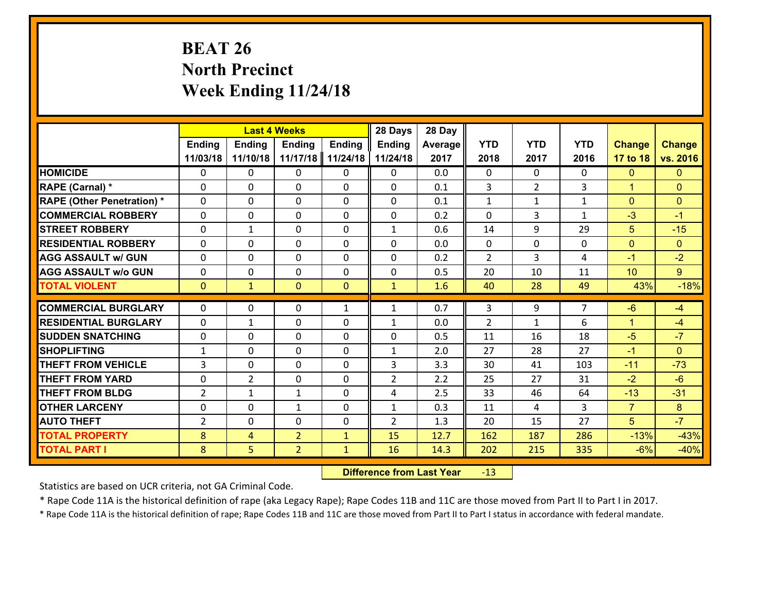# **BEAT 26 North Precinct Week Ending 11/24/18**

|                                   |                |                | <b>Last 4 Weeks</b> |               | 28 Days        | 28 Day  |                |                |                |                      |                |
|-----------------------------------|----------------|----------------|---------------------|---------------|----------------|---------|----------------|----------------|----------------|----------------------|----------------|
|                                   | Ending         | <b>Ending</b>  | <b>Ending</b>       | <b>Ending</b> | <b>Ending</b>  | Average | <b>YTD</b>     | <b>YTD</b>     | <b>YTD</b>     | <b>Change</b>        | <b>Change</b>  |
|                                   | 11/03/18       | 11/10/18       | 11/17/18            | 11/24/18      | 11/24/18       | 2017    | 2018           | 2017           | 2016           | 17 to 18             | vs. 2016       |
| <b>HOMICIDE</b>                   | $\Omega$       | 0              | 0                   | $\Omega$      | 0              | 0.0     | 0              | $\Omega$       | 0              | $\mathbf{0}$         | $\mathbf{0}$   |
| RAPE (Carnal) *                   | $\mathbf{0}$   | $\mathbf{0}$   | $\mathbf{0}$        | 0             | $\Omega$       | 0.1     | 3              | $\overline{2}$ | 3              | $\mathbf{1}$         | $\mathbf{0}$   |
| <b>RAPE (Other Penetration) *</b> | $\mathbf{0}$   | 0              | $\mathbf{0}$        | $\Omega$      | $\Omega$       | 0.1     | $\mathbf{1}$   | $\mathbf{1}$   | $\mathbf{1}$   | $\mathbf{0}$         | $\mathbf{0}$   |
| <b>COMMERCIAL ROBBERY</b>         | $\mathbf{0}$   | 0              | 0                   | $\Omega$      | $\Omega$       | 0.2     | $\Omega$       | 3              | $\mathbf{1}$   | $-3$                 | $-1$           |
| <b>STREET ROBBERY</b>             | $\mathbf{0}$   | 1              | $\mathbf{0}$        | 0             | $\mathbf{1}$   | 0.6     | 14             | 9              | 29             | 5                    | $-15$          |
| <b>RESIDENTIAL ROBBERY</b>        | $\Omega$       | 0              | $\mathbf 0$         | $\Omega$      | 0              | 0.0     | $\mathbf{0}$   | 0              | 0              | $\mathbf{0}$         | $\Omega$       |
| <b>AGG ASSAULT w/ GUN</b>         | 0              | 0              | $\mathbf 0$         | 0             | 0              | 0.2     | $\overline{2}$ | 3              | 4              | $-1$                 | $-2$           |
| <b>AGG ASSAULT W/o GUN</b>        | 0              | 0              | $\mathbf 0$         | $\mathbf{0}$  | 0              | 0.5     | 20             | 10             | 11             | 10                   | 9 <sup>°</sup> |
| <b>TOTAL VIOLENT</b>              | $\mathbf{0}$   | $\mathbf{1}$   | $\mathbf{0}$        | $\mathbf{0}$  | $\mathbf{1}$   | 1.6     | 40             | 28             | 49             | 43%                  | $-18%$         |
| <b>COMMERCIAL BURGLARY</b>        | $\mathbf{0}$   | 0              | 0                   | $\mathbf{1}$  | 1              | 0.7     | 3              | 9              | $\overline{7}$ | $-6$                 | $-4$           |
| <b>RESIDENTIAL BURGLARY</b>       | $\Omega$       | 1              | $\mathbf{0}$        | 0             | 1              | 0.0     | $\overline{2}$ | $\mathbf{1}$   | 6              | $\blacktriangleleft$ | $-4$           |
| <b>SUDDEN SNATCHING</b>           | $\mathbf{0}$   | 0              | 0                   | $\Omega$      | $\Omega$       | 0.5     | 11             | 16             | 18             | $-5$                 | $-7$           |
| <b>SHOPLIFTING</b>                | $\mathbf{1}$   | 0              | $\mathbf 0$         | $\Omega$      | $\mathbf{1}$   | 2.0     | 27             | 28             | 27             | $-1$                 | $\Omega$       |
| <b>THEFT FROM VEHICLE</b>         | 3              | 0              | $\mathbf 0$         | $\Omega$      | 3              | 3.3     | 30             | 41             | 103            | $-11$                | $-73$          |
| <b>THEFT FROM YARD</b>            | 0              | $\overline{2}$ | $\mathbf 0$         | 0             | $\overline{2}$ | 2.2     | 25             | 27             | 31             | $-2$                 | $-6$           |
| <b>THEFT FROM BLDG</b>            | $\overline{2}$ | $\mathbf{1}$   | 1                   | 0             | 4              | 2.5     | 33             | 46             | 64             | $-13$                | $-31$          |
| <b>OTHER LARCENY</b>              | 0              | 0              | 1                   | 0             | $\mathbf{1}$   | 0.3     | 11             | 4              | 3              | $\overline{7}$       | 8              |
| <b>AUTO THEFT</b>                 | $\overline{2}$ | 0              | 0                   | 0             | $\overline{2}$ | 1.3     | 20             | 15             | 27             | 5 <sup>5</sup>       | $-7$           |
| <b>TOTAL PROPERTY</b>             | 8              | 4              | $\overline{2}$      | $\mathbf{1}$  | 15             | 12.7    | 162            | 187            | 286            | $-13%$               | $-43%$         |
| <b>TOTAL PART I</b>               | 8              | 5              | $\overline{2}$      | $\mathbf{1}$  | 16             | 14.3    | 202            | 215            | 335            | $-6%$                | $-40%$         |

 **Difference from Last Year**r -13

Statistics are based on UCR criteria, not GA Criminal Code.

\* Rape Code 11A is the historical definition of rape (aka Legacy Rape); Rape Codes 11B and 11C are those moved from Part II to Part I in 2017.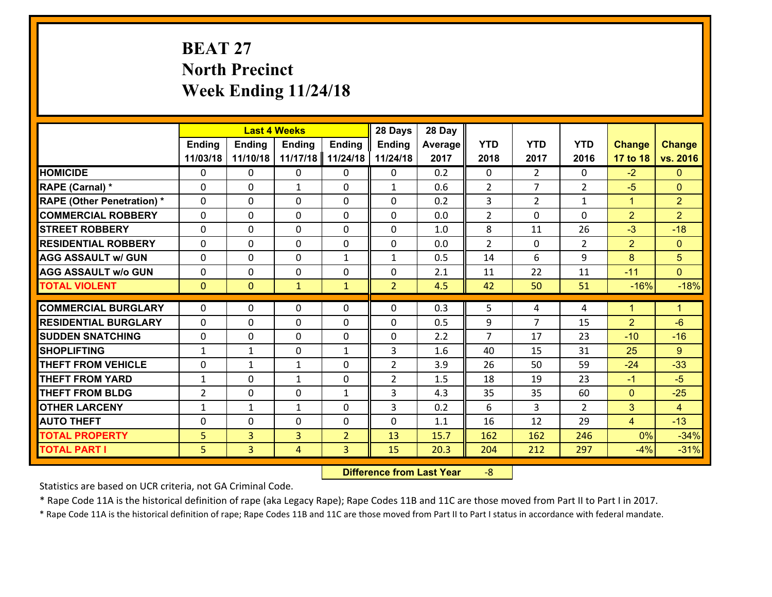# **BEAT 27 North Precinct Week Ending 11/24/18**

|                                   |                |                | <b>Last 4 Weeks</b> |                | 28 Days        | 28 Day  |                |                |                |                |                      |
|-----------------------------------|----------------|----------------|---------------------|----------------|----------------|---------|----------------|----------------|----------------|----------------|----------------------|
|                                   | <b>Ending</b>  | <b>Ending</b>  | <b>Ending</b>       | <b>Ending</b>  | <b>Ending</b>  | Average | <b>YTD</b>     | <b>YTD</b>     | <b>YTD</b>     | <b>Change</b>  | <b>Change</b>        |
|                                   | 11/03/18       | 11/10/18       | 11/17/18            | 11/24/18       | 11/24/18       | 2017    | 2018           | 2017           | 2016           | 17 to 18       | vs. 2016             |
| <b>HOMICIDE</b>                   | $\Omega$       | 0              | 0                   | 0              | 0              | 0.2     | $\Omega$       | $\overline{2}$ | 0              | $-2$           | $\mathbf{0}$         |
| RAPE (Carnal) *                   | 0              | 0              | $\mathbf{1}$        | 0              | $\mathbf{1}$   | 0.6     | 2              | $\overline{7}$ | $\overline{2}$ | $-5$           | $\mathbf{0}$         |
| <b>RAPE (Other Penetration) *</b> | $\Omega$       | 0              | $\mathbf{0}$        | $\Omega$       | $\Omega$       | 0.2     | 3              | $\overline{2}$ | $\mathbf{1}$   | $\mathbf{1}$   | $\overline{2}$       |
| <b>COMMERCIAL ROBBERY</b>         | 0              | 0              | 0                   | 0              | 0              | 0.0     | $\overline{2}$ | $\Omega$       | $\Omega$       | $\overline{2}$ | $\overline{2}$       |
| <b>STREET ROBBERY</b>             | $\Omega$       | 0              | $\mathbf 0$         | $\Omega$       | 0              | 1.0     | 8              | 11             | 26             | $-3$           | $-18$                |
| <b>RESIDENTIAL ROBBERY</b>        | $\Omega$       | $\Omega$       | $\mathbf 0$         | $\Omega$       | 0              | 0.0     | $\overline{2}$ | $\Omega$       | $\overline{2}$ | 2              | $\overline{0}$       |
| <b>AGG ASSAULT w/ GUN</b>         | $\Omega$       | 0              | $\mathbf 0$         | $\mathbf{1}$   | $\mathbf{1}$   | 0.5     | 14             | 6              | 9              | $\overline{8}$ | 5                    |
| <b>AGG ASSAULT w/o GUN</b>        | 0              | 0              | $\mathbf 0$         | 0              | 0              | 2.1     | 11             | 22             | 11             | $-11$          | $\overline{0}$       |
| <b>TOTAL VIOLENT</b>              | $\mathbf{0}$   | $\overline{0}$ | $\mathbf{1}$        | $\mathbf{1}$   | $\overline{2}$ | 4.5     | 42             | 50             | 51             | $-16%$         | $-18%$               |
| <b>COMMERCIAL BURGLARY</b>        | $\Omega$       | 0              | $\mathbf{0}$        | $\Omega$       | $\Omega$       | 0.3     | 5              | 4              | 4              | $\mathbf{1}$   | $\blacktriangleleft$ |
|                                   |                |                |                     |                |                |         |                | 7              |                |                | $-6$                 |
| <b>RESIDENTIAL BURGLARY</b>       | 0              | 0              | $\mathbf 0$         | 0              | 0              | 0.5     | 9              |                | 15             | $\overline{2}$ |                      |
| <b>SUDDEN SNATCHING</b>           | 0              | 0              | $\mathbf 0$         | 0              | 0              | 2.2     | $\overline{7}$ | 17             | 23             | $-10$          | $-16$                |
| <b>SHOPLIFTING</b>                | $\mathbf{1}$   | 1              | $\mathbf 0$         | $\mathbf{1}$   | 3              | 1.6     | 40             | 15             | 31             | 25             | $9^{\circ}$          |
| <b>THEFT FROM VEHICLE</b>         | 0              | $\mathbf{1}$   | 1                   | 0              | $\overline{2}$ | 3.9     | 26             | 50             | 59             | $-24$          | $-33$                |
| <b>THEFT FROM YARD</b>            | $\mathbf{1}$   | 0              | 1                   | 0              | $\overline{2}$ | 1.5     | 18             | 19             | 23             | $-1$           | $-5$                 |
| <b>THEFT FROM BLDG</b>            | $\overline{2}$ | 0              | $\mathbf 0$         | $\mathbf{1}$   | 3              | 4.3     | 35             | 35             | 60             | $\mathbf{0}$   | $-25$                |
| <b>OTHER LARCENY</b>              | $\mathbf{1}$   | 1              | $\mathbf{1}$        | 0              | 3              | 0.2     | 6              | 3              | $\overline{2}$ | 3              | $\overline{4}$       |
| <b>AUTO THEFT</b>                 | 0              | 0              | $\mathbf{0}$        | 0              | 0              | 1.1     | 16             | 12             | 29             | $\overline{4}$ | $-13$                |
| <b>TOTAL PROPERTY</b>             | 5 <sub>5</sub> | 3              | $\overline{3}$      | $\overline{2}$ | 13             | 15.7    | 162            | 162            | 246            | 0%             | $-34%$               |
| <b>TOTAL PART I</b>               | 5              | $\overline{3}$ | 4                   | 3              | 15             | 20.3    | 204            | 212            | 297            | $-4%$          | $-31%$               |

 **Difference from Last Year**r -8

Statistics are based on UCR criteria, not GA Criminal Code.

\* Rape Code 11A is the historical definition of rape (aka Legacy Rape); Rape Codes 11B and 11C are those moved from Part II to Part I in 2017.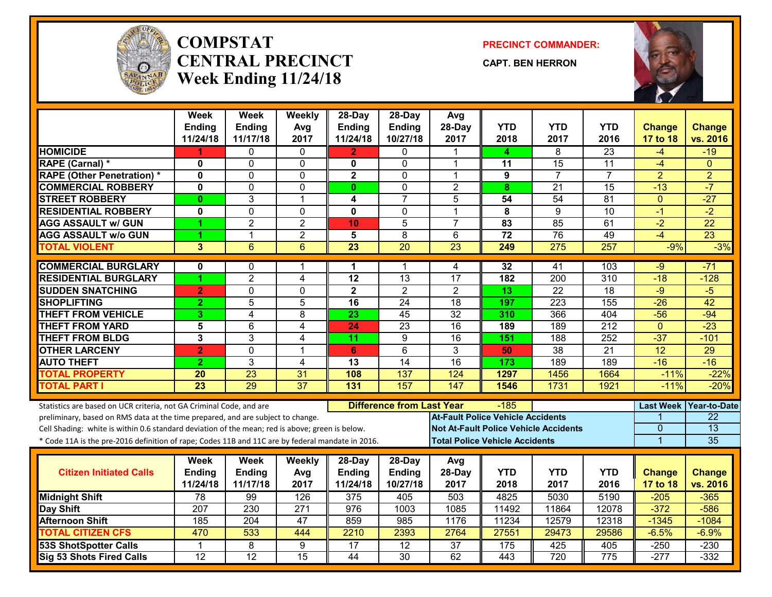

#### **COMPSTATCENTRAL PRECINCTWeek Ending 11/24/18**

**PRECINCT COMMANDER:**

**CAPT. BEN HERRON**



|                                                                                                  | <b>Week</b>     | <b>Week</b>     | Weekly          | 28-Day                  | 28-Day                           | Avg                                      |                 |                                              |                  |                  |                       |
|--------------------------------------------------------------------------------------------------|-----------------|-----------------|-----------------|-------------------------|----------------------------------|------------------------------------------|-----------------|----------------------------------------------|------------------|------------------|-----------------------|
|                                                                                                  | <b>Ending</b>   | Ending          | Avg             | <b>Ending</b>           | <b>Ending</b>                    | 28-Day                                   | <b>YTD</b>      | <b>YTD</b>                                   | <b>YTD</b>       | <b>Change</b>    | <b>Change</b>         |
|                                                                                                  | 11/24/18        | 11/17/18        | 2017            | 11/24/18                | 10/27/18                         | 2017                                     | 2018            | 2017                                         | 2016             | 17 to 18         | vs. 2016              |
| <b>HOMICIDE</b>                                                                                  |                 | 0               | 0               | 2                       | 0                                |                                          | 4               | 8                                            | $\overline{23}$  | -4               | $-19$                 |
| RAPE (Carnal) *                                                                                  | $\mathbf 0$     | 0               | $\mathbf 0$     | $\mathbf{0}$            | $\mathbf 0$                      | 1                                        | 11              | 15                                           | 11               | $-4$             | $\Omega$              |
| <b>RAPE (Other Penetration) *</b>                                                                | 0               | $\Omega$        | 0               | $\mathbf 2$             | $\mathbf 0$                      | 1                                        | 9               | $\overline{7}$                               | $\overline{7}$   | $\overline{a}$   | $\overline{2}$        |
| <b>COMMERCIAL ROBBERY</b>                                                                        | $\mathbf{0}$    | $\Omega$        | $\Omega$        | $\mathbf{0}$            | $\mathbf 0$                      | $\overline{2}$                           | 8               | $\overline{21}$                              | $\overline{15}$  | $-13$            | $-7$                  |
| <b>STREET ROBBERY</b>                                                                            | $\mathbf{0}$    | 3               | 1               | 4                       | $\overline{7}$                   | 5                                        | 54              | 54                                           | 81               | $\mathbf{0}$     | $-27$                 |
| <b>RESIDENTIAL ROBBERY</b>                                                                       | $\mathbf 0$     | $\overline{0}$  | $\mathbf 0$     | $\mathbf 0$             | $\mathbf 0$                      | 1                                        | 8               | 9                                            | $\overline{10}$  | $-1$             | $-2$                  |
| <b>AGG ASSAULT w/ GUN</b>                                                                        | 4               | $\overline{2}$  | $\overline{c}$  | 10                      | 5                                | $\overline{7}$                           | 83              | 85                                           | 61               | $-2$             | 22                    |
| <b>AGG ASSAULT w/o GUN</b>                                                                       | 1               | $\mathbf{1}$    | $\overline{2}$  | $\overline{\mathbf{5}}$ | $\overline{8}$                   | 6                                        | $\overline{72}$ | 76                                           | 49               | $-4$             | 23                    |
| <b>TOTAL VIOLENT</b>                                                                             | 3               | 6               | 6               | 23                      | 20                               | 23                                       | 249             | 275                                          | 257              | $-9%$            | $-3%$                 |
| <b>COMMERCIAL BURGLARY</b>                                                                       | $\mathbf 0$     | $\Omega$        | 1               | 1                       | 1                                | 4                                        | 32              | 41                                           | 103              | $-9$             | $-71$                 |
| <b>RESIDENTIAL BURGLARY</b>                                                                      | 1               | $\overline{2}$  | 4               | $\overline{12}$         | 13                               | $\overline{17}$                          | 182             | 200                                          | $\overline{310}$ | $-18$            | $-128$                |
| <b>SUDDEN SNATCHING</b>                                                                          | $\overline{2}$  | $\overline{0}$  | 0               | $\overline{2}$          | $\overline{2}$                   | $\overline{2}$                           | $\overline{13}$ | $\overline{22}$                              | $\overline{18}$  | $-9$             | $-5$                  |
| <b>SHOPLIFTING</b>                                                                               | $\overline{2}$  | 5               | 5               | 16                      | 24                               | 18                                       | 197             | 223                                          | 155              | $-26$            | 42                    |
| <b>THEFT FROM VEHICLE</b>                                                                        | 3 <sup>5</sup>  | $\overline{4}$  | 8               | $\overline{23}$         | $\overline{45}$                  | $\overline{32}$                          | 310             | 366                                          | 404              | $-56$            | $-94$                 |
| <b>THEFT FROM YARD</b>                                                                           | 5               | 6               | 4               | 24                      | $\overline{23}$                  | 16                                       | 189             | 189                                          | $\overline{212}$ | $\mathbf{0}$     | $-23$                 |
| <b>THEFT FROM BLDG</b>                                                                           | 3               | 3               | 4               | 11                      | 9                                | 16                                       | 151             | 188                                          | 252              | $-37$            | $-101$                |
| <b>OTHER LARCENY</b>                                                                             | $\overline{2}$  | 0               | 1               | 6                       | 6                                | 3                                        | 50              | 38                                           | $\overline{21}$  | $\overline{12}$  | 29                    |
| <b>AUTO THEFT</b>                                                                                | $\overline{2}$  | 3               | 4               | 13                      | $\overline{14}$                  | $\overline{16}$                          | 173             | 189                                          | 189              | $-16$            | $-16$                 |
| <b>TOTAL PROPERTY</b>                                                                            | 20              | 23              | 31              | 108                     | 137                              | 124                                      | 1297            | 1456                                         | 1664             | $-11%$           | $-22%$                |
| <b>TOTAL PART I</b>                                                                              | $\overline{23}$ | 29              | $\overline{37}$ | $\overline{131}$        | 157                              | 147                                      | 1546            | 1731                                         | 1921             | $-11%$           | $-20%$                |
|                                                                                                  |                 |                 |                 |                         |                                  |                                          |                 |                                              |                  |                  |                       |
| Statistics are based on UCR criteria, not GA Criminal Code, and are                              |                 |                 |                 |                         | <b>Difference from Last Year</b> |                                          | -185            |                                              |                  | <b>Last Week</b> | <b>Year-to-Date</b>   |
| preliminary, based on RMS data at the time prepared, and are subject to change.                  |                 |                 |                 |                         |                                  | <b>At-Fault Police Vehicle Accidents</b> |                 |                                              |                  |                  | 22<br>$\overline{13}$ |
| Cell Shading: white is within 0.6 standard deviation of the mean; red is above; green is below.  |                 |                 |                 |                         |                                  |                                          |                 | <b>Not At-Fault Police Vehicle Accidents</b> |                  | $\Omega$         |                       |
| * Code 11A is the pre-2016 definition of rape; Codes 11B and 11C are by federal mandate in 2016. |                 |                 |                 |                         |                                  | <b>Total Police Vehicle Accidents</b>    |                 |                                              |                  | $\overline{1}$   | 35                    |
|                                                                                                  | <b>Week</b>     | Week            | <b>Weekly</b>   | 28-Day                  | 28-Day                           | Avg                                      |                 |                                              |                  |                  |                       |
| <b>Citizen Initiated Calls</b>                                                                   | Ending          | Ending          | Avg             | <b>Ending</b>           | <b>Ending</b>                    | 28-Day                                   | <b>YTD</b>      | <b>YTD</b>                                   | <b>YTD</b>       | <b>Change</b>    | <b>Change</b>         |
|                                                                                                  | 11/24/18        | 11/17/18        | 2017            | 11/24/18                | 10/27/18                         | 2017                                     | 2018            | 2017                                         | 2016             | 17 to 18         | vs. 2016              |
| <b>Midnight Shift</b>                                                                            | 78              | 99              | 126             | 375                     | 405                              | 503                                      | 4825            | 5030                                         | 5190             | $-205$           | $-365$                |
| Day Shift                                                                                        | 207             | 230             | 271             | 976                     | 1003                             | 1085                                     | 11492           | 11864                                        | 12078            | $-372$           | $-586$                |
| <b>Afternoon Shift</b>                                                                           | 185             | 204             | 47              | 859                     | $\overline{985}$                 | 1176                                     | 11234           | 12579                                        | 12318            | $-1345$          | $-1084$               |
| <b>TOTAL CITIZEN CFS</b>                                                                         | 470             | 533             | 444             | 2210                    | 2393                             | 2764                                     | 27551           | 29473                                        | 29586            | $-6.5%$          | $-6.9%$               |
| <b>53S ShotSpotter Calls</b>                                                                     | 1               | 8               | 9               | 17                      | $\overline{12}$                  | 37                                       | 175             | 425                                          | 405              | $-250$           | $-230$                |
| Sig 53 Shots Fired Calls                                                                         | 12              | $\overline{12}$ | $\overline{15}$ | 44                      | $\overline{30}$                  | 62                                       | 443             | 720                                          | 775              | $-277$           | $-332$                |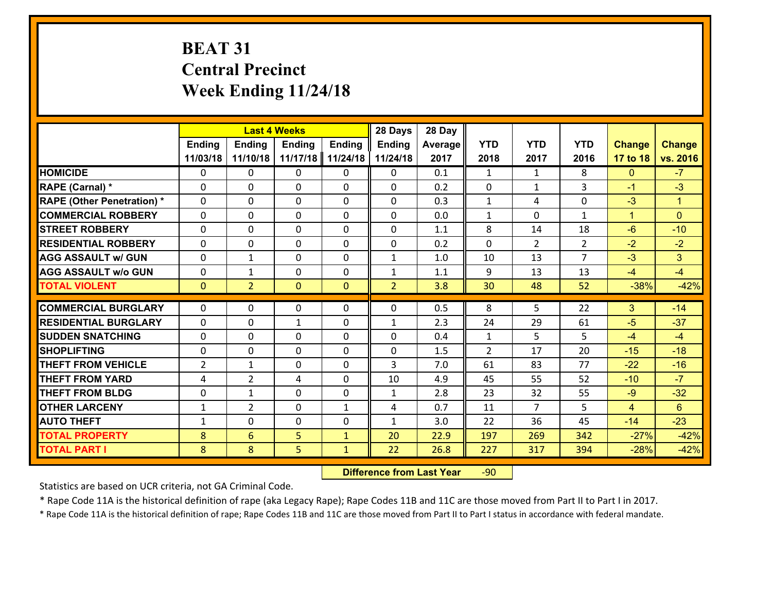# **BEAT 31 Central Precinct Week Ending 11/24/18**

|                                                  |                |                | <b>Last 4 Weeks</b> |                | 28 Days        | 28 Day         |                |                |                |                |                      |
|--------------------------------------------------|----------------|----------------|---------------------|----------------|----------------|----------------|----------------|----------------|----------------|----------------|----------------------|
|                                                  | Ending         | <b>Ending</b>  | Ending              | Ending         | <b>Ending</b>  | <b>Average</b> | <b>YTD</b>     | <b>YTD</b>     | <b>YTD</b>     | <b>Change</b>  | <b>Change</b>        |
|                                                  | 11/03/18       | 11/10/18       | 11/17/18            | 11/24/18       | 11/24/18       | 2017           | 2018           | 2017           | 2016           | 17 to 18       | vs. 2016             |
| <b>HOMICIDE</b>                                  | 0              | 0              | 0                   | 0              | 0              | 0.1            | 1              | $\mathbf{1}$   | 8              | $\mathbf{0}$   | $-7$                 |
| RAPE (Carnal) *                                  | 0              | $\Omega$       | $\mathbf 0$         | $\Omega$       | $\Omega$       | 0.2            | $\mathbf 0$    | $\mathbf{1}$   | 3              | $-1$           | $-3$                 |
| <b>RAPE (Other Penetration) *</b>                | 0              | $\Omega$       | $\mathbf 0$         | $\Omega$       | $\Omega$       | 0.3            | $\mathbf{1}$   | 4              | $\Omega$       | $-3$           | $\blacktriangleleft$ |
| <b>COMMERCIAL ROBBERY</b>                        | 0              | $\Omega$       | $\mathbf 0$         | $\Omega$       | $\Omega$       | 0.0            | $\mathbf{1}$   | $\Omega$       | $\mathbf{1}$   | $\mathbf{1}$   | $\Omega$             |
| <b>ISTREET ROBBERY</b>                           | 0              | 0              | $\mathbf 0$         | 0              | 0              | 1.1            | 8              | 14             | 18             | $-6$           | $-10$                |
| <b>RESIDENTIAL ROBBERY</b>                       | 0              | 0              | $\mathbf 0$         | $\Omega$       | 0              | 0.2            | $\mathbf 0$    | $\overline{2}$ | $\overline{2}$ | $-2$           | $-2$                 |
| <b>AGG ASSAULT w/ GUN</b>                        | 0              | $\mathbf{1}$   | $\mathbf 0$         | $\Omega$       | $\mathbf{1}$   | 1.0            | 10             | 13             | $\overline{7}$ | $-3$           | 3                    |
| <b>AGG ASSAULT w/o GUN</b>                       | 0              | $\mathbf{1}$   | $\mathbf 0$         | $\Omega$       | $\mathbf{1}$   | 1.1            | 9              | 13             | 13             | $-4$           | $-4$                 |
| <b>TOTAL VIOLENT</b>                             | $\mathbf 0$    | $\overline{2}$ | $\mathbf{0}$        | $\overline{0}$ | $\overline{2}$ | 3.8            | 30             | 48             | 52             | $-38%$         | $-42%$               |
| <b>COMMERCIAL BURGLARY</b>                       | 0              | 0              | 0                   | 0              | 0              | 0.5            | 8              | 5              | 22             | 3              | $-14$                |
|                                                  |                |                |                     |                |                |                |                |                |                |                |                      |
| <b>RESIDENTIAL BURGLARY</b>                      | $\Omega$       | 0              | $\mathbf{1}$        | 0              | $\mathbf{1}$   | 2.3            | 24             | 29             | 61             | $-5$           | $-37$                |
| <b>SUDDEN SNATCHING</b>                          | $\Omega$       | 0              | $\mathbf{0}$        | $\Omega$       | $\mathbf{0}$   | 0.4<br>1.5     | $\mathbf{1}$   | 5<br>17        | 5<br>20        | $-4$<br>$-15$  | $-4$<br>$-18$        |
| <b>SHOPLIFTING</b><br><b>THEFT FROM VEHICLE</b>  | 0              | 0              | 0                   | 0              | 0              | 7.0            | $\overline{2}$ |                | 77             |                |                      |
|                                                  | $\overline{2}$ | $\mathbf{1}$   | 0                   | $\Omega$       | 3              |                | 61             | 83             | 52             | $-22$          | $-16$<br>$-7$        |
| <b>THEFT FROM YARD</b><br><b>THEFT FROM BLDG</b> | 4              | $\overline{2}$ | 4                   | $\Omega$       | 10             | 4.9            | 45             | 55             |                | $-10$          |                      |
|                                                  | 0              | $\mathbf{1}$   | $\mathbf{0}$        | $\Omega$       | $\mathbf{1}$   | 2.8            | 23             | 32             | 55             | $-9$           | $-32$                |
| <b>OTHER LARCENY</b>                             | $\mathbf{1}$   | $\overline{2}$ | 0                   | $\mathbf{1}$   | 4              | 0.7            | 11             | $\overline{7}$ | 5              | $\overline{4}$ | $6^{\circ}$          |
| <b>AUTO THEFT</b>                                | 1              | 0              | 0                   | 0              | $\mathbf{1}$   | 3.0            | 22             | 36             | 45             | $-14$          | $-23$                |
| <b>TOTAL PROPERTY</b>                            | 8              | 6              | 5                   | $\mathbf{1}$   | 20             | 22.9           | 197            | 269            | 342            | $-27%$         | $-42%$               |
| <b>TOTAL PART I</b>                              | 8              | 8              | 5                   | $\mathbf{1}$   | 22             | 26.8           | 227            | 317            | 394            | $-28%$         | $-42%$               |

 **Difference from Last Year**r -90

Statistics are based on UCR criteria, not GA Criminal Code.

\* Rape Code 11A is the historical definition of rape (aka Legacy Rape); Rape Codes 11B and 11C are those moved from Part II to Part I in 2017.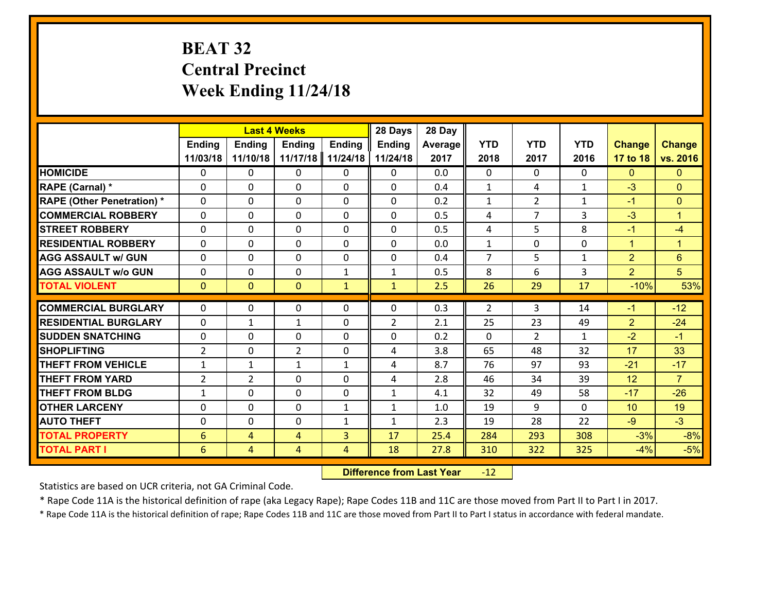# **BEAT 32 Central Precinct Week Ending 11/24/18**

|                                   |                 |                | <b>Last 4 Weeks</b> |               | 28 Days        | 28 Day  |                |                |              |                |                      |
|-----------------------------------|-----------------|----------------|---------------------|---------------|----------------|---------|----------------|----------------|--------------|----------------|----------------------|
|                                   | <b>Ending</b>   | <b>Ending</b>  | <b>Ending</b>       | <b>Ending</b> | <b>Ending</b>  | Average | <b>YTD</b>     | <b>YTD</b>     | <b>YTD</b>   | <b>Change</b>  | <b>Change</b>        |
|                                   | 11/03/18        | 11/10/18       | 11/17/18            | 11/24/18      | 11/24/18       | 2017    | 2018           | 2017           | 2016         | 17 to 18       | vs. 2016             |
| <b>HOMICIDE</b>                   | $\Omega$        | 0              | 0                   | 0             | $\Omega$       | 0.0     | 0              | $\Omega$       | 0            | $\Omega$       | $\Omega$             |
| RAPE (Carnal) *                   | $\mathbf{0}$    | 0              | $\mathbf{0}$        | 0             | $\Omega$       | 0.4     | $\mathbf{1}$   | 4              | $\mathbf{1}$ | $-3$           | $\mathbf{0}$         |
| <b>RAPE (Other Penetration) *</b> | $\Omega$        | 0              | $\mathbf{0}$        | $\Omega$      | $\Omega$       | 0.2     | $\mathbf{1}$   | $\overline{2}$ | $\mathbf{1}$ | $-1$           | $\mathbf{0}$         |
| <b>COMMERCIAL ROBBERY</b>         | $\mathbf{0}$    | 0              | 0                   | 0             | $\Omega$       | 0.5     | 4              | 7              | 3            | $-3$           | $\blacktriangleleft$ |
| <b>STREET ROBBERY</b>             | 0               | 0              | $\mathbf 0$         | $\Omega$      | 0              | 0.5     | 4              | 5              | 8            | $-1$           | $-4$                 |
| <b>RESIDENTIAL ROBBERY</b>        | $\Omega$        | $\Omega$       | $\mathbf 0$         | $\Omega$      | 0              | 0.0     | $\mathbf{1}$   | $\Omega$       | 0            | $\mathbf{1}$   | $\mathbf{1}$         |
| <b>AGG ASSAULT w/ GUN</b>         | 0               | 0              | $\mathbf 0$         | $\Omega$      | 0              | 0.4     | $\overline{7}$ | 5              | $\mathbf{1}$ | $\overline{2}$ | 6                    |
| <b>AGG ASSAULT w/o GUN</b>        | 0               | 0              | $\mathbf 0$         | $\mathbf{1}$  | $\mathbf{1}$   | 0.5     | 8              | 6              | 3            | $\overline{2}$ | 5                    |
| <b>TOTAL VIOLENT</b>              | $\mathbf{0}$    | $\overline{0}$ | $\overline{0}$      | $\mathbf{1}$  | $\mathbf{1}$   | 2.5     | 26             | 29             | 17           | $-10%$         | 53%                  |
| <b>COMMERCIAL BURGLARY</b>        | $\Omega$        | 0              | $\mathbf{0}$        | $\Omega$      | $\Omega$       | 0.3     | 2              | 3              | 14           | $-1$           | $-12$                |
| <b>RESIDENTIAL BURGLARY</b>       | 0               | 1              | $\mathbf{1}$        | 0             | $\overline{2}$ | 2.1     | 25             | 23             | 49           | $\overline{2}$ | $-24$                |
| <b>SUDDEN SNATCHING</b>           | 0               | 0              | 0                   | 0             | 0              | 0.2     | 0              | $\overline{2}$ | $\mathbf{1}$ | $-2$           | $-1$                 |
| <b>SHOPLIFTING</b>                | $\overline{2}$  | 0              | $\overline{2}$      | 0             | 4              | 3.8     | 65             | 48             | 32           | 17             | 33                   |
| <b>THEFT FROM VEHICLE</b>         | $\mathbf{1}$    | 1              | $\mathbf{1}$        | $\mathbf{1}$  | 4              | 8.7     | 76             | 97             | 93           | $-21$          | $-17$                |
| <b>THEFT FROM YARD</b>            | $\overline{2}$  | $\overline{2}$ | $\mathbf 0$         | 0             | 4              | 2.8     | 46             | 34             | 39           | 12             | $\overline{7}$       |
| <b>THEFT FROM BLDG</b>            | $\mathbf{1}$    | 0              | $\mathbf 0$         | 0             | $\mathbf{1}$   | 4.1     | 32             | 49             | 58           | $-17$          | $-26$                |
| <b>OTHER LARCENY</b>              | 0               | 0              | $\mathbf 0$         | $\mathbf{1}$  | $\mathbf{1}$   | 1.0     | 19             | 9              | $\Omega$     | 10             | 19                   |
| <b>AUTO THEFT</b>                 | $\mathbf{0}$    | 0              | $\mathbf{0}$        | $\mathbf{1}$  | $\mathbf{1}$   | 2.3     | 19             | 28             | 22           | $-9$           | $-3$                 |
| <b>TOTAL PROPERTY</b>             | $6\phantom{1}6$ | 4              | 4                   | 3             | 17             | 25.4    | 284            | 293            | 308          | $-3%$          | $-8%$                |
| <b>TOTAL PART I</b>               | $6\phantom{1}6$ | $\overline{4}$ | 4                   | 4             | 18             | 27.8    | 310            | 322            | 325          | $-4%$          | $-5%$                |

 **Difference from Last Year**r -12

Statistics are based on UCR criteria, not GA Criminal Code.

\* Rape Code 11A is the historical definition of rape (aka Legacy Rape); Rape Codes 11B and 11C are those moved from Part II to Part I in 2017.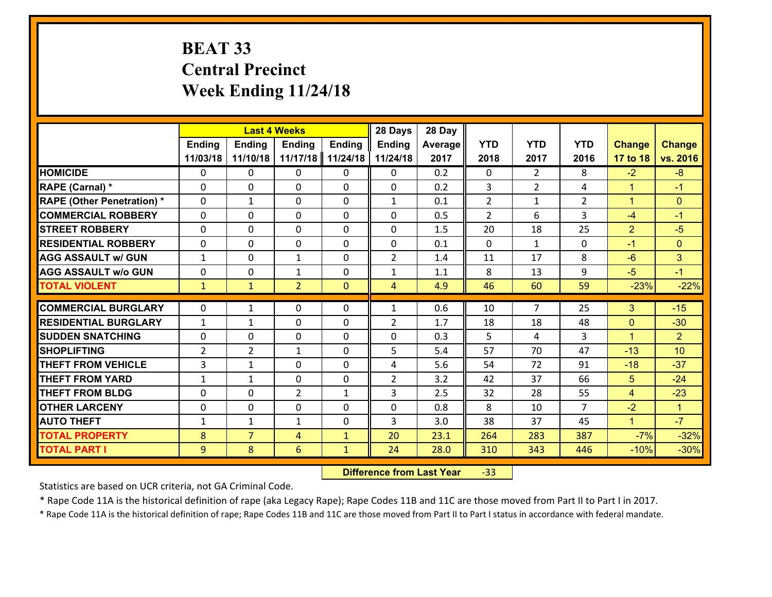# **BEAT 33 Central Precinct Week Ending 11/24/18**

|                                   |                |                | <b>Last 4 Weeks</b> |               | 28 Days        | 28 Day  |                |                |                |                |                 |
|-----------------------------------|----------------|----------------|---------------------|---------------|----------------|---------|----------------|----------------|----------------|----------------|-----------------|
|                                   | <b>Ending</b>  | <b>Ending</b>  | <b>Ending</b>       | <b>Ending</b> | <b>Ending</b>  | Average | <b>YTD</b>     | <b>YTD</b>     | <b>YTD</b>     | <b>Change</b>  | <b>Change</b>   |
|                                   | 11/03/18       | 11/10/18       | 11/17/18            | 11/24/18      | 11/24/18       | 2017    | 2018           | 2017           | 2016           | 17 to 18       | vs. 2016        |
| <b>HOMICIDE</b>                   | $\Omega$       | 0              | $\Omega$            | 0             | $\Omega$       | 0.2     | $\Omega$       | $\overline{2}$ | 8              | $-2$           | $-8$            |
| RAPE (Carnal) *                   | 0              | 0              | $\mathbf{0}$        | 0             | $\Omega$       | 0.2     | 3              | $\overline{2}$ | 4              | $\mathbf{1}$   | $-1$            |
| <b>RAPE (Other Penetration) *</b> | $\Omega$       | 1              | $\mathbf{0}$        | $\Omega$      | $\mathbf{1}$   | 0.1     | $\overline{2}$ | $\mathbf{1}$   | $\overline{2}$ | $\mathbf{1}$   | $\mathbf{0}$    |
| <b>COMMERCIAL ROBBERY</b>         | 0              | 0              | 0                   | 0             | $\Omega$       | 0.5     | $\overline{2}$ | 6              | 3              | $-4$           | $-1$            |
| <b>STREET ROBBERY</b>             | $\Omega$       | 0              | $\mathbf 0$         | 0             | 0              | 1.5     | 20             | 18             | 25             | $\overline{2}$ | $-5$            |
| <b>RESIDENTIAL ROBBERY</b>        | $\Omega$       | $\Omega$       | $\mathbf 0$         | $\Omega$      | 0              | 0.1     | $\Omega$       | $\mathbf{1}$   | $\Omega$       | $-1$           | $\mathbf{0}$    |
| <b>AGG ASSAULT w/ GUN</b>         | $\mathbf{1}$   | 0              | $\mathbf{1}$        | 0             | $\overline{2}$ | 1.4     | 11             | 17             | 8              | $-6$           | 3               |
| <b>AGG ASSAULT w/o GUN</b>        | 0              | 0              | 1                   | 0             | $\mathbf{1}$   | 1.1     | 8              | 13             | 9              | $-5$           | $-1$            |
| <b>TOTAL VIOLENT</b>              | $\mathbf{1}$   | $\mathbf{1}$   | $\overline{2}$      | $\mathbf{0}$  | $\overline{4}$ | 4.9     | 46             | 60             | 59             | $-23%$         | $-22%$          |
| <b>COMMERCIAL BURGLARY</b>        | $\Omega$       | 1              | $\mathbf{0}$        | $\Omega$      | $\mathbf{1}$   | 0.6     | 10             | $\overline{7}$ | 25             | 3              | $-15$           |
| <b>RESIDENTIAL BURGLARY</b>       | $\mathbf{1}$   | 1              | $\mathbf 0$         | 0             | $\overline{2}$ | 1.7     | 18             | 18             | 48             | $\mathbf{0}$   | $-30$           |
| <b>SUDDEN SNATCHING</b>           | 0              | 0              | $\mathbf 0$         | 0             | 0              | 0.3     | 5              | 4              | 3              | $\mathbf{1}$   | $\overline{2}$  |
| <b>SHOPLIFTING</b>                | $\overline{2}$ | $\overline{2}$ | 1                   | 0             | 5              | 5.4     | 57             | 70             | 47             | $-13$          | 10 <sup>1</sup> |
| <b>THEFT FROM VEHICLE</b>         | 3              | $\mathbf{1}$   | $\mathbf 0$         | 0             | 4              | 5.6     | 54             | 72             | 91             | $-18$          | $-37$           |
| <b>THEFT FROM YARD</b>            | $\mathbf{1}$   | $\mathbf{1}$   | $\mathbf 0$         | 0             | $\overline{2}$ | 3.2     | 42             | 37             | 66             | 5              | $-24$           |
| <b>THEFT FROM BLDG</b>            | 0              | 0              | $\overline{2}$      | $\mathbf{1}$  | 3              | 2.5     | 32             | 28             | 55             | $\overline{4}$ | $-23$           |
| <b>OTHER LARCENY</b>              | 0              | 0              | $\mathbf 0$         | 0             | 0              | 0.8     | 8              | 10             | $\overline{7}$ | $-2$           | $\mathbf{1}$    |
| <b>AUTO THEFT</b>                 | $\mathbf{1}$   | 1              | $\mathbf{1}$        | 0             | 3              | 3.0     | 38             | 37             | 45             | $\mathbf{1}$   | $-7$            |
| <b>TOTAL PROPERTY</b>             | 8              | $\overline{7}$ | 4                   | $\mathbf{1}$  | 20             | 23.1    | 264            | 283            | 387            | $-7%$          | $-32%$          |
|                                   | 9              | 8              | 6                   | $\mathbf{1}$  | 24             | 28.0    | 310            | 343            | 446            | $-10%$         | $-30%$          |
| <b>TOTAL PART I</b>               |                |                |                     |               |                |         |                |                |                |                |                 |

 **Difference from Last Year**‐33

Statistics are based on UCR criteria, not GA Criminal Code.

\* Rape Code 11A is the historical definition of rape (aka Legacy Rape); Rape Codes 11B and 11C are those moved from Part II to Part I in 2017.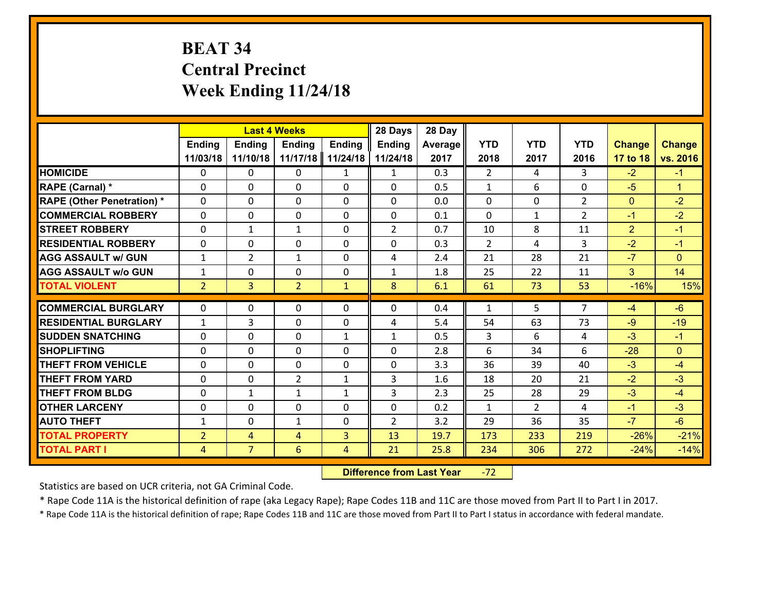# **BEAT 34 Central Precinct Week Ending 11/24/18**

|                                   |                |                | <b>Last 4 Weeks</b> |                | 28 Days        | 28 Day  |                |                |                |                |                      |
|-----------------------------------|----------------|----------------|---------------------|----------------|----------------|---------|----------------|----------------|----------------|----------------|----------------------|
|                                   | <b>Ending</b>  | <b>Endina</b>  | <b>Ending</b>       | <b>Ending</b>  | <b>Ending</b>  | Average | <b>YTD</b>     | <b>YTD</b>     | <b>YTD</b>     | <b>Change</b>  | <b>Change</b>        |
|                                   | 11/03/18       | 11/10/18       | 11/17/18            | 11/24/18       | 11/24/18       | 2017    | 2018           | 2017           | 2016           | 17 to 18       | vs. 2016             |
| <b>HOMICIDE</b>                   | $\Omega$       | 0              | 0                   | $\mathbf{1}$   | $\mathbf{1}$   | 0.3     | $\overline{2}$ | 4              | 3              | $-2$           | $-1$                 |
| RAPE (Carnal) *                   | $\Omega$       | $\Omega$       | $\mathbf 0$         | $\Omega$       | $\Omega$       | 0.5     | $\mathbf{1}$   | 6              | $\Omega$       | $-5$           | $\blacktriangleleft$ |
| <b>RAPE (Other Penetration) *</b> | 0              | 0              | $\mathbf 0$         | 0              | 0              | 0.0     | 0              | 0              | $\overline{2}$ | $\mathbf{0}$   | $-2$                 |
| <b>COMMERCIAL ROBBERY</b>         | 0              | 0              | $\mathbf 0$         | 0              | 0              | 0.1     | $\mathbf 0$    | $\mathbf{1}$   | $\overline{2}$ | $-1$           | $-2$                 |
| <b>STREET ROBBERY</b>             | 0              | $\mathbf{1}$   | $\mathbf{1}$        | 0              | $\overline{2}$ | 0.7     | 10             | 8              | 11             | $\overline{2}$ | $-1$                 |
| <b>RESIDENTIAL ROBBERY</b>        | 0              | 0              | $\mathbf 0$         | $\mathbf{0}$   | 0              | 0.3     | $\overline{2}$ | 4              | 3              | $-2$           | $-1$                 |
| <b>AGG ASSAULT w/ GUN</b>         | $\mathbf{1}$   | $\overline{2}$ | 1                   | 0              | 4              | 2.4     | 21             | 28             | 21             | $-7$           | $\overline{0}$       |
| <b>AGG ASSAULT w/o GUN</b>        | $\mathbf{1}$   | 0              | $\mathbf 0$         | $\mathbf 0$    | $\mathbf{1}$   | 1.8     | 25             | 22             | 11             | 3              | 14                   |
| <b>TOTAL VIOLENT</b>              | $\overline{2}$ | 3 <sup>1</sup> | $\overline{2}$      | $\mathbf{1}$   | 8              | 6.1     | 61             | 73             | 53             | $-16%$         | 15%                  |
| <b>COMMERCIAL BURGLARY</b>        | $\Omega$       | 0              | 0                   | $\Omega$       | $\Omega$       | 0.4     | $\mathbf{1}$   | 5              | $\overline{7}$ | -4             | $-6$                 |
| <b>RESIDENTIAL BURGLARY</b>       | $\mathbf{1}$   | 3              | $\mathbf 0$         | 0              | 4              | 5.4     | 54             | 63             | 73             | $-9$           | $-19$                |
| <b>SUDDEN SNATCHING</b>           | 0              | $\Omega$       | $\mathbf 0$         | $\mathbf{1}$   | $\mathbf{1}$   | 0.5     | $\overline{3}$ | 6              | 4              | $-3$           | $-1$                 |
| <b>SHOPLIFTING</b>                | 0              | 0              | $\mathbf 0$         | 0              | 0              | 2.8     | 6              | 34             | 6              | $-28$          | $\overline{0}$       |
| <b>THEFT FROM VEHICLE</b>         | $\mathbf{0}$   | 0              | 0                   | $\mathbf{0}$   | 0              | 3.3     | 36             | 39             | 40             | $-3$           | $-4$                 |
| <b>THEFT FROM YARD</b>            | 0              | 0              | $\overline{2}$      | $\mathbf{1}$   | 3              | 1.6     | 18             | 20             | 21             | $-2$           | $-3$                 |
| <b>THEFT FROM BLDG</b>            | $\mathbf{0}$   | $\mathbf{1}$   | $\mathbf{1}$        | $\mathbf{1}$   | 3              | 2.3     | 25             | 28             | 29             | $-3$           | $-4$                 |
| <b>OTHER LARCENY</b>              | $\mathbf 0$    | $\mathbf 0$    | $\mathbf 0$         | $\mathbf 0$    | $\mathbf 0$    | 0.2     | $\mathbf 1$    | $\overline{2}$ | 4              | $-1$           | $-3$                 |
| <b>AUTO THEFT</b>                 | $\mathbf{1}$   | 0              | $\mathbf{1}$        | $\Omega$       | $\overline{2}$ | 3.2     | 29             | 36             | 35             | $-7$           | $-6$                 |
| <b>TOTAL PROPERTY</b>             | $\overline{2}$ | $\overline{4}$ | $\overline{4}$      | $\overline{3}$ | 13             | 19.7    | 173            | 233            | 219            | $-26%$         | $-21%$               |
| <b>TOTAL PART I</b>               | $\overline{4}$ | $\overline{7}$ | 6                   | 4              | 21             | 25.8    | 234            | 306            | 272            | $-24%$         | $-14%$               |

 **Difference from Last Year**r -72

Statistics are based on UCR criteria, not GA Criminal Code.

\* Rape Code 11A is the historical definition of rape (aka Legacy Rape); Rape Codes 11B and 11C are those moved from Part II to Part I in 2017.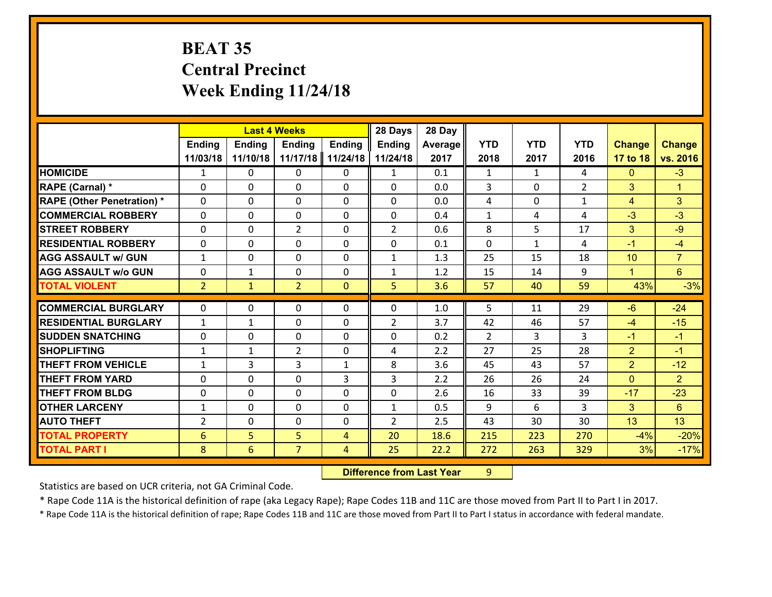# **BEAT 35 Central Precinct Week Ending 11/24/18**

|                                   |                |               | <b>Last 4 Weeks</b> |                | 28 Days        | 28 Day  |                |              |                |                |                |
|-----------------------------------|----------------|---------------|---------------------|----------------|----------------|---------|----------------|--------------|----------------|----------------|----------------|
|                                   | Ending         | <b>Ending</b> | <b>Ending</b>       | <b>Ending</b>  | <b>Ending</b>  | Average | <b>YTD</b>     | <b>YTD</b>   | <b>YTD</b>     | <b>Change</b>  | <b>Change</b>  |
|                                   | 11/03/18       | 11/10/18      | 11/17/18            | 11/24/18       | 11/24/18       | 2017    | 2018           | 2017         | 2016           | 17 to 18       | vs. 2016       |
| <b>HOMICIDE</b>                   | $\mathbf{1}$   | 0             | 0                   | 0              | $\mathbf{1}$   | 0.1     | $\mathbf{1}$   | $\mathbf{1}$ | 4              | $\mathbf{0}$   | $-3$           |
| RAPE (Carnal) *                   | $\mathbf{0}$   | 0             | $\mathbf 0$         | 0              | 0              | 0.0     | 3              | $\mathbf{0}$ | $\overline{2}$ | 3              | $\mathbf{1}$   |
| <b>RAPE (Other Penetration) *</b> | $\Omega$       | 0             | $\mathbf{0}$        | 0              | 0              | 0.0     | 4              | 0            | $\mathbf{1}$   | 4              | 3              |
| <b>COMMERCIAL ROBBERY</b>         | $\Omega$       | 0             | $\mathbf{0}$        | $\Omega$       | $\Omega$       | 0.4     | $\mathbf{1}$   | 4            | 4              | $-3$           | $-3$           |
| <b>STREET ROBBERY</b>             | $\Omega$       | 0             | $\overline{2}$      | $\Omega$       | $\overline{2}$ | 0.6     | 8              | 5.           | 17             | 3              | $-9$           |
| <b>RESIDENTIAL ROBBERY</b>        | $\Omega$       | 0             | $\mathbf{0}$        | $\Omega$       | $\Omega$       | 0.1     | $\Omega$       | $\mathbf{1}$ | 4              | $-1$           | $-4$           |
| <b>AGG ASSAULT w/ GUN</b>         | $\mathbf{1}$   | 0             | $\mathbf 0$         | $\Omega$       | $\mathbf{1}$   | 1.3     | 25             | 15           | 18             | 10             | $\overline{7}$ |
| <b>AGG ASSAULT w/o GUN</b>        | $\mathbf{0}$   | 1             | 0                   | 0              | $\mathbf{1}$   | 1.2     | 15             | 14           | 9              | $\mathbf{1}$   | $6^{\circ}$    |
| <b>TOTAL VIOLENT</b>              | $\overline{2}$ | $\mathbf{1}$  | $\overline{2}$      | $\Omega$       | 5              | 3.6     | 57             | 40           | 59             | 43%            | $-3%$          |
| <b>COMMERCIAL BURGLARY</b>        | $\mathbf{0}$   | $\mathbf{0}$  | 0                   | 0              | $\Omega$       | 1.0     | 5              | 11           | 29             | $-6$           | $-24$          |
| <b>RESIDENTIAL BURGLARY</b>       |                |               |                     |                |                |         |                |              |                |                |                |
|                                   | $\mathbf{1}$   | $\mathbf{1}$  | $\mathbf{0}$        | $\Omega$       | $\overline{2}$ | 3.7     | 42             | 46           | 57             | -4             | $-15$          |
|                                   |                |               |                     |                |                |         |                |              |                |                |                |
| <b>ISUDDEN SNATCHING</b>          | $\mathbf{0}$   | 0             | $\mathbf{0}$        | 0              | $\Omega$       | 0.2     | $\overline{2}$ | 3            | 3              | $-1$           | $-1$           |
| <b>SHOPLIFTING</b>                | 1              | $\mathbf{1}$  | $\overline{2}$      | 0              | 4              | 2.2     | 27             | 25           | 28             | $\overline{2}$ | $-1$           |
| <b>THEFT FROM VEHICLE</b>         | $\mathbf{1}$   | 3             | 3                   | $\mathbf{1}$   | 8              | 3.6     | 45             | 43           | 57             | $\overline{2}$ | $-12$          |
| <b>THEFT FROM YARD</b>            | $\mathbf{0}$   | 0             | $\mathbf{0}$        | 3              | 3              | 2.2     | 26             | 26           | 24             | $\mathbf{0}$   | $\overline{2}$ |
| <b>THEFT FROM BLDG</b>            | $\Omega$       | $\Omega$      | $\mathbf 0$         | $\Omega$       | $\Omega$       | 2.6     | 16             | 33           | 39             | $-17$          | $-23$          |
| <b>OTHER LARCENY</b>              | $\mathbf{1}$   | 0             | $\mathbf{0}$        | $\Omega$       | $\mathbf{1}$   | 0.5     | 9              | 6            | 3              | 3              | 6              |
| <b>AUTO THEFT</b>                 | 2              | 0             | $\mathbf{0}$        | 0              | $\overline{2}$ | 2.5     | 43             | 30           | 30             | 13             | 13             |
| <b>TOTAL PROPERTY</b>             | 6              | 5             | 5                   | 4              | 20             | 18.6    | 215            | 223          | 270            | $-4%$          | $-20%$         |
| <b>TOTAL PART I</b>               | 8              | 6             | $\overline{7}$      | $\overline{4}$ | 25             | 22.2    | 272            | 263          | 329            | 3%             | $-17%$         |

 **Difference from Last Year**r 9

Statistics are based on UCR criteria, not GA Criminal Code.

\* Rape Code 11A is the historical definition of rape (aka Legacy Rape); Rape Codes 11B and 11C are those moved from Part II to Part I in 2017.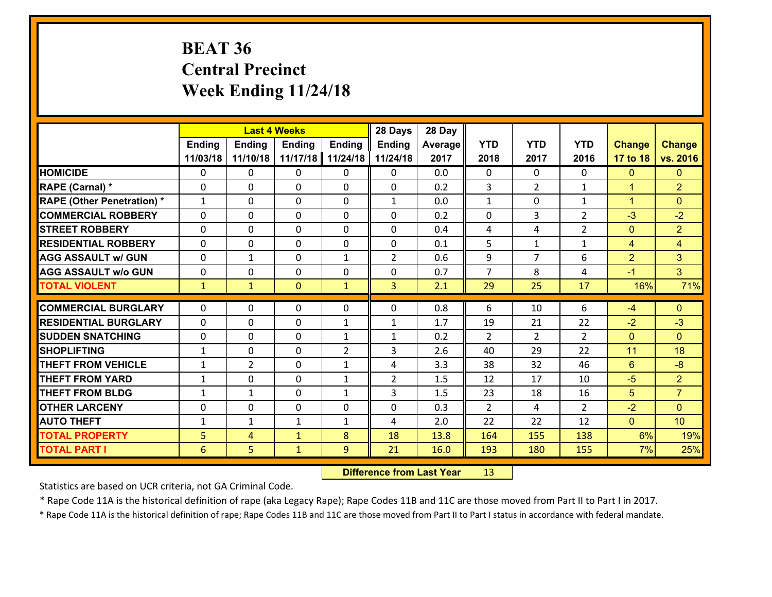# **BEAT 36 Central Precinct Week Ending 11/24/18**

|                                                |                   |                | <b>Last 4 Weeks</b>          |                                | 28 Days                        | 28 Day       |                      |                      |                      |                      |                                  |
|------------------------------------------------|-------------------|----------------|------------------------------|--------------------------------|--------------------------------|--------------|----------------------|----------------------|----------------------|----------------------|----------------------------------|
|                                                | <b>Ending</b>     | <b>Ending</b>  | <b>Ending</b>                | <b>Ending</b>                  | <b>Ending</b>                  | Average      | <b>YTD</b>           | <b>YTD</b>           | <b>YTD</b>           | <b>Change</b>        | <b>Change</b>                    |
|                                                | 11/03/18          | 11/10/18       | 11/17/18                     | 11/24/18                       | 11/24/18                       | 2017         | 2018                 | 2017                 | 2016                 | 17 to 18             | vs. 2016                         |
| <b>HOMICIDE</b>                                | $\mathbf{0}$      | 0              | $\mathbf{0}$                 | 0                              | $\mathbf{0}$                   | 0.0          | $\mathbf{0}$         | $\Omega$             | $\Omega$             | $\mathbf{0}$         | $\mathbf{0}$                     |
| RAPE (Carnal) *                                | $\mathbf{0}$      | 0              | $\mathbf 0$                  | $\Omega$                       | 0                              | 0.2          | 3                    | $\overline{2}$       | $\mathbf{1}$         | $\blacktriangleleft$ | $\overline{2}$                   |
| <b>RAPE (Other Penetration) *</b>              | $\mathbf{1}$      | $\Omega$       | $\mathbf 0$                  | $\Omega$                       | $\mathbf{1}$                   | 0.0          | $\mathbf{1}$         | $\Omega$             | $\mathbf{1}$         | $\blacktriangleleft$ | $\Omega$                         |
| <b>COMMERCIAL ROBBERY</b>                      | 0                 | 0              | $\mathbf 0$                  | 0                              | $\Omega$                       | 0.2          | 0                    | 3                    | $\overline{2}$       | $-3$                 | $-2$                             |
| <b>STREET ROBBERY</b>                          | $\Omega$          | 0              | $\mathbf{0}$                 | $\Omega$                       | $\Omega$                       | 0.4          | 4                    | 4                    | $\overline{2}$       | $\mathbf{0}$         | $\overline{2}$                   |
| <b>RESIDENTIAL ROBBERY</b>                     | $\Omega$          | 0              | $\mathbf 0$                  | $\Omega$                       | 0                              | 0.1          | 5                    | $\mathbf{1}$         | $\mathbf{1}$         | $\overline{4}$       | $\overline{4}$                   |
| <b>AGG ASSAULT w/ GUN</b>                      | $\Omega$          | $\mathbf{1}$   | $\mathbf 0$                  | $\mathbf{1}$                   | $\overline{2}$                 | 0.6          | 9                    | $\overline{7}$       | 6                    | $\overline{2}$       | 3                                |
| <b>AGG ASSAULT w/o GUN</b>                     | 0                 | 0              | $\mathbf 0$                  | 0                              | 0                              | 0.7          | $\overline{7}$       | 8                    | 4                    | $-1$                 | 3 <sup>1</sup>                   |
| <b>TOTAL VIOLENT</b>                           | $\mathbf{1}$      | $\mathbf{1}$   | $\mathbf{0}$                 | $\mathbf{1}$                   | $\overline{3}$                 | 2.1          | 29                   | 25                   | 17                   | 16%                  | 71%                              |
| <b>COMMERCIAL BURGLARY</b>                     | $\Omega$          | 0              | $\mathbf{0}$                 | 0                              | $\Omega$                       | 0.8          | 6                    | 10                   | 6                    | -4                   | $\Omega$                         |
| <b>RESIDENTIAL BURGLARY</b>                    | $\mathbf{0}$      | 0              | $\mathbf 0$                  |                                |                                | 1.7          | 19                   | 21                   | 22                   | $-2$                 | $-3$                             |
|                                                |                   |                |                              | $\mathbf{1}$                   | 1                              |              |                      |                      |                      |                      | $\Omega$                         |
| <b>ISUDDEN SNATCHING</b><br><b>SHOPLIFTING</b> | $\mathbf{0}$<br>1 | 0<br>0         | $\mathbf 0$<br>$\mathbf{0}$  | $\mathbf{1}$<br>$\overline{2}$ | $\mathbf{1}$<br>$\overline{3}$ | 0.2<br>2.6   | $\overline{2}$<br>40 | $\overline{2}$<br>29 | $\overline{2}$<br>22 | $\mathbf{0}$<br>11   | 18                               |
| <b>THEFT FROM VEHICLE</b>                      | $\mathbf{1}$      | $\overline{2}$ | $\mathbf{0}$                 | $\mathbf{1}$                   | 4                              | 3.3          | 38                   | 32                   | 46                   | 6                    | $-8$                             |
| <b>THEFT FROM YARD</b>                         |                   | $\Omega$       |                              |                                |                                | 1.5          |                      | 17                   | 10                   | $-5$                 |                                  |
| <b>THEFT FROM BLDG</b>                         | $\mathbf{1}$      |                | $\mathbf 0$                  | $\mathbf{1}$                   | $\overline{2}$                 |              | 12                   |                      |                      |                      | 2 <sup>1</sup><br>$\overline{7}$ |
|                                                | $\mathbf{1}$      | $\mathbf{1}$   | 0                            | $\mathbf{1}$                   | 3                              | 1.5          | 23                   | 18                   | 16                   | 5                    |                                  |
|                                                |                   | 0              | $\mathbf 0$                  | 0                              | 0                              | 0.3          | $\overline{2}$       | 4                    | $\overline{2}$       | $-2$                 | $\Omega$                         |
| <b>OTHER LARCENY</b>                           | 0                 |                |                              |                                |                                |              |                      |                      |                      |                      |                                  |
| <b>AUTO THEFT</b>                              | $\mathbf{1}$      | $\mathbf{1}$   | $\mathbf{1}$                 | $\mathbf{1}$                   | 4                              | 2.0          | 22                   | 22                   | 12                   | $\overline{0}$       | 10                               |
| <b>TOTAL PROPERTY</b><br><b>TOTAL PART I</b>   | 5<br>6            | 4<br>5         | $\mathbf{1}$<br>$\mathbf{1}$ | 8<br>9                         | 18<br>21                       | 13.8<br>16.0 | 164<br>193           | 155<br>180           | 138<br>155           | 6%<br>7%             | 19%<br>25%                       |

 **Difference from Last Year**r 13

Statistics are based on UCR criteria, not GA Criminal Code.

\* Rape Code 11A is the historical definition of rape (aka Legacy Rape); Rape Codes 11B and 11C are those moved from Part II to Part I in 2017.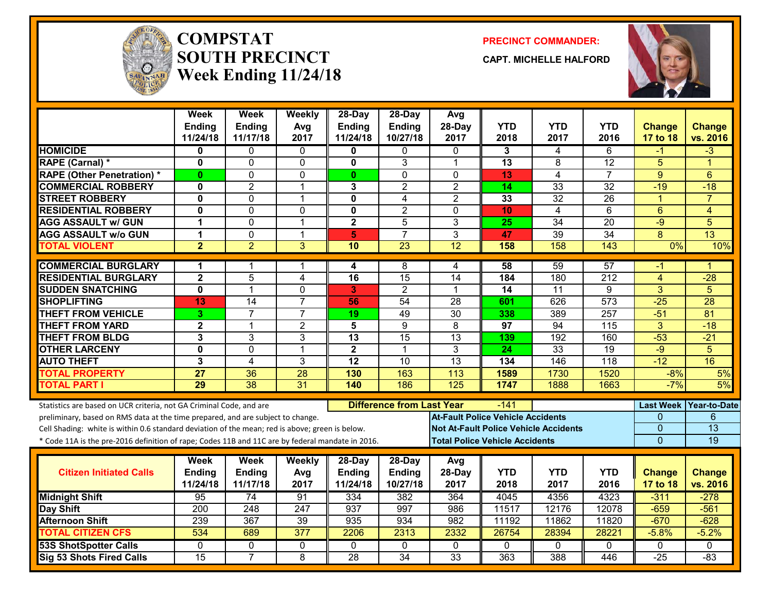

#### **COMPSTATSOUTH PRECINCTWeek Ending 11/24/18**

**PRECINCT COMMANDER:**

**CAPT. MICHELLE HALFORD**



|                                                                                                  | Week<br><b>Ending</b>   | <b>Week</b><br><b>Ending</b> | Weekly<br>Avg    | 28-Day<br><b>Ending</b> | 28-Day<br><b>Ending</b>          | Avg<br>$28-Dav$ | <b>YTD</b>                               | <b>YTD</b>                                   | YTD              | <b>Change</b>        | <b>Change</b>       |
|--------------------------------------------------------------------------------------------------|-------------------------|------------------------------|------------------|-------------------------|----------------------------------|-----------------|------------------------------------------|----------------------------------------------|------------------|----------------------|---------------------|
|                                                                                                  | 11/24/18                | 11/17/18                     | 2017             | 11/24/18                | 10/27/18                         | 2017            | 2018                                     | 2017                                         | 2016             | 17 to 18             | vs. 2016            |
| <b>HOMICIDE</b>                                                                                  | 0                       | 0                            | $\mathbf{0}$     | 0                       | 0                                | $\Omega$        | 3                                        | 4                                            | 6                | -1                   | $-3$                |
| RAPE (Carnal) *                                                                                  | $\mathbf 0$             | 0                            | 0                | 0                       | 3                                | 1               | 13                                       | 8                                            | 12               | 5                    | 1                   |
| <b>RAPE (Other Penetration) *</b>                                                                | $\mathbf{0}$            | 0                            | $\mathbf{0}$     | $\mathbf{0}$            | 0                                | $\Omega$        | 13                                       | 4                                            | $\overline{7}$   | 9                    | 6                   |
| <b>COMMERCIAL ROBBERY</b>                                                                        | $\mathbf 0$             | $\overline{2}$               | $\mathbf 1$      | 3                       | $\overline{2}$                   | $\overline{2}$  | 14                                       | 33                                           | $\overline{32}$  | $-19$                | $-18$               |
| <b>STREET ROBBERY</b>                                                                            | $\mathbf{0}$            | 0                            | $\mathbf 1$      | 0                       | $\overline{4}$                   | $\overline{2}$  | 33                                       | 32                                           | 26               | $\blacktriangleleft$ | $\overline{7}$      |
| <b>RESIDENTIAL ROBBERY</b>                                                                       | $\mathbf 0$             | 0                            | $\mathbf{0}$     | 0                       | $\overline{2}$                   | $\Omega$        | 10                                       | 4                                            | 6                | 6                    | $\overline{4}$      |
| <b>AGG ASSAULT w/ GUN</b>                                                                        | 1                       | 0                            | $\overline{1}$   | $\overline{\mathbf{2}}$ | 5                                | 3               | 25                                       | $\overline{34}$                              | $\overline{20}$  | $-9$                 | 5                   |
| <b>AGG ASSAULT W/o GUN</b>                                                                       | $\mathbf{1}$            | 0                            | $\mathbf{1}$     | $\overline{5}$          | $\overline{7}$                   | 3               | 47                                       | 39                                           | 34               | 8                    | $\overline{13}$     |
| <b>TOTAL VIOLENT</b>                                                                             | $\overline{2}$          | $\overline{2}$               | $\overline{3}$   | 10                      | $\overline{23}$                  | 12              | 158                                      | 158                                          | 143              | 0%                   | 10%                 |
| <b>COMMERCIAL BURGLARY</b>                                                                       | 1                       | 1                            | 1                | 4                       | 8                                | 4               | 58                                       | 59                                           | 57               | -1                   | 1                   |
| <b>RESIDENTIAL BURGLARY</b>                                                                      | $\overline{\mathbf{2}}$ | 5                            | 4                | 16                      | 15                               | 14              | 184                                      | 180                                          | 212              | 4                    | $-28$               |
| <b>SUDDEN SNATCHING</b>                                                                          | $\overline{\mathbf{0}}$ | $\overline{1}$               | $\overline{0}$   | 3                       | $\overline{2}$                   | $\mathbf{1}$    | $\overline{14}$                          | 11                                           | $\overline{9}$   | $\overline{3}$       | $\overline{5}$      |
| <b>SHOPLIFTING</b>                                                                               | 13                      | $\overline{14}$              | $\overline{7}$   | 56                      | 54                               | 28              | 601                                      | 626                                          | $\overline{573}$ | $-25$                | $\overline{28}$     |
| <b>THEFT FROM VEHICLE</b>                                                                        | 3                       | $\overline{7}$               | $\overline{7}$   | 19                      | 49                               | 30              | 338                                      | 389                                          | 257              | $-51$                | 81                  |
| <b>THEFT FROM YARD</b>                                                                           | $\mathbf{2}$            | 1                            | $\overline{2}$   | 5                       | 9                                | 8               | 97                                       | 94                                           | 115              | 3                    | $-18$               |
| <b>THEFT FROM BLDG</b>                                                                           | 3                       | 3                            | 3                | 13                      | 15                               | 13              | 139                                      | 192                                          | 160              | $-53$                | $-21$               |
| <b>OTHER LARCENY</b>                                                                             | $\mathbf 0$             | $\overline{0}$               | $\overline{1}$   | $\mathbf 2$             | $\mathbf{1}$                     | 3               | $\overline{24}$                          | 33                                           | $\overline{19}$  | $-9$                 | $\overline{5}$      |
| <b>AUTO THEFT</b>                                                                                | 3                       | 4                            | 3                | $\overline{12}$         | 10                               | $\overline{13}$ | 134                                      | 146                                          | $\overline{118}$ | $-12$                | 16                  |
| <b>TOTAL PROPERTY</b>                                                                            | 27                      | 36                           | 28               | 130                     | 163                              | 113             | 1589                                     | 1730                                         | 1520             | $-8%$                | 5%                  |
| <b>TOTAL PART I</b>                                                                              | 29                      | $\overline{38}$              | $\overline{31}$  | 140                     | 186                              | 125             | 1747                                     | 1888                                         | 1663             | $-7%$                | 5%                  |
| Statistics are based on UCR criteria, not GA Criminal Code, and are                              |                         |                              |                  |                         | <b>Difference from Last Year</b> |                 | -141                                     |                                              |                  | <b>Last Week</b>     | <b>Year-to-Date</b> |
| preliminary, based on RMS data at the time prepared, and are subject to change.                  |                         |                              |                  |                         |                                  |                 | <b>At-Fault Police Vehicle Accidents</b> |                                              |                  | 0                    | 6                   |
| Cell Shading: white is within 0.6 standard deviation of the mean; red is above; green is below.  |                         |                              |                  |                         |                                  |                 |                                          | <b>Not At-Fault Police Vehicle Accidents</b> |                  | $\Omega$             | $\overline{13}$     |
| * Code 11A is the pre-2016 definition of rape; Codes 11B and 11C are by federal mandate in 2016. |                         |                              |                  |                         |                                  |                 | <b>Total Police Vehicle Accidents</b>    |                                              |                  | $\overline{0}$       | 19                  |
|                                                                                                  | Week                    | Week                         | Weekly           | $28-Day$                | $28-Day$                         | Avg             |                                          |                                              |                  |                      |                     |
| <b>Citizen Initiated Calls</b>                                                                   | Ending                  | Ending                       | Avg              | <b>Ending</b>           | Ending                           | 28-Day          | <b>YTD</b>                               | <b>YTD</b>                                   | <b>YTD</b>       | <b>Change</b>        | <b>Change</b>       |
|                                                                                                  | 11/24/18                | 11/17/18                     | 2017             | 11/24/18                | 10/27/18                         | 2017            | 2018                                     | 2017                                         | 2016             | 17 to 18             | vs. 2016            |
| <b>Midnight Shift</b>                                                                            | $\overline{95}$         | 74                           | 91               | 334                     | 382                              | 364             | 4045                                     | 4356                                         | 4323             | $-311$               | $-278$              |
| Day Shift                                                                                        | 200                     | 248                          | 247              | 937                     | 997                              | 986             | 11517                                    | 12176                                        | 12078            | $-659$               | $-561$              |
| <b>Afternoon Shift</b>                                                                           | 239                     | 367                          | 39               | 935                     | 934                              | 982             | 11192                                    | 11862                                        | 11820            | $-670$               | $-628$              |
| <b>TOTAL CITIZEN CFS</b>                                                                         | 534                     | 689                          | $\overline{377}$ | 2206                    | 2313                             | 2332            | 26754                                    | 28394                                        | 28221            | $-5.8%$              | $-5.2%$             |
| <b>53S ShotSpotter Calls</b>                                                                     | $\mathbf 0$             | 0                            | 0                | $\mathbf{0}$            | $\mathbf 0$                      | $\Omega$        | $\Omega$                                 | $\Omega$                                     | 0                | $\mathbf 0$          | $\Omega$            |
| Sig 53 Shots Fired Calls                                                                         | $\overline{15}$         | $\overline{7}$               | 8                | $\overline{28}$         | $\overline{34}$                  | $\overline{33}$ | 363                                      | 388                                          | 446              | $-25$                | $-83$               |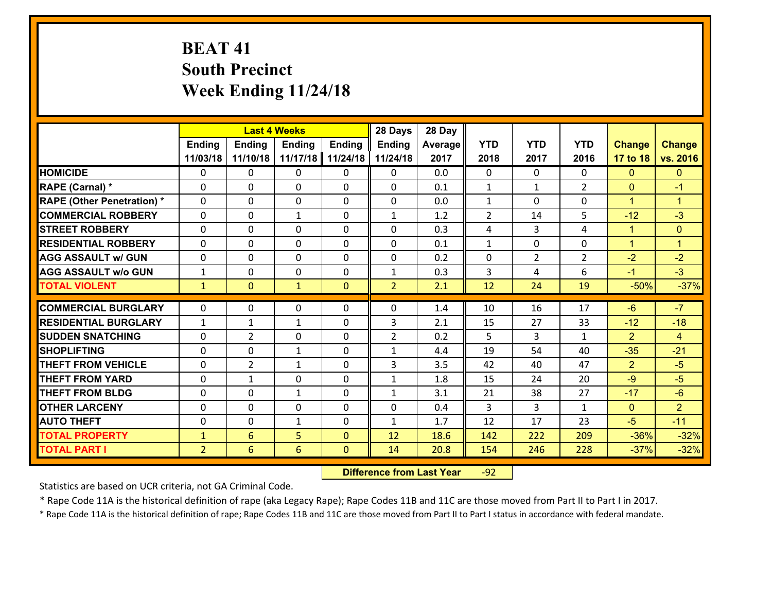# **BEAT 41 South Precinct Week Ending 11/24/18**

|                                   |                |                | <b>Last 4 Weeks</b> |               | 28 Days        | 28 Day  |                |                |                |                |                      |
|-----------------------------------|----------------|----------------|---------------------|---------------|----------------|---------|----------------|----------------|----------------|----------------|----------------------|
|                                   | <b>Ending</b>  | <b>Ending</b>  | <b>Ending</b>       | <b>Ending</b> | <b>Ending</b>  | Average | <b>YTD</b>     | <b>YTD</b>     | <b>YTD</b>     | <b>Change</b>  | <b>Change</b>        |
|                                   | 11/03/18       | 11/10/18       | 11/17/18            | 11/24/18      | 11/24/18       | 2017    | 2018           | 2017           | 2016           | 17 to 18       | vs. 2016             |
| <b>HOMICIDE</b>                   | $\Omega$       | 0              | $\Omega$            | 0             | $\Omega$       | 0.0     | $\Omega$       | $\Omega$       | 0              | $\Omega$       | $\mathbf{0}$         |
| <b>RAPE (Carnal)</b> *            | 0              | 0              | $\mathbf{0}$        | 0             | $\Omega$       | 0.1     | $\mathbf{1}$   | $\mathbf{1}$   | $\overline{2}$ | $\mathbf{0}$   | $-1$                 |
| <b>RAPE (Other Penetration) *</b> | $\Omega$       | 0              | $\mathbf{0}$        | $\Omega$      | $\Omega$       | 0.0     | $\mathbf{1}$   | $\Omega$       | $\Omega$       | $\mathbf{1}$   | $\blacktriangleleft$ |
| <b>COMMERCIAL ROBBERY</b>         | 0              | 0              | 1                   | 0             | $\mathbf{1}$   | 1.2     | $\overline{2}$ | 14             | 5              | $-12$          | $-3$                 |
| <b>STREET ROBBERY</b>             | $\Omega$       | 0              | $\mathbf 0$         | $\Omega$      | 0              | 0.3     | 4              | 3              | 4              | $\mathbf{1}$   | $\mathbf{0}$         |
| <b>RESIDENTIAL ROBBERY</b>        | $\Omega$       | $\Omega$       | $\mathbf 0$         | $\Omega$      | 0              | 0.1     | $\mathbf{1}$   | $\Omega$       | $\Omega$       | $\mathbf{1}$   | $\blacktriangleleft$ |
| <b>AGG ASSAULT w/ GUN</b>         | $\Omega$       | 0              | $\mathbf 0$         | $\Omega$      | 0              | 0.2     | $\mathbf 0$    | $\overline{2}$ | $\overline{2}$ | $-2$           | $-2$                 |
| <b>AGG ASSAULT w/o GUN</b>        | $\mathbf{1}$   | 0              | $\mathbf 0$         | 0             | $\mathbf{1}$   | 0.3     | 3              | 4              | 6              | $-1$           | $-3$                 |
| <b>TOTAL VIOLENT</b>              | $\mathbf{1}$   | $\overline{0}$ | $\mathbf{1}$        | $\mathbf{0}$  | $\overline{2}$ | 2.1     | 12             | 24             | 19             | $-50%$         | $-37%$               |
| <b>COMMERCIAL BURGLARY</b>        | $\Omega$       | 0              | $\mathbf{0}$        | $\Omega$      | $\Omega$       | 1.4     | 10             | 16             | 17             | $-6$           | $-7$                 |
| <b>RESIDENTIAL BURGLARY</b>       | $\mathbf{1}$   | 1              | $\mathbf{1}$        | 0             | 3              | 2.1     | 15             | 27             | 33             | $-12$          | $-18$                |
| <b>SUDDEN SNATCHING</b>           | 0              | $\overline{2}$ | $\mathbf 0$         | 0             | $\overline{2}$ | 0.2     | 5              | 3              | $\mathbf{1}$   | $\overline{2}$ | $\overline{4}$       |
| <b>SHOPLIFTING</b>                | $\Omega$       | 0              | 1                   | 0             | $\mathbf{1}$   | 4.4     | 19             | 54             | 40             | $-35$          | $-21$                |
| <b>THEFT FROM VEHICLE</b>         | $\Omega$       | $\overline{2}$ | 1                   | 0             | 3              | 3.5     | 42             | 40             | 47             | $\overline{2}$ | $-5$                 |
| <b>THEFT FROM YARD</b>            | 0              | $\mathbf{1}$   | $\mathbf 0$         | 0             | $\mathbf{1}$   | 1.8     | 15             | 24             | 20             | $-9$           | $-5$                 |
| <b>THEFT FROM BLDG</b>            | 0              | 0              | 1                   | 0             | $\mathbf{1}$   | 3.1     | 21             | 38             | 27             | $-17$          | $-6$                 |
| <b>OTHER LARCENY</b>              | 0              | 0              | $\mathbf 0$         | 0             | 0              | 0.4     | 3              | 3              | $\mathbf{1}$   | $\overline{0}$ | 2 <sup>1</sup>       |
| <b>AUTO THEFT</b>                 | 0              | 0              | $\mathbf{1}$        | 0             | $\mathbf{1}$   | 1.7     | 12             | 17             | 23             | $-5$           | $-11$                |
| <b>TOTAL PROPERTY</b>             | $\mathbf{1}$   | 6              | 5                   | $\mathbf{0}$  | 12             | 18.6    | 142            | 222            | 209            | $-36%$         | $-32%$               |
| <b>TOTAL PART I</b>               | $\overline{2}$ | 6              | 6                   | $\mathbf{0}$  | 14             | 20.8    | 154            | 246            | 228            | $-37%$         | $-32%$               |

 **Difference from Last Year**r -92

Statistics are based on UCR criteria, not GA Criminal Code.

\* Rape Code 11A is the historical definition of rape (aka Legacy Rape); Rape Codes 11B and 11C are those moved from Part II to Part I in 2017.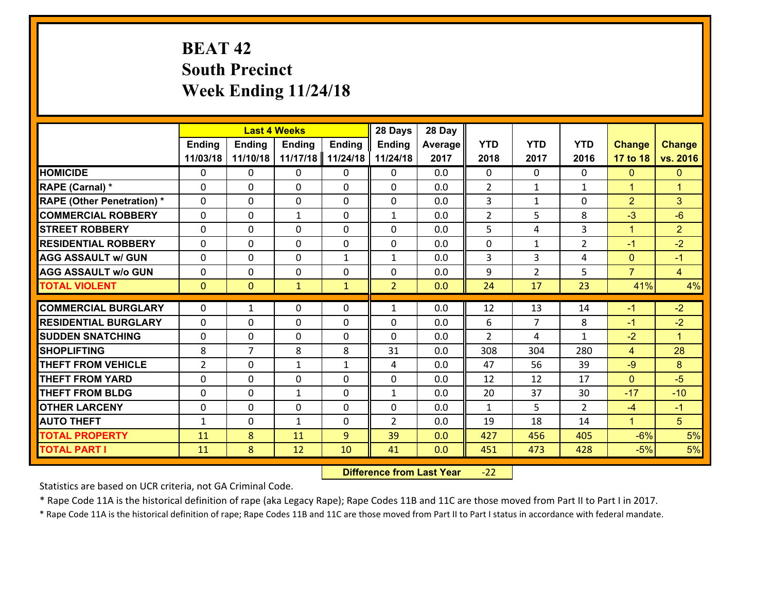# **BEAT 42 South Precinct Week Ending 11/24/18**

|                                              |                | <b>Last 4 Weeks</b> |               |               | 28 Days        | 28 Day     |               |                |                |                |                      |
|----------------------------------------------|----------------|---------------------|---------------|---------------|----------------|------------|---------------|----------------|----------------|----------------|----------------------|
|                                              | Ending         | <b>Ending</b>       | <b>Ending</b> | <b>Ending</b> | <b>Ending</b>  | Average    | <b>YTD</b>    | <b>YTD</b>     | <b>YTD</b>     | <b>Change</b>  | <b>Change</b>        |
|                                              | 11/03/18       | 11/10/18            | 11/17/18      | 11/24/18      | 11/24/18       | 2017       | 2018          | 2017           | 2016           | 17 to 18       | vs. 2016             |
| <b>HOMICIDE</b>                              | 0              | 0                   | $\mathbf{0}$  | 0             | 0              | 0.0        | $\Omega$      | $\Omega$       | $\Omega$       | $\mathbf{0}$   | $\mathbf{0}$         |
| RAPE (Carnal) *                              | $\Omega$       | 0                   | $\mathbf{0}$  | 0             | $\Omega$       | 0.0        | 2             | $\mathbf{1}$   | $\mathbf{1}$   | $\mathbf{1}$   | $\blacktriangleleft$ |
| <b>RAPE (Other Penetration) *</b>            | $\Omega$       | 0                   | $\Omega$      | $\Omega$      | $\Omega$       | 0.0        | 3             | $\mathbf{1}$   | $\Omega$       | $\overline{2}$ | 3                    |
| <b>COMMERCIAL ROBBERY</b>                    | 0              | 0                   | $\mathbf{1}$  | 0             | $\mathbf{1}$   | 0.0        | 2             | 5              | 8              | $-3$           | $-6$                 |
| <b>STREET ROBBERY</b>                        | $\Omega$       | 0                   | $\mathbf 0$   | $\Omega$      | 0              | 0.0        | 5             | 4              | 3              | $\mathbf{1}$   | $\overline{2}$       |
| <b>RESIDENTIAL ROBBERY</b>                   | $\Omega$       | $\Omega$            | $\mathbf 0$   | $\Omega$      | 0              | 0.0        | 0             | $\mathbf{1}$   | $\overline{2}$ | $-1$           | $-2$                 |
| <b>AGG ASSAULT w/ GUN</b>                    | $\Omega$       | 0                   | $\mathbf 0$   | $\mathbf{1}$  | $\mathbf{1}$   | 0.0        | 3             | 3              | 4              | $\overline{0}$ | $-1$                 |
| <b>AGG ASSAULT w/o GUN</b>                   | 0              | 0                   | $\mathbf 0$   | 0             | 0              | 0.0        | 9             | $\overline{2}$ | 5              | $\overline{7}$ | $\overline{4}$       |
| <b>TOTAL VIOLENT</b>                         | $\mathbf{0}$   | $\overline{0}$      | $\mathbf{1}$  | $\mathbf{1}$  | $\overline{2}$ | 0.0        | 24            | 17             | 23             | 41%            | 4%                   |
| <b>COMMERCIAL BURGLARY</b>                   | $\Omega$       | 1                   | 0             | 0             | $\mathbf{1}$   | 0.0        | 12            | 13             | 14             | $-1$           | $-2$                 |
|                                              |                |                     |               |               |                |            |               |                |                |                |                      |
|                                              |                |                     |               |               |                |            |               |                |                |                |                      |
| <b>RESIDENTIAL BURGLARY</b>                  | $\Omega$       | 0                   | $\mathbf{0}$  | 0             | 0              | 0.0        | 6             | $\overline{7}$ | 8              | $-1$           | $-2$                 |
| <b>SUDDEN SNATCHING</b>                      | $\Omega$       | 0                   | $\mathbf{0}$  | 0             | $\Omega$       | 0.0        | $\mathcal{L}$ | 4              | $\mathbf{1}$   | $-2$           | $\blacktriangleleft$ |
| <b>SHOPLIFTING</b>                           | 8              | $\overline{7}$      | 8             | 8             | 31             | 0.0        | 308           | 304            | 280            | $\overline{4}$ | 28                   |
| <b>THEFT FROM VEHICLE</b>                    | $\overline{2}$ | 0                   | $\mathbf{1}$  | $\mathbf{1}$  | 4              | 0.0        | 47            | 56             | 39             | $-9$           | 8                    |
| <b>THEFT FROM YARD</b>                       | 0              | 0                   | $\mathbf 0$   | $\Omega$      | 0              | 0.0        | 12            | 12             | 17             | $\mathbf{0}$   | $-5$                 |
| <b>THEFT FROM BLDG</b>                       | 0              | 0                   | $\mathbf{1}$  | 0             | $\mathbf{1}$   | 0.0        | 20            | 37             | 30             | $-17$          | $-10$                |
| <b>OTHER LARCENY</b>                         | 0              | 0                   | $\mathbf 0$   | 0             | 0              | 0.0        | $\mathbf{1}$  | 5              | $\mathcal{L}$  | $-4$           | $-1$                 |
| <b>AUTO THEFT</b>                            | $\mathbf{1}$   | 0                   | $\mathbf{1}$  | 0             | $\overline{2}$ | 0.0        | 19            | 18             | 14             | $\mathbf{1}$   | 5 <sup>5</sup>       |
| <b>TOTAL PROPERTY</b><br><b>TOTAL PART I</b> | 11<br>11       | 8<br>8              | 11<br>12      | 9<br>10       | 39<br>41       | 0.0<br>0.0 | 427<br>451    | 456<br>473     | 405<br>428     | $-6%$<br>$-5%$ | 5%<br>5%             |

 **Difference from Last Year**r -22

Statistics are based on UCR criteria, not GA Criminal Code.

\* Rape Code 11A is the historical definition of rape (aka Legacy Rape); Rape Codes 11B and 11C are those moved from Part II to Part I in 2017.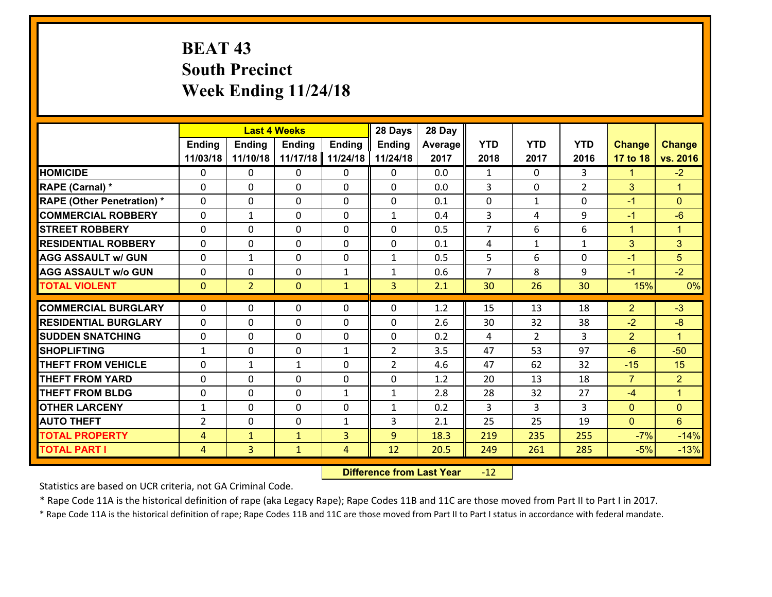# **BEAT 43 South Precinct Week Ending 11/24/18**

|                                               |                |                | <b>Last 4 Weeks</b> |               | 28 Days             | 28 Day     |                |                      |                |                        |                               |
|-----------------------------------------------|----------------|----------------|---------------------|---------------|---------------------|------------|----------------|----------------------|----------------|------------------------|-------------------------------|
|                                               | <b>Ending</b>  | <b>Ending</b>  | <b>Ending</b>       | <b>Ending</b> | <b>Ending</b>       | Average    | <b>YTD</b>     | <b>YTD</b>           | <b>YTD</b>     | <b>Change</b>          | <b>Change</b>                 |
|                                               | 11/03/18       | 11/10/18       | 11/17/18            | 11/24/18      | 11/24/18            | 2017       | 2018           | 2017                 | 2016           | 17 to 18               | vs. 2016                      |
| <b>HOMICIDE</b>                               | $\Omega$       | 0              | $\Omega$            | 0             | $\Omega$            | 0.0        | 1              | $\Omega$             | 3              | $\mathbf{1}$           | $-2$                          |
| RAPE (Carnal) *                               | 0              | 0              | $\mathbf{0}$        | 0             | 0                   | 0.0        | 3              | 0                    | $\overline{2}$ | 3                      | $\blacktriangleleft$          |
| <b>RAPE (Other Penetration) *</b>             | $\Omega$       | 0              | $\mathbf{0}$        | $\Omega$      | 0                   | 0.1        | 0              | $\mathbf{1}$         | $\Omega$       | $-1$                   | $\mathbf{0}$                  |
| <b>COMMERCIAL ROBBERY</b>                     | 0              | 1              | 0                   | 0             | $\mathbf{1}$        | 0.4        | 3              | 4                    | 9              | $-1$                   | $-6$                          |
| <b>STREET ROBBERY</b>                         | $\Omega$       | 0              | $\mathbf 0$         | 0             | 0                   | 0.5        | $\overline{7}$ | 6                    | 6              | $\mathbf{1}$           | $\mathbf{1}$                  |
| <b>RESIDENTIAL ROBBERY</b>                    | $\Omega$       | 0              | $\mathbf 0$         | $\Omega$      | 0                   | 0.1        | 4              | $\mathbf{1}$         | $\mathbf{1}$   | 3                      | 3                             |
| <b>AGG ASSAULT w/ GUN</b>                     | 0              | 1              | $\mathbf 0$         | 0             | $\mathbf{1}$        | 0.5        | 5 <sup>5</sup> | 6                    | $\Omega$       | $-1$                   | 5                             |
| <b>AGG ASSAULT w/o GUN</b>                    | 0              | 0              | $\mathbf 0$         | $\mathbf{1}$  | $\mathbf{1}$        | 0.6        | $\overline{7}$ | 8                    | 9              | $-1$                   | $-2$                          |
| <b>TOTAL VIOLENT</b>                          | $\mathbf{0}$   | $\overline{2}$ | $\mathbf{O}$        | $\mathbf{1}$  | 3                   | 2.1        | 30             | 26                   | 30             | 15%                    | 0%                            |
| <b>COMMERCIAL BURGLARY</b>                    | $\Omega$       | 0              | $\mathbf{0}$        | $\Omega$      | $\Omega$            | 1.2        | 15             | 13                   | 18             | $\overline{2}$         | $-3$                          |
|                                               |                |                |                     |               |                     |            |                |                      |                |                        |                               |
| <b>RESIDENTIAL BURGLARY</b>                   | 0              | 0              | $\mathbf 0$         | 0             | 0                   | 2.6        | 30             | 32                   | 38             | $-2$                   | $-8$                          |
| <b>SUDDEN SNATCHING</b><br><b>SHOPLIFTING</b> | 0              | 0              | $\mathbf 0$         | 0             | 0<br>$\overline{2}$ | 0.2<br>3.5 | 4<br>47        | $\overline{2}$<br>53 | 3<br>97        | $\overline{2}$<br>$-6$ | $\blacktriangleleft$<br>$-50$ |
|                                               | $\mathbf{1}$   | 0              | $\mathbf 0$         | $\mathbf{1}$  |                     |            |                |                      |                |                        |                               |
| <b>THEFT FROM VEHICLE</b>                     | $\Omega$       | $\mathbf{1}$   | 1                   | 0             | $\overline{2}$      | 4.6        | 47             | 62                   | 32             | $-15$                  | 15                            |
| <b>THEFT FROM YARD</b>                        | 0              | 0              | $\mathbf 0$         | 0             | 0                   | 1.2        | 20             | 13                   | 18             | $\overline{7}$         | $\overline{2}$                |
| <b>THEFT FROM BLDG</b>                        | 0              | 0              | $\mathbf 0$         | $\mathbf{1}$  | $\mathbf{1}$        | 2.8        | 28             | 32                   | 27             | $-4$                   | $\mathbf{1}$                  |
| <b>OTHER LARCENY</b>                          | $\mathbf{1}$   | 0              | $\mathbf 0$         | 0             | $\mathbf{1}$        | 0.2        | 3              | 3                    | 3              | $\mathbf{0}$           | $\overline{0}$                |
| <b>AUTO THEFT</b>                             | 2              | 0              | $\mathbf{0}$        | $\mathbf{1}$  | 3                   | 2.1        | 25             | 25                   | 19             | $\mathbf{0}$           | $6\overline{6}$               |
| <b>TOTAL PROPERTY</b>                         | $\overline{4}$ | $\mathbf{1}$   | $\mathbf{1}$        | 3             | 9                   | 18.3       | 219            | 235                  | 255            | $-7%$                  | $-14%$                        |
| <b>TOTAL PART I</b>                           | $\overline{4}$ | $\overline{3}$ | $\mathbf{1}$        | 4             | 12                  | 20.5       | 249            | 261                  | 285            | $-5%$                  | $-13%$                        |

 **Difference from Last Year**r -12

Statistics are based on UCR criteria, not GA Criminal Code.

\* Rape Code 11A is the historical definition of rape (aka Legacy Rape); Rape Codes 11B and 11C are those moved from Part II to Part I in 2017.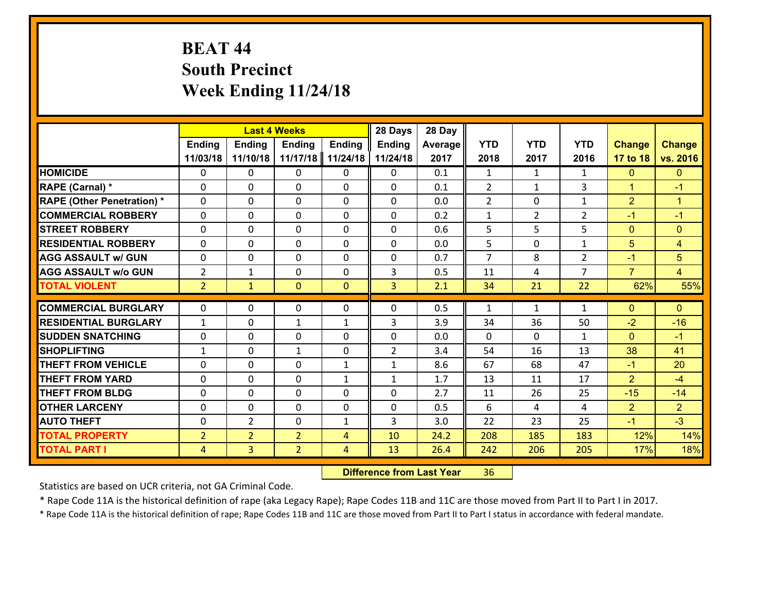# **BEAT 44 South Precinct Week Ending 11/24/18**

|                                              |                                  |                                  | <b>Last 4 Weeks</b>              |                   | 28 Days        | 28 Day      |              |                |                |                        |                        |
|----------------------------------------------|----------------------------------|----------------------------------|----------------------------------|-------------------|----------------|-------------|--------------|----------------|----------------|------------------------|------------------------|
|                                              | <b>Ending</b>                    | <b>Ending</b>                    | <b>Ending</b>                    | <b>Ending</b>     | <b>Ending</b>  | Average     | <b>YTD</b>   | <b>YTD</b>     | <b>YTD</b>     | <b>Change</b>          | <b>Change</b>          |
|                                              | 11/03/18                         | 11/10/18                         | 11/17/18                         | 11/24/18          | 11/24/18       | 2017        | 2018         | 2017           | 2016           | 17 to 18               | vs. 2016               |
| <b>HOMICIDE</b>                              | $\mathbf{0}$                     | 0                                | $\mathbf{0}$                     | 0                 | 0              | 0.1         | 1            | $\mathbf{1}$   | $\mathbf{1}$   | $\mathbf{0}$           | $\mathbf{0}$           |
| RAPE (Carnal) *                              | $\Omega$                         | 0                                | $\mathbf{0}$                     | 0                 | 0              | 0.1         | 2            | $\mathbf{1}$   | 3              | $\mathbf{1}$           | $-1$                   |
| <b>RAPE (Other Penetration) *</b>            | $\Omega$                         | 0                                | $\Omega$                         | $\Omega$          | $\Omega$       | 0.0         | 2            | $\Omega$       | $\mathbf{1}$   | $\overline{2}$         | $\blacktriangleleft$   |
| <b>COMMERCIAL ROBBERY</b>                    | 0                                | 0                                | $\mathbf 0$                      | 0                 | 0              | 0.2         | $\mathbf{1}$ | $\overline{2}$ | $\overline{2}$ | $-1$                   | $-1$                   |
| <b>STREET ROBBERY</b>                        | $\Omega$                         | 0                                | $\mathbf 0$                      | $\Omega$          | 0              | 0.6         | 5            | 5              | 5              | $\mathbf{0}$           | $\mathbf{0}$           |
| <b>RESIDENTIAL ROBBERY</b>                   | $\Omega$                         | $\Omega$                         | $\mathbf 0$                      | $\Omega$          | $\Omega$       | 0.0         | 5            | $\Omega$       | $\mathbf{1}$   | 5                      | $\overline{4}$         |
| <b>AGG ASSAULT w/ GUN</b>                    | $\Omega$                         | 0                                | $\mathbf 0$                      | $\Omega$          | 0              | 0.7         | 7            | 8              | $\overline{2}$ | $-1$                   | $5\phantom{.}$         |
| <b>AGG ASSAULT w/o GUN</b>                   | $\overline{2}$                   | 1                                | $\mathbf 0$                      | 0                 | 3              | 0.5         | 11           | 4              | $\overline{7}$ | $\overline{7}$         | $\overline{4}$         |
| <b>TOTAL VIOLENT</b>                         | 2 <sup>1</sup>                   | $\mathbf{1}$                     | $\mathbf{0}$                     | $\mathbf{0}$      | $\overline{3}$ | 2.1         | 34           | 21             | 22             | 62%                    | 55%                    |
| <b>COMMERCIAL BURGLARY</b>                   | $\mathbf{0}$                     | 0                                | 0                                | 0                 | $\Omega$       | 0.5         | 1            | $\mathbf{1}$   | $\mathbf{1}$   | $\mathbf{0}$           | $\mathbf{0}$           |
|                                              |                                  |                                  |                                  |                   |                |             |              |                |                |                        |                        |
|                                              |                                  |                                  |                                  |                   |                |             |              |                |                |                        |                        |
| <b>RESIDENTIAL BURGLARY</b>                  | $\mathbf{1}$                     | 0                                | 1                                | $\mathbf{1}$      | 3              | 3.9         | 34           | 36             | 50             | $-2$                   | $-16$                  |
| <b>SUDDEN SNATCHING</b>                      | $\mathbf{0}$                     | 0                                | $\mathbf{0}$                     | $\Omega$          | $\Omega$       | 0.0         | $\Omega$     | $\Omega$       | $\mathbf{1}$   | $\Omega$               | $-1$                   |
| <b>SHOPLIFTING</b>                           | $\mathbf{1}$                     | 0                                | $\mathbf{1}$                     | 0                 | $\overline{2}$ | 3.4         | 54           | 16             | 13             | 38                     | 41                     |
| <b>THEFT FROM VEHICLE</b>                    | $\Omega$                         | 0                                | $\mathbf{0}$                     | $\mathbf{1}$      | $\mathbf{1}$   | 8.6         | 67           | 68             | 47             | $-1$                   | 20                     |
| <b>THEFT FROM YARD</b>                       | 0                                | 0                                | $\mathbf 0$                      | $\mathbf{1}$      | $\mathbf{1}$   | 1.7         | 13           | 11             | 17             | $\overline{2}$         | $-4$                   |
| <b>THEFT FROM BLDG</b>                       | 0                                | 0                                | $\mathbf 0$                      | 0                 | 0              | 2.7         | 11           | 26             | 25<br>4        | $-15$                  | $-14$                  |
| <b>OTHER LARCENY</b><br><b>AUTO THEFT</b>    | 0<br>0                           | 0<br>$\overline{2}$              | $\mathbf 0$                      | 0<br>$\mathbf{1}$ | 0<br>3         | 0.5         | 6            | 4<br>23        |                | $\overline{2}$<br>$-1$ | $\overline{2}$<br>$-3$ |
|                                              |                                  |                                  | $\mathbf 0$                      | $\overline{4}$    |                | 3.0<br>24.2 | 22           |                | 25<br>183      |                        |                        |
| <b>TOTAL PROPERTY</b><br><b>TOTAL PART I</b> | $\overline{2}$<br>$\overline{4}$ | $\overline{2}$<br>$\overline{3}$ | $\overline{2}$<br>$\overline{2}$ | 4                 | 10<br>13       | 26.4        | 208<br>242   | 185<br>206     | 205            | 12%<br>17%             | 14%<br>18%             |

 **Difference from Last Year**r 36

Statistics are based on UCR criteria, not GA Criminal Code.

\* Rape Code 11A is the historical definition of rape (aka Legacy Rape); Rape Codes 11B and 11C are those moved from Part II to Part I in 2017.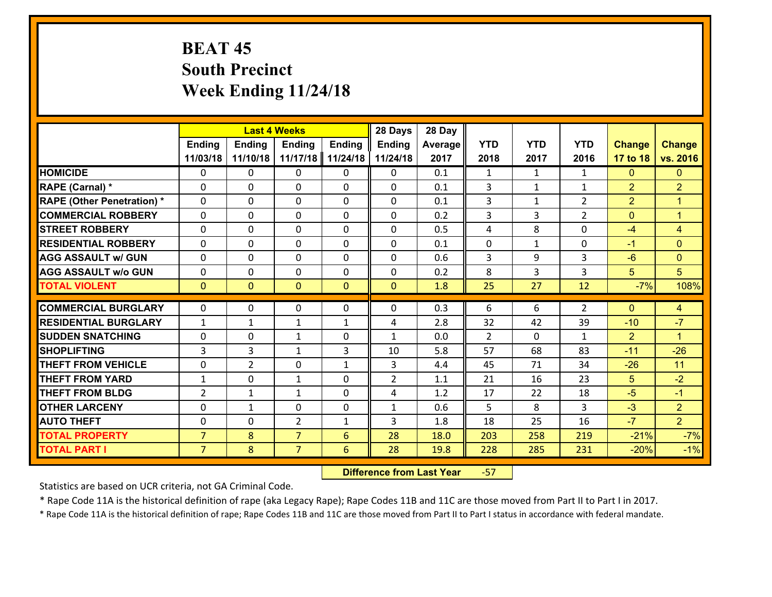# **BEAT 45 South Precinct Week Ending 11/24/18**

|                                   |                | <b>Last 4 Weeks</b> |                |               | 28 Days        | 28 Day  |                |              |                |                 |                |
|-----------------------------------|----------------|---------------------|----------------|---------------|----------------|---------|----------------|--------------|----------------|-----------------|----------------|
|                                   | <b>Ending</b>  | <b>Ending</b>       | <b>Ending</b>  | <b>Ending</b> | <b>Ending</b>  | Average | <b>YTD</b>     | <b>YTD</b>   | <b>YTD</b>     | <b>Change</b>   | <b>Change</b>  |
|                                   | 11/03/18       | 11/10/18            | 11/17/18       | 11/24/18      | 11/24/18       | 2017    | 2018           | 2017         | 2016           | 17 to 18        | vs. 2016       |
| <b>HOMICIDE</b>                   | $\Omega$       | 0                   | $\Omega$       | 0             | $\Omega$       | 0.1     | $\mathbf{1}$   | $\mathbf{1}$ | $\mathbf{1}$   | $\Omega$        | $\Omega$       |
| RAPE (Carnal) *                   | $\Omega$       | 0                   | $\mathbf{0}$   | $\Omega$      | 0              | 0.1     | 3              | $\mathbf{1}$ | $\mathbf{1}$   | $\overline{2}$  | $\overline{2}$ |
| <b>RAPE (Other Penetration) *</b> | $\Omega$       | 0                   | $\Omega$       | $\Omega$      | 0              | 0.1     | 3              | $\mathbf{1}$ | $\overline{2}$ | $\overline{2}$  | $\mathbf{1}$   |
| <b>COMMERCIAL ROBBERY</b>         | $\mathbf 0$    | 0                   | $\mathbf{0}$   | $\Omega$      | 0              | 0.2     | 3              | 3            | $\overline{2}$ | $\mathbf{0}$    | $\mathbf{1}$   |
| <b>STREET ROBBERY</b>             | $\Omega$       | 0                   | $\mathbf 0$    | 0             | $\Omega$       | 0.5     | 4              | 8            | 0              | $-4$            | $\overline{4}$ |
| <b>RESIDENTIAL ROBBERY</b>        | $\mathbf{0}$   | 0                   | $\Omega$       | 0             | $\Omega$       | 0.1     | $\mathbf 0$    | $\mathbf{1}$ | 0              | $-1$            | $\Omega$       |
| <b>AGG ASSAULT w/ GUN</b>         | $\mathbf{0}$   | 0                   | $\Omega$       | 0             | $\Omega$       | 0.6     | 3              | 9            | 3              | $-6$            | $\overline{0}$ |
| <b>AGG ASSAULT w/o GUN</b>        | $\mathbf 0$    | 0                   | $\mathbf 0$    | 0             | 0              | 0.2     | 8              | 3            | 3              | $5\phantom{.0}$ | 5              |
| <b>TOTAL VIOLENT</b>              | $\overline{0}$ | $\mathbf{O}$        | $\overline{0}$ | $\mathbf{0}$  | $\mathbf{0}$   | 1.8     | 25             | 27           | 12             | $-7%$           | 108%           |
| <b>COMMERCIAL BURGLARY</b>        | $\Omega$       | $\Omega$            | $\Omega$       | $\Omega$      | 0              | 0.3     | 6              | 6            | $\overline{2}$ | $\Omega$        | 4              |
| <b>RESIDENTIAL BURGLARY</b>       | $\mathbf{1}$   | 1                   | $\mathbf{1}$   | $\mathbf{1}$  | 4              | 2.8     | 32             | 42           | 39             | $-10$           | $-7$           |
| <b>SUDDEN SNATCHING</b>           | $\mathbf 0$    | 0                   | $\mathbf{1}$   | 0             | $\mathbf{1}$   | 0.0     | $\overline{2}$ | $\Omega$     | $\mathbf{1}$   | $\overline{2}$  | $\mathbf{1}$   |
| <b>SHOPLIFTING</b>                | $\overline{3}$ | 3                   | $\mathbf{1}$   | 3             | 10             | 5.8     | 57             | 68           | 83             | $-11$           | $-26$          |
| <b>THEFT FROM VEHICLE</b>         | $\mathbf 0$    | $\overline{2}$      | $\mathbf 0$    | $\mathbf{1}$  | 3              | 4.4     | 45             | 71           | 34             | $-26$           | 11             |
| <b>THEFT FROM YARD</b>            | $\mathbf{1}$   | 0                   | $\mathbf{1}$   | $\mathbf 0$   | $\overline{2}$ | 1.1     | 21             | 16           | 23             | $5\phantom{.0}$ | $-2$           |
| <b>THEFT FROM BLDG</b>            | $\overline{2}$ | $\mathbf{1}$        | $\mathbf{1}$   | 0             | 4              | 1.2     | 17             | 22           | 18             | $-5$            | $-1$           |
| <b>OTHER LARCENY</b>              | $\mathbf 0$    | $\mathbf{1}$        | $\mathbf 0$    | 0             | $\mathbf{1}$   | 0.6     | 5              | 8            | 3              | $-3$            | $\overline{2}$ |
| <b>AUTO THEFT</b>                 | $\mathbf 0$    | $\mathbf{0}$        | $\overline{2}$ | $\mathbf{1}$  | 3              | 1.8     | 18             | 25           | 16             | $-7$            | $\overline{2}$ |
| <b>TOTAL PROPERTY</b>             | $\overline{7}$ | 8                   | $\overline{7}$ | 6             | 28             | 18.0    | 203            | 258          | 219            | $-21%$          | $-7%$          |
| <b>TOTAL PART I</b>               | $\overline{7}$ | 8                   | $\overline{7}$ | 6             | 28             | 19.8    | 228            | 285          | 231            | $-20%$          | $-1%$          |

 **Difference from Last Year**‐57

Statistics are based on UCR criteria, not GA Criminal Code.

\* Rape Code 11A is the historical definition of rape (aka Legacy Rape); Rape Codes 11B and 11C are those moved from Part II to Part I in 2017.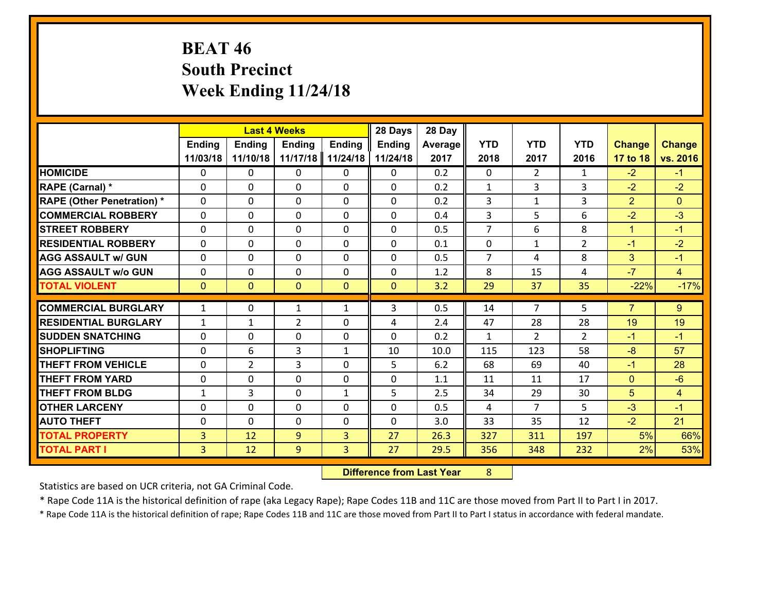# **BEAT 46 South Precinct Week Ending 11/24/18**

|                                   |                | <b>Last 4 Weeks</b> |                |               | 28 Days       | 28 Day  |                |                |                |                |                |
|-----------------------------------|----------------|---------------------|----------------|---------------|---------------|---------|----------------|----------------|----------------|----------------|----------------|
|                                   | <b>Ending</b>  | <b>Ending</b>       | <b>Ending</b>  | <b>Ending</b> | <b>Ending</b> | Average | <b>YTD</b>     | <b>YTD</b>     | <b>YTD</b>     | <b>Change</b>  | <b>Change</b>  |
|                                   | 11/03/18       | 11/10/18            | 11/17/18       | 11/24/18      | 11/24/18      | 2017    | 2018           | 2017           | 2016           | 17 to 18       | vs. 2016       |
| <b>HOMICIDE</b>                   | 0              | 0                   | 0              | 0             | 0             | 0.2     | $\mathbf 0$    | $\overline{2}$ | $\mathbf{1}$   | $-2$           | $-1$           |
| <b>RAPE (Carnal) *</b>            | $\Omega$       | 0                   | $\mathbf{0}$   | 0             | $\Omega$      | 0.2     | 1              | 3              | 3              | $-2$           | $-2$           |
| <b>RAPE (Other Penetration) *</b> | $\Omega$       | 0                   | $\Omega$       | $\Omega$      | $\Omega$      | 0.2     | 3              | $\mathbf{1}$   | 3              | $\overline{2}$ | $\Omega$       |
| <b>COMMERCIAL ROBBERY</b>         | $\Omega$       | $\Omega$            | $\mathbf 0$    | $\Omega$      | 0             | 0.4     | 3              | 5              | 6              | $-2$           | $-3$           |
| <b>STREET ROBBERY</b>             | 0              | 0                   | $\mathbf 0$    | 0             | 0             | 0.5     | $\overline{7}$ | 6              | 8              | $\mathbf{1}$   | $-1$           |
| <b>RESIDENTIAL ROBBERY</b>        | $\Omega$       | 0                   | $\mathbf 0$    | 0             | 0             | 0.1     | $\mathbf 0$    | $\mathbf{1}$   | $\overline{2}$ | $-1$           | $-2$           |
| <b>AGG ASSAULT w/ GUN</b>         | 0              | 0                   | $\mathbf 0$    | 0             | 0             | 0.5     | $\overline{7}$ | 4              | 8              | 3              | $-1$           |
| <b>AGG ASSAULT w/o GUN</b>        | 0              | 0                   | $\mathbf 0$    | 0             | 0             | 1.2     | 8              | 15             | 4              | $-7$           | $\overline{4}$ |
| <b>TOTAL VIOLENT</b>              | $\mathbf{0}$   | $\overline{0}$      | $\mathbf{0}$   | $\mathbf{0}$  | $\mathbf{0}$  | 3.2     | 29             | 37             | 35             | $-22%$         | $-17%$         |
| <b>COMMERCIAL BURGLARY</b>        | $\mathbf{1}$   | 0                   | 1              | $\mathbf{1}$  | 3             | 0.5     | 14             | $\overline{7}$ | 5              | $\overline{7}$ | 9              |
|                                   |                |                     |                |               |               |         |                |                |                |                |                |
| <b>RESIDENTIAL BURGLARY</b>       | $\mathbf{1}$   | 1                   | $\overline{2}$ | $\Omega$      | 4             | 2.4     | 47             | 28             | 28             | 19             | 19             |
| <b>SUDDEN SNATCHING</b>           | $\Omega$       | 0                   | $\mathbf 0$    | $\Omega$      | $\Omega$      | 0.2     | $\mathbf{1}$   | $\overline{2}$ | $\mathcal{L}$  | $-1$           | $-1$           |
| <b>SHOPLIFTING</b>                | $\Omega$       | 6                   | 3              | $\mathbf{1}$  | 10            | 10.0    | 115            | 123            | 58             | $-8$           | 57             |
| <b>THEFT FROM VEHICLE</b>         | 0              | $\overline{2}$      | 3              | 0             | 5             | 6.2     | 68             | 69             | 40             | $-1$           | 28             |
| <b>THEFT FROM YARD</b>            | 0              | 0                   | $\mathbf 0$    | 0             | 0             | 1.1     | 11             | 11             | 17             | $\mathbf{0}$   | $-6$           |
| <b>THEFT FROM BLDG</b>            | $\mathbf{1}$   | 3                   | $\mathbf 0$    | $\mathbf{1}$  | 5             | 2.5     | 34             | 29             | 30             | 5              | $\overline{4}$ |
| <b>OTHER LARCENY</b>              | 0              | 0                   | $\mathbf 0$    | 0             | 0             | 0.5     | $\overline{4}$ | $\overline{7}$ | 5              | $-3$           | $-1$           |
| <b>AUTO THEFT</b>                 | 0              | 0                   | $\mathbf{0}$   | 0             | 0             | 3.0     | 33             | 35             | 12             | $-2$           | 21             |
| <b>TOTAL PROPERTY</b>             | 3              | 12                  | 9              | 3             | 27            | 26.3    | 327            | 311            | 197            | 5%             | 66%            |
| <b>TOTAL PART I</b>               | $\overline{3}$ | 12                  | 9              | 3             | 27            | 29.5    | 356            | 348            | 232            | 2%             | 53%            |

 **Difference from Last Year**r 8

Statistics are based on UCR criteria, not GA Criminal Code.

\* Rape Code 11A is the historical definition of rape (aka Legacy Rape); Rape Codes 11B and 11C are those moved from Part II to Part I in 2017.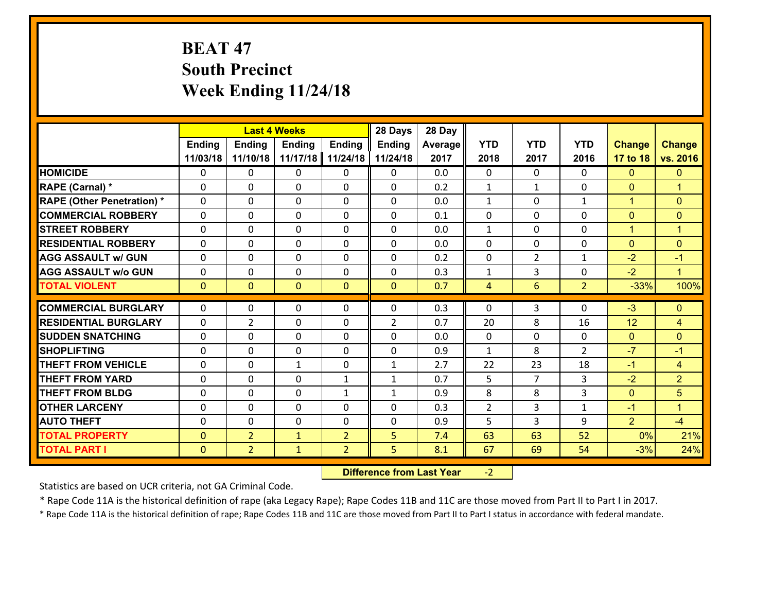# **BEAT 47 South Precinct Week Ending 11/24/18**

|                                   |                |                | <b>Last 4 Weeks</b> |                | 28 Days        | 28 Day  |                |                |                |                |                      |
|-----------------------------------|----------------|----------------|---------------------|----------------|----------------|---------|----------------|----------------|----------------|----------------|----------------------|
|                                   | <b>Ending</b>  | <b>Ending</b>  | <b>Ending</b>       | <b>Ending</b>  | <b>Ending</b>  | Average | <b>YTD</b>     | <b>YTD</b>     | <b>YTD</b>     | <b>Change</b>  | <b>Change</b>        |
|                                   | 11/03/18       | 11/10/18       | 11/17/18            | 11/24/18       | 11/24/18       | 2017    | 2018           | 2017           | 2016           | 17 to 18       | vs. 2016             |
| <b>HOMICIDE</b>                   | 0              | 0              | 0                   | 0              | 0              | 0.0     | $\Omega$       | $\Omega$       | 0              | $\mathbf{0}$   | $\mathbf{0}$         |
| RAPE (Carnal) *                   | 0              | 0              | $\mathbf{0}$        | 0              | 0              | 0.2     | $\mathbf{1}$   | $\mathbf{1}$   | 0              | $\mathbf{0}$   | $\blacktriangleleft$ |
| <b>RAPE (Other Penetration) *</b> | $\Omega$       | 0              | $\mathbf{0}$        | $\Omega$       | 0              | 0.0     | $\mathbf{1}$   | $\Omega$       | $\mathbf{1}$   | $\mathbf{1}$   | $\mathbf{0}$         |
| <b>COMMERCIAL ROBBERY</b>         | 0              | 0              | $\mathbf{0}$        | 0              | 0              | 0.1     | 0              | $\Omega$       | $\Omega$       | $\mathbf{0}$   | $\mathbf{0}$         |
| <b>STREET ROBBERY</b>             | 0              | 0              | $\mathbf 0$         | 0              | 0              | 0.0     | $\mathbf{1}$   | 0              | $\Omega$       | $\mathbf{1}$   | $\blacktriangleleft$ |
| <b>RESIDENTIAL ROBBERY</b>        | $\Omega$       | 0              | $\mathbf{0}$        | $\Omega$       | 0              | 0.0     | $\mathbf{0}$   | $\mathbf{0}$   | 0              | $\mathbf{0}$   | $\mathbf{0}$         |
| <b>AGG ASSAULT w/ GUN</b>         | $\Omega$       | 0              | $\mathbf 0$         | $\Omega$       | 0              | 0.2     | 0              | $\overline{2}$ | $\mathbf{1}$   | $-2$           | $-1$                 |
| <b>AGG ASSAULT w/o GUN</b>        | 0              | 0              | $\mathbf 0$         | 0              | 0              | 0.3     | $\mathbf{1}$   | 3              | 0              | $-2$           | $\mathbf{1}$         |
| <b>TOTAL VIOLENT</b>              | $\mathbf{0}$   | $\overline{0}$ | $\mathbf{0}$        | $\mathbf{0}$   | $\mathbf{0}$   | 0.7     | $\overline{4}$ | 6              | $\overline{2}$ | $-33%$         | 100%                 |
| <b>COMMERCIAL BURGLARY</b>        | $\mathbf 0$    | 0              | $\mathbf{0}$        | 0              | 0              | 0.3     | $\mathbf{0}$   | 3              | 0              |                | $\mathbf{0}$         |
|                                   |                |                |                     |                |                |         |                |                |                |                |                      |
|                                   |                |                |                     |                |                |         |                |                |                | $-3$           |                      |
| <b>RESIDENTIAL BURGLARY</b>       | $\Omega$       | 2              | $\mathbf{0}$        | 0              | $\overline{2}$ | 0.7     | 20             | 8              | 16             | 12             | $\overline{4}$       |
| <b>SUDDEN SNATCHING</b>           | 0              | 0              | 0                   | 0              | 0              | 0.0     | $\mathbf{0}$   | 0              | 0              | $\mathbf{0}$   | $\mathbf{0}$         |
| <b>SHOPLIFTING</b>                | 0              | 0              | $\mathbf 0$         | 0              | 0              | 0.9     | 1              | 8              | $\overline{2}$ | $-7$           | $-1$                 |
| <b>THEFT FROM VEHICLE</b>         | 0              | 0              | 1                   | 0              | $\mathbf{1}$   | 2.7     | 22             | 23             | 18             | $-1$           | $\overline{4}$       |
| <b>THEFT FROM YARD</b>            | 0              | 0              | $\mathbf{0}$        | $\mathbf{1}$   | $\mathbf{1}$   | 0.7     | 5              | 7              | 3              | $-2$           | $\overline{2}$       |
| <b>THEFT FROM BLDG</b>            | 0              | 0              | $\mathbf{0}$        | $\mathbf{1}$   | $\mathbf{1}$   | 0.9     | 8              | 8              | 3              | $\mathbf{0}$   | 5                    |
| <b>OTHER LARCENY</b>              | 0              | 0              | $\mathbf{0}$        | $\Omega$       | 0              | 0.3     | $\overline{2}$ | 3              | $\mathbf{1}$   | $-1$           | $\blacktriangleleft$ |
| <b>AUTO THEFT</b>                 | $\mathbf{0}$   | 0              | 0                   | 0              | 0              | 0.9     | 5              | 3              | 9              | $\overline{2}$ | $-4$                 |
| <b>TOTAL PROPERTY</b>             | $\overline{0}$ | $\overline{2}$ | $\mathbf{1}$        | $\overline{2}$ | 5              | 7.4     | 63             | 63             | 52             | 0%             | 21%                  |
| <b>TOTAL PART I</b>               | $\mathbf{0}$   | $\overline{2}$ | $\mathbf{1}$        | $\overline{2}$ | 5 <sup>1</sup> | 8.1     | 67             | 69             | 54             | $-3%$          | 24%                  |

 **Difference from Last Year**‐2

Statistics are based on UCR criteria, not GA Criminal Code.

\* Rape Code 11A is the historical definition of rape (aka Legacy Rape); Rape Codes 11B and 11C are those moved from Part II to Part I in 2017.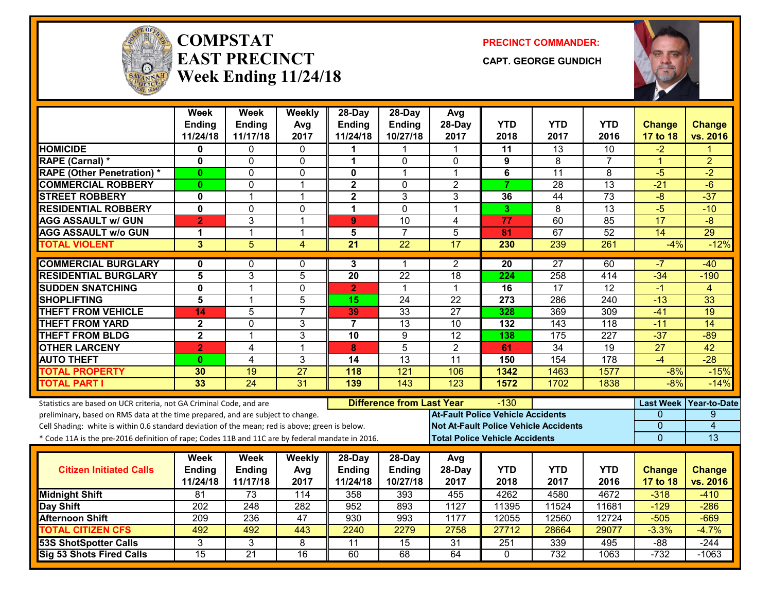

#### **COMPSTATEAST PRECINCTWeek Ending 11/24/18**

**PRECINCT COMMANDER:**

**CAPT. GEORGE GUNDICH**



|                                                                                                  | Week<br><b>Ending</b><br>11/24/18 | Week<br>Ending<br>11/17/18 | Weekly<br>Avg<br>2017 | 28-Day<br><b>Ending</b><br>11/24/18 | 28-Day<br><b>Ending</b><br>10/27/18 | Avg<br>28-Day<br>2017                    | <b>YTD</b><br>2018 | <b>YTD</b><br>2017                           | <b>YTD</b><br>2016 | <b>Change</b><br>17 to 18 | <b>Change</b><br>vs. 2016 |
|--------------------------------------------------------------------------------------------------|-----------------------------------|----------------------------|-----------------------|-------------------------------------|-------------------------------------|------------------------------------------|--------------------|----------------------------------------------|--------------------|---------------------------|---------------------------|
| <b>HOMICIDE</b>                                                                                  | 0                                 | 0                          | 0                     | 1                                   | 1                                   | 1                                        | 11                 | $\overline{13}$                              | 10                 | $-2$                      | 1                         |
| RAPE (Carnal) *                                                                                  | $\mathbf{0}$                      | 0                          | $\Omega$              | $\blacktriangleleft$                | $\Omega$                            | $\Omega$                                 | 9                  | 8                                            | $\overline{7}$     | $\mathbf{1}$              | $\overline{2}$            |
| <b>RAPE (Other Penetration) *</b>                                                                | $\mathbf{0}$                      | 0                          | $\Omega$              | $\mathbf{0}$                        | 1                                   | 1                                        | 6                  | 11                                           | 8                  | $-5$                      | $-2$                      |
| <b>COMMERCIAL ROBBERY</b>                                                                        | $\mathbf{0}$                      | 0                          | 1                     | $\mathbf 2$                         | 0                                   | $\overline{c}$                           | $\overline{7}$     | 28                                           | 13                 | $-21$                     | $-6$                      |
| <b>STREET ROBBERY</b>                                                                            | 0                                 | 1                          | $\mathbf 1$           | $\mathbf 2$                         | 3                                   | 3                                        | 36                 | 44                                           | 73                 | $-8$                      | $-37$                     |
| <b>RESIDENTIAL ROBBERY</b>                                                                       | $\mathbf{0}$                      | 0                          | $\mathbf 0$           | $\mathbf{1}$                        | $\Omega$                            | $\mathbf{1}$                             | 3                  | $\overline{8}$                               | $\overline{13}$    | $-5$                      | $-10$                     |
| <b>AGG ASSAULT w/ GUN</b>                                                                        | $\overline{2}$                    | 3                          | $\mathbf{1}$          | 9 <sup>°</sup>                      | 10                                  | $\overline{4}$                           | 77                 | 60                                           | 85                 | 17                        | $-8$                      |
| <b>AGG ASSAULT w/o GUN</b>                                                                       | $\mathbf 1$                       | $\mathbf{1}$               | $\mathbf 1$           | 5                                   | $\overline{7}$                      | 5                                        | 81                 | 67                                           | 52                 | 14                        | 29                        |
| <b>TOTAL VIOLENT</b>                                                                             | $\overline{3}$                    | $\overline{5}$             | 4                     | $\overline{21}$                     | $\overline{22}$                     | $\overline{17}$                          | 230                | 239                                          | 261                | $-4%$                     | $-12%$                    |
| <b>COMMERCIAL BURGLARY</b>                                                                       | $\mathbf{0}$                      | 0                          | $\mathbf{0}$          | 3                                   | 1                                   | $\overline{2}$                           | 20                 | $\overline{27}$                              | 60                 | -7                        | -40                       |
| <b>RESIDENTIAL BURGLARY</b>                                                                      | $\overline{\mathbf{5}}$           | 3                          | $\overline{5}$        | $\overline{20}$                     | $\overline{22}$                     | 18                                       | 224                | 258                                          | 414                | $-34$                     | $-190$                    |
| <b>SUDDEN SNATCHING</b>                                                                          | 0                                 | 1                          | 0                     | $\mathbf{2}$                        | $\mathbf{1}$                        | $\mathbf 1$                              | $\overline{16}$    | 17                                           | $\overline{12}$    | $-1$                      | $\overline{4}$            |
| <b>SHOPLIFTING</b>                                                                               | 5                                 | $\mathbf{1}$               | 5                     | 15                                  | 24                                  | $\overline{22}$                          | 273                | 286                                          | 240                | $-13$                     | 33                        |
| <b>THEFT FROM VEHICLE</b>                                                                        | 14                                | 5                          | $\overline{7}$        | 39                                  | $\overline{33}$                     | $\overline{27}$                          | 328                | 369                                          | 309                | $-41$                     | $\overline{19}$           |
| <b>THEFT FROM YARD</b>                                                                           | $\mathbf{2}$                      | $\overline{0}$             | 3                     | $\overline{7}$                      | $\overline{13}$                     | 10                                       | 132                | 143                                          | $\overline{118}$   | $-11$                     | $\overline{14}$           |
| <b>THEFT FROM BLDG</b>                                                                           | $\overline{\mathbf{2}}$           | $\mathbf{1}$               | 3                     | 10                                  | 9                                   | $\overline{12}$                          | 138                | 175                                          | 227                | $-37$                     | $-89$                     |
| <b>OTHER LARCENY</b>                                                                             | $\overline{2}$                    | 4                          | $\overline{1}$        | 8                                   | $\overline{5}$                      | $\overline{2}$                           | 61                 | $\overline{34}$                              | $\overline{19}$    | $\overline{27}$           | 42                        |
| <b>AUTO THEFT</b>                                                                                | $\mathbf{0}$                      | 4                          | 3                     | 14                                  | 13                                  | 11                                       | 150                | 154                                          | 178                | $-4$                      | $-28$                     |
| <b>TOTAL PROPERTY</b>                                                                            | 30                                | 19                         | $\overline{27}$       | 118                                 | $\overline{121}$                    | 106                                      | 1342               | 1463                                         | 1577               | $-8%$                     | $-15%$                    |
| <b>TOTAL PART I</b>                                                                              | 33                                | $\overline{24}$            | $\overline{31}$       | 139                                 | 143                                 | $\overline{123}$                         | 1572               | 1702                                         | 1838               | $-8%$                     | $-14%$                    |
| Statistics are based on UCR criteria, not GA Criminal Code, and are                              |                                   |                            |                       |                                     | <b>Difference from Last Year</b>    |                                          | $-130$             |                                              |                    |                           | Last Week   Year-to-Date  |
| preliminary, based on RMS data at the time prepared, and are subject to change.                  |                                   |                            |                       |                                     |                                     | <b>At-Fault Police Vehicle Accidents</b> |                    |                                              |                    | 0                         | 9                         |
| Cell Shading: white is within 0.6 standard deviation of the mean; red is above; green is below.  |                                   |                            |                       |                                     |                                     |                                          |                    | <b>Not At-Fault Police Vehicle Accidents</b> |                    | 0                         | $\overline{4}$            |
| * Code 11A is the pre-2016 definition of rape; Codes 11B and 11C are by federal mandate in 2016. |                                   |                            |                       |                                     |                                     | <b>Total Police Vehicle Accidents</b>    |                    |                                              |                    | $\Omega$                  | 13                        |
|                                                                                                  | Week                              | Week                       | Weekly                | 28-Day                              | $28-Day$                            | Avg                                      |                    |                                              |                    |                           |                           |
| <b>Citizen Initiated Calls</b>                                                                   | <b>Ending</b>                     | Ending                     | Avg                   | <b>Ending</b>                       | Ending                              | 28-Day                                   | <b>YTD</b>         | <b>YTD</b>                                   | <b>YTD</b>         | <b>Change</b>             | <b>Change</b>             |
|                                                                                                  | 11/24/18                          | 11/17/18                   | 2017                  | 11/24/18                            | 10/27/18                            | 2017                                     | 2018               | 2017                                         | 2016               | 17 to 18                  | vs. 2016                  |
| <b>Midnight Shift</b>                                                                            | $\overline{81}$                   | 73                         | 114                   | 358                                 | 393                                 | 455                                      | 4262               | 4580                                         | 4672               | $-318$                    | $-410$                    |
| Day Shift                                                                                        | 202                               | $\overline{248}$           | 282                   | 952                                 | 893                                 | 1127                                     | 11395              | 11524                                        | 11681              | $-129$                    | $-286$                    |
| <b>Afternoon Shift</b>                                                                           | 209                               | 236                        | 47                    | 930                                 | 993                                 | 1177                                     | 12055              | 12560                                        | 12724              | $-505$                    | $-669$                    |
| <b>TOTAL CITIZEN CFS</b>                                                                         | 492                               | 492                        | 443                   | 2240                                | 2279                                | 2758                                     | 27712              | 28664                                        | 29077              | $-3.3%$                   | $-4.7%$                   |
| <b>53S ShotSpotter Calls</b>                                                                     | 3                                 | 3                          | 8                     | $\overline{11}$                     | 15                                  | $\overline{31}$                          | 251                | 339                                          | 495                | $-88$                     | $-244$                    |
| <b>Sig 53 Shots Fired Calls</b>                                                                  | 15                                | $\overline{21}$            | 16                    | 60                                  | 68                                  | 64                                       | 0                  | 732                                          | 1063               | $-732$                    | $-1063$                   |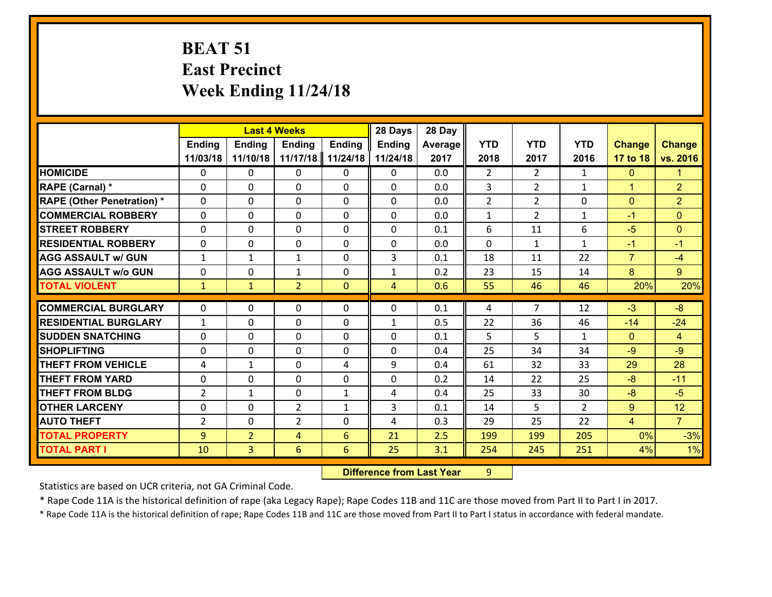# **BEAT 51 East Precinct Week Ending 11/24/18**

|                                   |                | <b>Last 4 Weeks</b> |                |                | 28 Days        | 28 Day     |                |                |                |                |                |
|-----------------------------------|----------------|---------------------|----------------|----------------|----------------|------------|----------------|----------------|----------------|----------------|----------------|
|                                   | Ending         | <b>Ending</b>       | <b>Ending</b>  | <b>Ending</b>  | <b>Ending</b>  | Average    | <b>YTD</b>     | <b>YTD</b>     | <b>YTD</b>     | <b>Change</b>  | <b>Change</b>  |
|                                   | 11/03/18       | 11/10/18            | 11/17/18       | 11/24/18       | 11/24/18       | 2017       | 2018           | 2017           | 2016           | 17 to 18       | vs. 2016       |
| <b>HOMICIDE</b>                   | $\mathbf{0}$   | 0                   | 0              | $\mathbf{0}$   | 0              | 0.0        | $\overline{2}$ | $\overline{2}$ | $\mathbf{1}$   | $\mathbf{0}$   | 1.             |
| <b>RAPE (Carnal)</b> *            | $\Omega$       | 0                   | 0              | 0              | $\Omega$       | 0.0        | 3              | $\overline{2}$ | $\mathbf{1}$   | $\mathbf{1}$   | $\overline{2}$ |
| <b>RAPE (Other Penetration) *</b> | $\Omega$       | 0                   | $\Omega$       | $\Omega$       | $\Omega$       | 0.0        | $\overline{2}$ | $\overline{2}$ | 0              | $\mathbf{0}$   | $\overline{2}$ |
| <b>COMMERCIAL ROBBERY</b>         | $\Omega$       | 0                   | $\mathbf{0}$   | 0              | $\Omega$       | 0.0        | $\mathbf{1}$   | $\mathcal{L}$  | $\mathbf{1}$   | $-1$           | $\Omega$       |
| <b>STREET ROBBERY</b>             | 0              | 0                   | 0              | 0              | 0              | 0.1        | 6              | 11             | 6              | $-5$           | $\overline{0}$ |
| <b>RESIDENTIAL ROBBERY</b>        | $\Omega$       | 0                   | 0              | 0              | 0              | 0.0        | $\mathbf 0$    | $\mathbf{1}$   | $\mathbf{1}$   | $-1$           | $-1$           |
| <b>AGG ASSAULT w/ GUN</b>         | $\mathbf{1}$   | $\mathbf{1}$        | $\mathbf{1}$   | 0              | 3              | 0.1        | 18             | 11             | 22             | $\overline{7}$ | $-4$           |
| <b>AGG ASSAULT W/o GUN</b>        | 0              | 0                   | $\mathbf{1}$   | 0              | $\mathbf{1}$   | 0.2        | 23             | 15             | 14             | 8              | 9 <sup>°</sup> |
| <b>TOTAL VIOLENT</b>              | $\mathbf{1}$   | $\mathbf{1}$        | $\overline{2}$ | $\mathbf{0}$   | $\overline{4}$ | 0.6        | 55             | 46             | 46             | 20%            | 20%            |
| <b>COMMERCIAL BURGLARY</b>        | $\Omega$       | 0                   | 0              | $\mathbf{0}$   | $\Omega$       | 0.1        | 4              | $\overline{7}$ | 12             | $-3$           | $-8$           |
| <b>RESIDENTIAL BURGLARY</b>       | $\mathbf{1}$   | 0                   |                | $\Omega$       |                |            |                |                | 46             |                |                |
|                                   |                |                     | $\mathbf{0}$   |                | $\mathbf{1}$   | 0.5        | 22             | 36             |                | $-14$          | $-24$          |
| <b>SUDDEN SNATCHING</b>           | $\Omega$       | 0                   | $\mathbf{0}$   | $\Omega$       | $\Omega$       | 0.1<br>0.4 | 5              | 5              | $\mathbf{1}$   | $\Omega$       | $\overline{4}$ |
| <b>SHOPLIFTING</b>                | $\Omega$       | 0                   | $\mathbf{0}$   | $\Omega$       | $\Omega$       |            | 25             | 34             | 34             | $-9$           | $-9$           |
| <b>THEFT FROM VEHICLE</b>         | 4              | $\mathbf{1}$        | $\mathbf{0}$   | 4              | 9              | 0.4        | 61             | 32             | 33             | 29             | 28             |
| <b>THEFT FROM YARD</b>            | 0              | 0                   | 0              | 0              | 0              | 0.2        | 14             | 22             | 25             | $-8$           | $-11$          |
| <b>THEFT FROM BLDG</b>            | $\overline{2}$ | $\mathbf{1}$        | 0              | $\mathbf{1}$   | 4              | 0.4        | 25             | 33             | 30             | $-8$           | $-5$           |
| <b>OTHER LARCENY</b>              | 0              | 0                   | $\overline{2}$ | $\mathbf{1}$   | 3              | 0.1        | 14             | 5              | $\overline{2}$ | 9              | 12             |
| <b>AUTO THEFT</b>                 | $\overline{2}$ | 0                   | $\overline{2}$ | 0              | 4              | 0.3        | 29             | 25             | 22             | $\overline{4}$ | $\overline{7}$ |
| <b>TOTAL PROPERTY</b>             | 9              | $\overline{2}$      | 4              | $6\phantom{1}$ | 21             | 2.5        | 199            | 199            | 205            | 0%             | $-3%$          |
| <b>TOTAL PART I</b>               | 10             | 3                   | $6\phantom{1}$ | 6              | 25             | 3.1        | 254            | 245            | 251            | 4%             | 1%             |

 **Difference from Last Year**r 9

Statistics are based on UCR criteria, not GA Criminal Code.

\* Rape Code 11A is the historical definition of rape (aka Legacy Rape); Rape Codes 11B and 11C are those moved from Part II to Part I in 2017.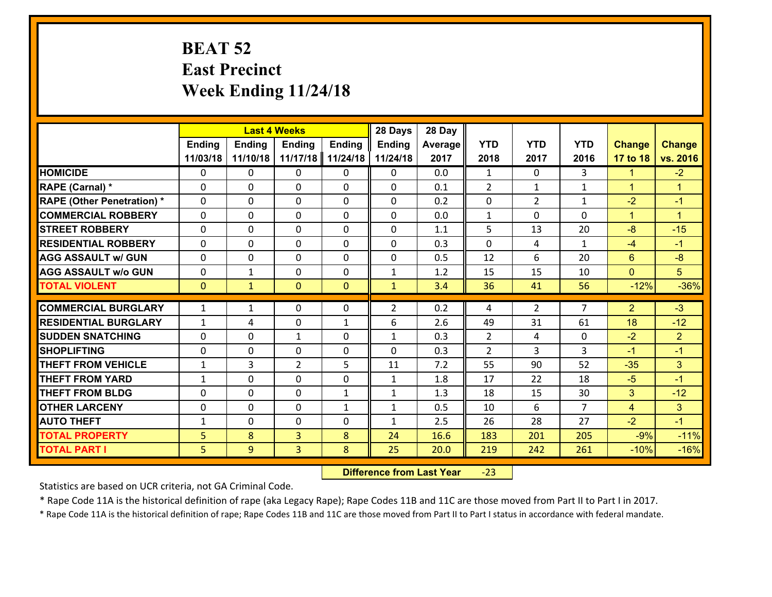# **BEAT 52 East Precinct Week Ending 11/24/18**

|                                              |                | <b>Last 4 Weeks</b> |                |               | 28 Days        | 28 Day       |                |                |                |                      |                  |
|----------------------------------------------|----------------|---------------------|----------------|---------------|----------------|--------------|----------------|----------------|----------------|----------------------|------------------|
|                                              | <b>Ending</b>  | <b>Ending</b>       | <b>Ending</b>  | <b>Ending</b> | <b>Ending</b>  | Average      | <b>YTD</b>     | <b>YTD</b>     | <b>YTD</b>     | <b>Change</b>        | <b>Change</b>    |
|                                              | 11/03/18       | 11/10/18            | 11/17/18       | 11/24/18      | 11/24/18       | 2017         | 2018           | 2017           | 2016           | 17 to 18             | vs. 2016         |
| <b>HOMICIDE</b>                              | $\Omega$       | 0                   | $\Omega$       | 0             | $\Omega$       | 0.0          | $\mathbf{1}$   | $\Omega$       | 3              | 1                    | $-2$             |
| RAPE (Carnal) *                              | $\Omega$       | 0                   | $\mathbf{0}$   | $\Omega$      | 0              | 0.1          | 2              | $\mathbf{1}$   | $\mathbf{1}$   | $\blacktriangleleft$ | $\mathbf{1}$     |
| <b>RAPE (Other Penetration) *</b>            | $\Omega$       | 0                   | $\Omega$       | $\Omega$      | 0              | 0.2          | $\Omega$       | $\overline{2}$ | $\mathbf{1}$   | $-2$                 | $-1$             |
| <b>COMMERCIAL ROBBERY</b>                    | $\mathbf 0$    | 0                   | $\mathbf{0}$   | $\Omega$      | 0              | 0.0          | $\mathbf{1}$   | $\Omega$       | 0              | $\blacktriangleleft$ | $\mathbf{1}$     |
| <b>STREET ROBBERY</b>                        | $\Omega$       | 0                   | $\mathbf 0$    | 0             | 0              | 1.1          | 5              | 13             | 20             | $-8$                 | $-15$            |
| <b>RESIDENTIAL ROBBERY</b>                   | $\mathbf{0}$   | 0                   | $\Omega$       | 0             | $\Omega$       | 0.3          | $\Omega$       | 4              | $\mathbf{1}$   | $-4$                 | $-1$             |
| <b>AGG ASSAULT w/ GUN</b>                    | $\mathbf{0}$   | 0                   | $\mathbf 0$    | 0             | 0              | 0.5          | 12             | 6              | 20             | $6^{\circ}$          | $-8$             |
| <b>AGG ASSAULT w/o GUN</b>                   | $\mathbf 0$    | $\mathbf{1}$        | $\mathbf 0$    | 0             | $\mathbf{1}$   | 1.2          | 15             | 15             | 10             | $\mathbf{0}$         | 5                |
| <b>TOTAL VIOLENT</b>                         | $\overline{0}$ | $\mathbf{1}$        | $\overline{0}$ | $\mathbf{0}$  | $\mathbf{1}$   | 3.4          | 36             | 41             | 56             | $-12%$               | $-36%$           |
| <b>COMMERCIAL BURGLARY</b>                   | $\mathbf{1}$   | $\mathbf{1}$        | $\Omega$       | $\Omega$      | $\overline{2}$ | 0.2          | 4              | $\overline{2}$ | $\overline{7}$ | $\overline{2}$       | $-3$             |
| <b>RESIDENTIAL BURGLARY</b>                  | $\mathbf{1}$   | 4                   | 0              | $\mathbf{1}$  | 6              | 2.6          | 49             | 31             | 61             | 18                   | $-12$            |
| <b>SUDDEN SNATCHING</b>                      | $\mathbf 0$    | 0                   | $\mathbf{1}$   | 0             | $\mathbf{1}$   | 0.3          | $\overline{2}$ | 4              | 0              | $-2$                 | $\overline{2}$   |
| <b>SHOPLIFTING</b>                           | $\mathbf 0$    | 0                   | $\mathbf 0$    | 0             | $\Omega$       | 0.3          | $\overline{2}$ | 3              | 3              | $-1$                 | $-1$             |
| <b>THEFT FROM VEHICLE</b>                    | $\mathbf{1}$   | 3                   | $\overline{2}$ | 5             | 11             | 7.2          | 55             | 90             | 52             | $-35$                | 3 <sup>1</sup>   |
|                                              |                |                     |                |               |                |              |                |                |                |                      |                  |
|                                              |                |                     |                |               |                |              |                |                |                |                      |                  |
| <b>THEFT FROM YARD</b>                       | $\mathbf{1}$   | 0                   | $\mathbf 0$    | $\mathbf 0$   | $\mathbf{1}$   | 1.8          | 17             | 22             | 18             | $-5$                 | $-1$             |
| <b>THEFT FROM BLDG</b>                       | $\mathbf 0$    | 0                   | $\mathbf 0$    | $\mathbf{1}$  | 1              | 1.3          | 18             | 15             | 30             | 3                    | $-12$            |
| <b>OTHER LARCENY</b>                         | $\mathbf 0$    | 0                   | $\mathbf 0$    | $\mathbf{1}$  | $\mathbf{1}$   | 0.5          | 10             | 6              | $\overline{7}$ | $\overline{4}$       | 3 <sup>1</sup>   |
| <b>AUTO THEFT</b>                            | $\mathbf{1}$   | $\mathbf{0}$        | $\mathbf{0}$   | 0             | $\mathbf{1}$   | 2.5          | 26             | 28             | 27             | $-2$                 | $-1$             |
| <b>TOTAL PROPERTY</b><br><b>TOTAL PART I</b> | 5<br>5         | 8<br>9              | 3<br>3         | 8<br>8        | 24<br>25       | 16.6<br>20.0 | 183<br>219     | 201<br>242     | 205<br>261     | $-9%$<br>$-10%$      | $-11%$<br>$-16%$ |

 **Difference from Last Year**‐23

Statistics are based on UCR criteria, not GA Criminal Code.

\* Rape Code 11A is the historical definition of rape (aka Legacy Rape); Rape Codes 11B and 11C are those moved from Part II to Part I in 2017.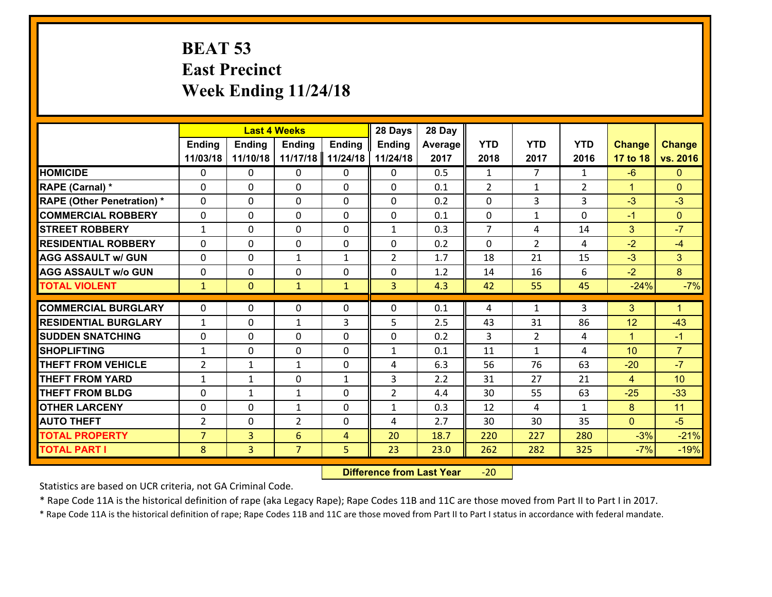#### **BEAT 53 East Precinct Week Ending 11/24/18**

|                                   | <b>Last 4 Weeks</b> |                |                  |                | 28 Days        | 28 Day  |                |                |                |                |                      |
|-----------------------------------|---------------------|----------------|------------------|----------------|----------------|---------|----------------|----------------|----------------|----------------|----------------------|
|                                   | <b>Ending</b>       | <b>Ending</b>  | <b>Ending</b>    | <b>Ending</b>  | <b>Ending</b>  | Average | <b>YTD</b>     | <b>YTD</b>     | <b>YTD</b>     | <b>Change</b>  | <b>Change</b>        |
|                                   | 11/03/18            | 11/10/18       | 11/17/18         | 11/24/18       | 11/24/18       | 2017    | 2018           | 2017           | 2016           | 17 to 18       | vs. 2016             |
| <b>HOMICIDE</b>                   | $\Omega$            | 0              | 0                | 0              | 0              | 0.5     | 1              | $\overline{7}$ | $\mathbf{1}$   | $-6$           | $\mathbf{0}$         |
| RAPE (Carnal) *                   | $\Omega$            | 0              | $\mathbf{0}$     | 0              | $\Omega$       | 0.1     | $\overline{2}$ | $\mathbf{1}$   | $\overline{2}$ | $\mathbf{1}$   | $\Omega$             |
| <b>RAPE (Other Penetration) *</b> | 0                   | 0              | $\mathbf 0$      | 0              | 0              | 0.2     | 0              | 3              | 3              | $-3$           | $-3$                 |
| <b>COMMERCIAL ROBBERY</b>         | 0                   | 0              | $\mathbf 0$      | 0              | 0              | 0.1     | $\mathbf 0$    | $\mathbf{1}$   | 0              | $-1$           | $\mathbf{0}$         |
| <b>STREET ROBBERY</b>             | $\mathbf{1}$        | 0              | $\mathbf 0$      | 0              | $\mathbf{1}$   | 0.3     | $\overline{7}$ | 4              | 14             | 3              | $-7$                 |
| <b>RESIDENTIAL ROBBERY</b>        | $\Omega$            | 0              | $\mathbf 0$      | 0              | 0              | 0.2     | $\mathbf 0$    | $\overline{2}$ | 4              | $-2$           | $-4$                 |
| <b>AGG ASSAULT w/ GUN</b>         | 0                   | 0              | 1                | $\mathbf{1}$   | $\overline{2}$ | 1.7     | 18             | 21             | 15             | $-3$           | 3 <sup>1</sup>       |
| <b>AGG ASSAULT w/o GUN</b>        | 0                   | 0              | $\mathbf 0$      | 0              | 0              | 1.2     | 14             | 16             | 6              | $-2$           | 8                    |
| <b>TOTAL VIOLENT</b>              | $\mathbf{1}$        | $\overline{0}$ | $\mathbf{1}$     | $\mathbf{1}$   | 3              | 4.3     | 42             | 55             | 45             | $-24%$         | $-7%$                |
| <b>COMMERCIAL BURGLARY</b>        | $\Omega$            | 0              | $\mathbf{0}$     | 0              | $\Omega$       | 0.1     | 4              | $\mathbf{1}$   | 3              | 3              | $\blacktriangleleft$ |
| <b>RESIDENTIAL BURGLARY</b>       |                     |                |                  | 3              | 5              | 2.5     | 43             | 31             | 86             | 12             | $-43$                |
| <b>SUDDEN SNATCHING</b>           | $\mathbf{1}$<br>0   | 0<br>0         | 1<br>$\mathbf 0$ | 0              | 0              | 0.2     | $\overline{3}$ | $\overline{2}$ | 4              | $\mathbf{1}$   | $-1$                 |
| <b>SHOPLIFTING</b>                | $\mathbf{1}$        | 0              | $\mathbf 0$      | 0              | $\mathbf{1}$   | 0.1     | 11             | $\mathbf{1}$   | 4              | 10             | $\overline{7}$       |
| <b>THEFT FROM VEHICLE</b>         | $\overline{2}$      | 1              | $\mathbf{1}$     | 0              | 4              | 6.3     | 56             | 76             | 63             | $-20$          | $-7$                 |
| <b>THEFT FROM YARD</b>            | $\mathbf{1}$        | $\mathbf{1}$   | $\mathbf 0$      | $\mathbf{1}$   | 3              | 2.2     | 31             | 27             | 21             | $\overline{4}$ | 10                   |
| <b>THEFT FROM BLDG</b>            | 0                   | 1              | $\mathbf{1}$     | 0              | $\overline{2}$ | 4.4     | 30             | 55             | 63             | $-25$          | $-33$                |
| <b>OTHER LARCENY</b>              | $\mathbf 0$         | 0              | $\mathbf{1}$     | 0              | $\mathbf{1}$   | 0.3     | 12             | 4              | $\mathbf{1}$   | 8              | 11                   |
| <b>AUTO THEFT</b>                 | $\overline{2}$      | 0              | $\overline{2}$   | 0              | 4              | 2.7     | 30             | 30             | 35             | $\mathbf{0}$   | $-5$                 |
| <b>TOTAL PROPERTY</b>             | $\overline{7}$      | $\overline{3}$ | 6                | $\overline{4}$ | 20             | 18.7    | 220            | 227            | 280            | $-3%$          | $-21%$               |
|                                   |                     |                | $\overline{7}$   |                |                |         |                |                |                |                |                      |
| <b>TOTAL PART I</b>               | 8                   | $\overline{3}$ |                  | 5              | 23             | 23.0    | 262            | 282            | 325            | $-7%$          | $-19%$               |

 **Difference from Last Year**‐20

Statistics are based on UCR criteria, not GA Criminal Code.

\* Rape Code 11A is the historical definition of rape (aka Legacy Rape); Rape Codes 11B and 11C are those moved from Part II to Part I in 2017.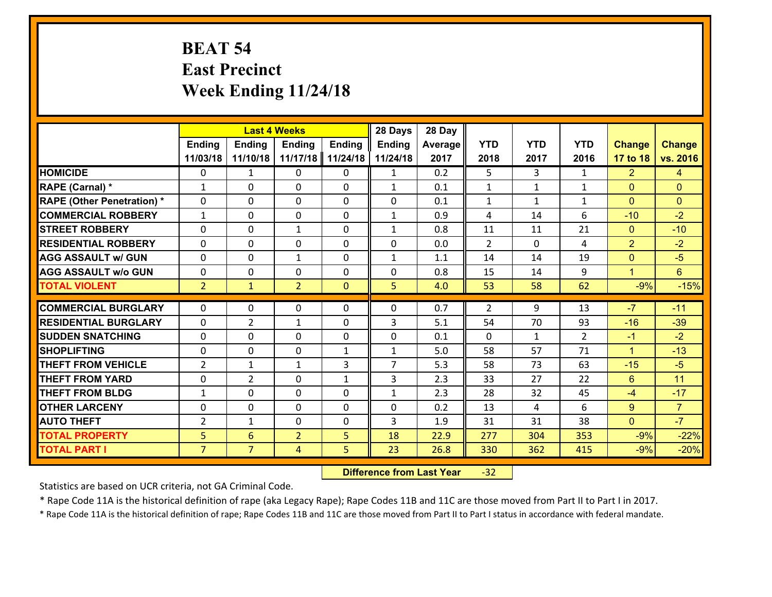# **BEAT 54 East Precinct Week Ending 11/24/18**

|                                   | <b>Last 4 Weeks</b> |                 |                |               | 28 Days        | 28 Day  |                |              |                |                      |                 |
|-----------------------------------|---------------------|-----------------|----------------|---------------|----------------|---------|----------------|--------------|----------------|----------------------|-----------------|
|                                   | <b>Ending</b>       | <b>Ending</b>   | <b>Ending</b>  | <b>Ending</b> | <b>Ending</b>  | Average | <b>YTD</b>     | <b>YTD</b>   | <b>YTD</b>     | <b>Change</b>        | <b>Change</b>   |
|                                   | 11/03/18            | 11/10/18        | 11/17/18       | 11/24/18      | 11/24/18       | 2017    | 2018           | 2017         | 2016           | 17 to 18             | vs. 2016        |
| <b>HOMICIDE</b>                   | $\Omega$            | $\mathbf{1}$    | 0              | 0             | $\mathbf{1}$   | 0.2     | 5              | 3            | $\mathbf{1}$   | $\overline{2}$       | 4               |
| RAPE (Carnal) *                   | $\mathbf{1}$        | 0               | $\Omega$       | 0             | $\mathbf{1}$   | 0.1     | $\mathbf{1}$   | $\mathbf{1}$ | $\mathbf{1}$   | $\Omega$             | $\mathbf{0}$    |
| <b>RAPE (Other Penetration) *</b> | 0                   | 0               | $\mathbf 0$    | 0             | 0              | 0.1     | $\mathbf{1}$   | $\mathbf{1}$ | $\mathbf{1}$   | $\mathbf{0}$         | $\mathbf{0}$    |
| <b>COMMERCIAL ROBBERY</b>         | $\mathbf{1}$        | 0               | $\mathbf 0$    | 0             | $\mathbf{1}$   | 0.9     | 4              | 14           | 6              | $-10$                | $-2$            |
| <b>STREET ROBBERY</b>             | 0                   | 0               | $\mathbf{1}$   | 0             | $\mathbf{1}$   | 0.8     | 11             | 11           | 21             | $\overline{0}$       | $-10$           |
| <b>RESIDENTIAL ROBBERY</b>        | $\Omega$            | 0               | $\mathbf 0$    | 0             | 0              | 0.0     | $\overline{2}$ | $\mathbf{0}$ | 4              | $\overline{2}$       | $-2$            |
| <b>AGG ASSAULT w/ GUN</b>         | 0                   | 0               | 1              | 0             | $\mathbf{1}$   | 1.1     | 14             | 14           | 19             | $\overline{0}$       | $-5$            |
| <b>AGG ASSAULT w/o GUN</b>        | 0                   | 0               | $\mathbf 0$    | $\Omega$      | $\mathbf 0$    | 0.8     | 15             | 14           | 9              | $\blacktriangleleft$ | $6\overline{6}$ |
| <b>TOTAL VIOLENT</b>              | 2 <sup>1</sup>      | $\mathbf{1}$    | $\overline{2}$ | $\mathbf{0}$  | 5              | 4.0     | 53             | 58           | 62             | $-9%$                | $-15%$          |
| <b>COMMERCIAL BURGLARY</b>        | $\Omega$            | 0               | $\mathbf{0}$   | 0             | $\Omega$       | 0.7     | 2              | 9            | 13             | $-7$                 | $-11$           |
|                                   |                     |                 |                |               |                |         |                |              |                |                      |                 |
| <b>RESIDENTIAL BURGLARY</b>       | 0                   | $\overline{2}$  | 1              | 0             | 3              | 5.1     | 54             | 70           | 93             | $-16$                | $-39$           |
| <b>SUDDEN SNATCHING</b>           | 0                   | 0               | $\mathbf 0$    | 0             | 0              | 0.1     | $\mathbf 0$    | $\mathbf{1}$ | $\overline{2}$ | $-1$                 | $-2$            |
| <b>SHOPLIFTING</b>                | 0                   | 0               | $\mathbf 0$    | $\mathbf{1}$  | $\mathbf{1}$   | 5.0     | 58             | 57           | 71             | $\mathbf{1}$         | $-13$           |
| <b>THEFT FROM VEHICLE</b>         | $\overline{2}$      | 1               | $\mathbf{1}$   | 3             | $\overline{7}$ | 5.3     | 58             | 73           | 63             | $-15$                | $-5$            |
| <b>THEFT FROM YARD</b>            | $\mathbf 0$         | $\overline{2}$  | $\mathbf 0$    | $\mathbf{1}$  | 3              | 2.3     | 33             | 27           | 22             | $6\phantom{1}$       | 11              |
| <b>THEFT FROM BLDG</b>            | $\mathbf{1}$        | 0               | $\mathbf 0$    | 0             | $\mathbf{1}$   | 2.3     | 28             | 32           | 45             | $-4$                 | $-17$           |
| <b>OTHER LARCENY</b>              | $\mathbf 0$         | 0               | $\mathbf 0$    | 0             | $\mathbf 0$    | 0.2     | 13             | 4            | 6              | 9                    | $\overline{7}$  |
| <b>AUTO THEFT</b>                 | $\overline{2}$      | 1               | $\mathbf 0$    | $\mathbf 0$   | 3              | 1.9     | 31             | 31           | 38             | $\mathbf{0}$         | $-7$            |
| <b>TOTAL PROPERTY</b>             | 5 <sub>5</sub>      | $6\overline{6}$ | $\overline{2}$ | 5             | 18             | 22.9    | 277            | 304          | 353            | $-9%$                | $-22%$          |
| <b>TOTAL PART I</b>               | $\overline{7}$      | $\overline{7}$  | 4              | 5             | 23             | 26.8    | 330            | 362          | 415            | $-9%$                | $-20%$          |

 **Difference from Last Year**r -32

Statistics are based on UCR criteria, not GA Criminal Code.

\* Rape Code 11A is the historical definition of rape (aka Legacy Rape); Rape Codes 11B and 11C are those moved from Part II to Part I in 2017.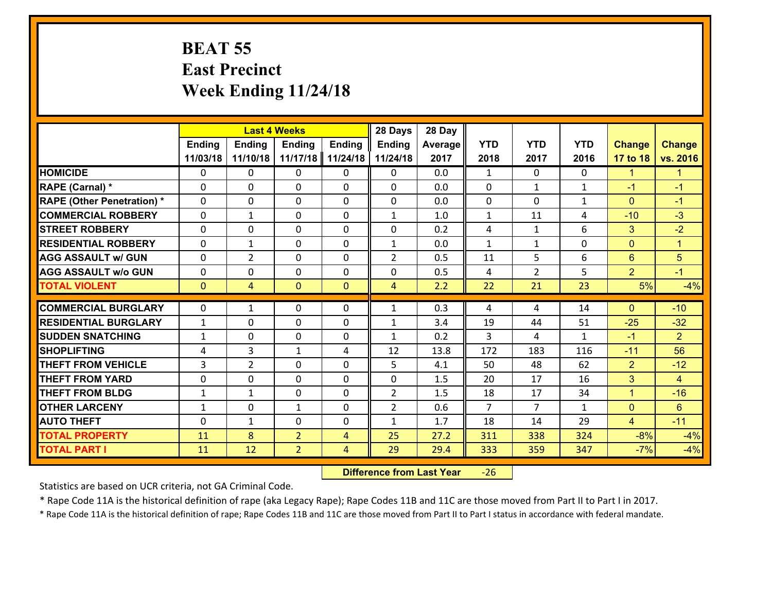#### **BEAT 55 East Precinct Week Ending 11/24/18**

|                                   | <b>Last 4 Weeks</b> |                |                |                | 28 Days        | 28 Day         |                |                |              |                |                      |
|-----------------------------------|---------------------|----------------|----------------|----------------|----------------|----------------|----------------|----------------|--------------|----------------|----------------------|
|                                   | <b>Ending</b>       | Ending         | <b>Ending</b>  | Ending         | <b>Ending</b>  | <b>Average</b> | <b>YTD</b>     | <b>YTD</b>     | <b>YTD</b>   | <b>Change</b>  | <b>Change</b>        |
|                                   | 11/03/18            | 11/10/18       | 11/17/18       | 11/24/18       | 11/24/18       | 2017           | 2018           | 2017           | 2016         | 17 to 18       | vs. 2016             |
| <b>HOMICIDE</b>                   | $\Omega$            | 0              | 0              | $\mathbf{0}$   | 0              | 0.0            | $\mathbf{1}$   | $\Omega$       | 0            | $\mathbf{1}$   | $\blacktriangleleft$ |
| <b>RAPE (Carnal) *</b>            | $\Omega$            | $\Omega$       | 0              | $\Omega$       | $\Omega$       | 0.0            | $\Omega$       | $\mathbf{1}$   | $\mathbf{1}$ | $-1$           | $-1$                 |
| <b>RAPE (Other Penetration) *</b> | $\Omega$            | 0              | 0              | 0              | 0              | 0.0            | $\mathbf 0$    | $\Omega$       | $\mathbf{1}$ | $\mathbf{0}$   | $-1$                 |
| <b>COMMERCIAL ROBBERY</b>         | 0                   | $\mathbf{1}$   | $\mathbf 0$    | 0              | $\mathbf{1}$   | 1.0            | $\mathbf{1}$   | 11             | 4            | $-10$          | $-3$                 |
| <b>STREET ROBBERY</b>             | 0                   | 0              | 0              | 0              | 0              | 0.2            | 4              | $\mathbf{1}$   | 6            | 3              | $-2$                 |
| <b>RESIDENTIAL ROBBERY</b>        | 0                   | $\mathbf{1}$   | 0              | 0              | $\mathbf{1}$   | 0.0            | $\mathbf{1}$   | $\mathbf{1}$   | 0            | $\mathbf{0}$   | $\mathbf{1}$         |
| <b>AGG ASSAULT w/ GUN</b>         | 0                   | $\overline{2}$ | 0              | 0              | $\overline{2}$ | 0.5            | 11             | 5              | 6            | $6\phantom{1}$ | $5\overline{)}$      |
| <b>AGG ASSAULT W/o GUN</b>        | 0                   | 0              | 0              | 0              | 0              | 0.5            | 4              | $\overline{2}$ | 5            | $\overline{2}$ | $-1$                 |
| <b>TOTAL VIOLENT</b>              | $\overline{0}$      | $\overline{4}$ | $\mathbf{0}$   | $\mathbf{0}$   | $\overline{4}$ | 2.2            | 22             | 21             | 23           | 5%             | $-4%$                |
|                                   |                     |                |                |                |                |                |                |                |              |                |                      |
| <b>COMMERCIAL BURGLARY</b>        | $\Omega$            | $\mathbf{1}$   | $\mathbf{0}$   | 0              | $\mathbf{1}$   | 0.3            | 4              | 4              | 14           | $\Omega$       | $-10$                |
| <b>RESIDENTIAL BURGLARY</b>       | $\mathbf{1}$        | 0              | 0              | 0              | 1              | 3.4            | 19             | 44             | 51           | $-25$          | $-32$                |
| <b>SUDDEN SNATCHING</b>           | $\mathbf{1}$        | 0              | 0              | 0              | $\mathbf{1}$   | 0.2            | 3              | 4              | $\mathbf{1}$ | $-1$           | 2                    |
| <b>SHOPLIFTING</b>                | 4                   | $\overline{3}$ | $\mathbf{1}$   | 4              | 12             | 13.8           | 172            | 183            | 116          | $-11$          | 56                   |
| <b>THEFT FROM VEHICLE</b>         | 3                   | $\overline{2}$ | $\mathbf{0}$   | 0              | 5              | 4.1            | 50             | 48             | 62           | $\overline{2}$ | $-12$                |
| <b>THEFT FROM YARD</b>            | $\mathbf 0$         | 0              | 0              | 0              | 0              | 1.5            | 20             | 17             | 16           | 3              | $\overline{4}$       |
| <b>THEFT FROM BLDG</b>            | $\mathbf{1}$        | $\mathbf{1}$   | $\mathbf{0}$   | $\Omega$       | $\overline{2}$ | 1.5            | 18             | 17             | 34           | $\mathbf{1}$   | $-16$                |
| <b>OTHER LARCENY</b>              | $\mathbf{1}$        | $\mathbf 0$    | $\mathbf{1}$   | 0              | $\overline{2}$ | 0.6            | $\overline{7}$ | $\overline{7}$ | $\mathbf{1}$ | $\overline{0}$ | $6\phantom{1}$       |
| <b>AUTO THEFT</b>                 | $\Omega$            | $\mathbf{1}$   | 0              | 0              | $\mathbf{1}$   | 1.7            | 18             | 14             | 29           | $\overline{4}$ | $-11$                |
| <b>TOTAL PROPERTY</b>             | 11                  | 8              | $\overline{2}$ | $\overline{4}$ | 25             | 27.2           | 311            | 338            | 324          | $-8%$          | $-4%$                |
| <b>TOTAL PART I</b>               | 11                  | 12             | $\overline{2}$ | $\overline{4}$ | 29             | 29.4           | 333            | 359            | 347          | $-7%$          | $-4%$                |

 **Difference from Last Year**‐26

Statistics are based on UCR criteria, not GA Criminal Code.

\* Rape Code 11A is the historical definition of rape (aka Legacy Rape); Rape Codes 11B and 11C are those moved from Part II to Part I in 2017.